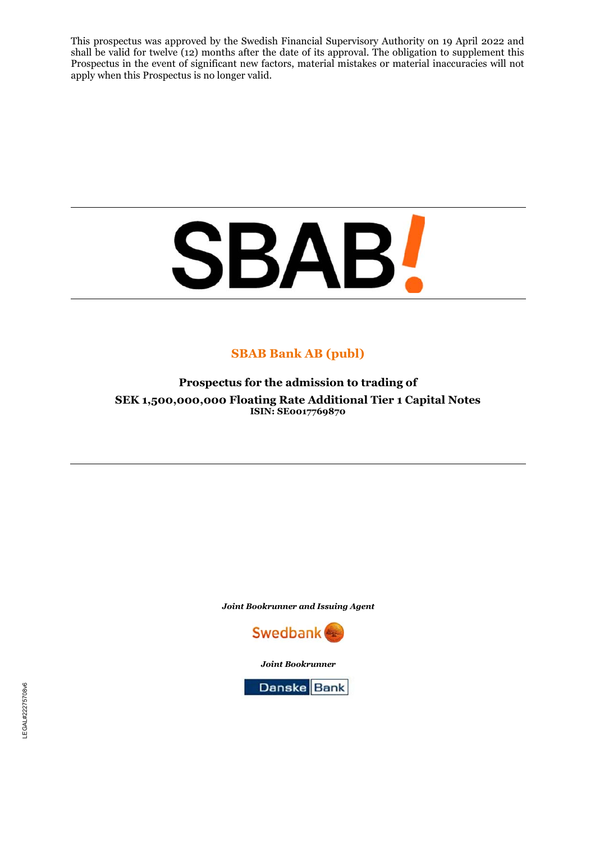This prospectus was approved by the Swedish Financial Supervisory Authority on 19 April 2022 and shall be valid for twelve (12) months after the date of its approval. The obligation to supplement this Prospectus in the event of significant new factors, material mistakes or material inaccuracies will not apply when this Prospectus is no longer valid.

# **SBAB!**

# **SBAB Bank AB (publ)**

**Prospectus for the admission to trading of SEK 1,500,000,000 Floating Rate Additional Tier 1 Capital Notes ISIN: SE0017769870**

*Joint Bookrunner and Issuing Agent* 



*Joint Bookrunner*

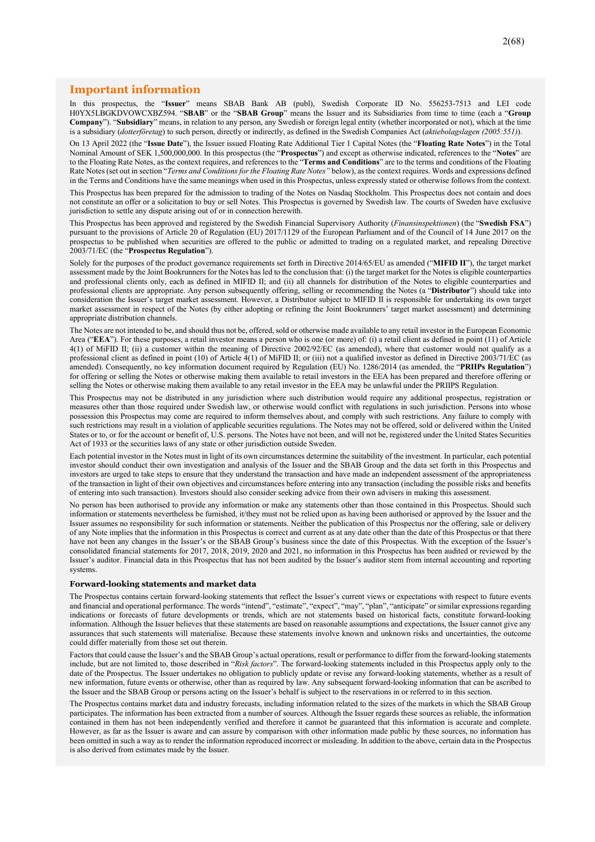#### **Important information**

In this prospectus, the "**Issuer**" means SBAB Bank AB (publ), Swedish Corporate ID No. 556253-7513 and LEI code H0YX5LBGKDVOWCXBZ594. "**SBAB**" or the "**SBAB Group**" means the Issuer and its Subsidiaries from time to time (each a "**Group Company**"). "**Subsidiary**" means, in relation to any person, any Swedish or foreign legal entity (whether incorporated or not), which at the time is a subsidiary (*dotterföretag*) to such person, directly or indirectly, as defined in the Swedish Companies Act (*aktiebolagslagen (2005:551)*).

On 13 April 2022 (the "**Issue Date**"), the Issuer issued Floating Rate Additional Tier 1 Capital Notes (the "**Floating Rate Notes**") in the Total Nominal Amount of SEK 1,500,000,000. In this prospectus (the "**Prospectus**") and except as otherwise indicated, references to the "**Notes**" are to the Floating Rate Notes, as the context requires, and references to the "**Terms and Conditions**" are to the terms and conditions of the Floating Rate Notes (set out in section "*Terms and Conditions for the Floating Rate Notes"* below), as the context requires. Words and expressions defined in the Terms and Conditions have the same meanings when used in this Prospectus, unless expressly stated or otherwise follows from the context.

This Prospectus has been prepared for the admission to trading of the Notes on Nasdaq Stockholm. This Prospectus does not contain and does not constitute an offer or a solicitation to buy or sell Notes. This Prospectus is governed by Swedish law. The courts of Sweden have exclusive jurisdiction to settle any dispute arising out of or in connection herewith.

This Prospectus has been approved and registered by the Swedish Financial Supervisory Authority (*Finansinspektionen*) (the "**Swedish FSA**") pursuant to the provisions of Article 20 of Regulation (EU) 2017/1129 of the European Parliament and of the Council of 14 June 2017 on the prospectus to be published when securities are offered to the public or admitted to trading on a regulated market, and repealing Directive 2003/71/EC (the "**Prospectus Regulation**").

Solely for the purposes of the product governance requirements set forth in Directive 2014/65/EU as amended ("**MIFID II**"), the target market assessment made by the Joint Bookrunners for the Notes has led to the conclusion that: (i) the target market for the Notes is eligible counterparties and professional clients only, each as defined in MIFID II; and (ii) all channels for distribution of the Notes to eligible counterparties and professional clients are appropriate. Any person subsequently offering, selling or recommending the Notes (a "**Distributor**") should take into consideration the Issuer's target market assessment. However, a Distributor subject to MIFID II is responsible for undertaking its own target market assessment in respect of the Notes (by either adopting or refining the Joint Bookrunners' target market assessment) and determining appropriate distribution channels.

The Notes are not intended to be, and should thus not be, offered, sold or otherwise made available to any retail investor in the European Economic Area ("**EEA**"). For these purposes, a retail investor means a person who is one (or more) of: (i) a retail client as defined in point (11) of Article 4(1) of MiFID II; (ii) a customer within the meaning of Directive 2002/92/EC (as amended), where that customer would not qualify as a professional client as defined in point (10) of Article 4(1) of MiFID II; or (iii) not a qualified investor as defined in Directive 2003/71/EC (as amended). Consequently, no key information document required by Regulation (EU) No. 1286/2014 (as amended, the "**PRIIPs Regulation**") for offering or selling the Notes or otherwise making them available to retail investors in the EEA has been prepared and therefore offering or selling the Notes or otherwise making them available to any retail investor in the EEA may be unlawful under the PRIIPS Regulation.

This Prospectus may not be distributed in any jurisdiction where such distribution would require any additional prospectus, registration or measures other than those required under Swedish law, or otherwise would conflict with regulations in such jurisdiction. Persons into whose possession this Prospectus may come are required to inform themselves about, and comply with such restrictions. Any failure to comply with such restrictions may result in a violation of applicable securities regulations. The Notes may not be offered, sold or delivered within the United States or to, or for the account or benefit of, U.S. persons. The Notes have not been, and will not be, registered under the United States Securities Act of 1933 or the securities laws of any state or other jurisdiction outside Sweden.

Each potential investor in the Notes must in light of its own circumstances determine the suitability of the investment. In particular, each potential investor should conduct their own investigation and analysis of the Issuer and the SBAB Group and the data set forth in this Prospectus and investors are urged to take steps to ensure that they understand the transaction and have made an independent assessment of the appropriateness of the transaction in light of their own objectives and circumstances before entering into any transaction (including the possible risks and benefits of entering into such transaction). Investors should also consider seeking advice from their own advisers in making this assessment.

No person has been authorised to provide any information or make any statements other than those contained in this Prospectus. Should such information or statements nevertheless be furnished, it/they must not be relied upon as having been authorised or approved by the Issuer and the Issuer assumes no responsibility for such information or statements. Neither the publication of this Prospectus nor the offering, sale or delivery of any Note implies that the information in this Prospectus is correct and current as at any date other than the date of this Prospectus or that there have not been any changes in the Issuer's or the SBAB Group's business since the date of this Prospectus. With the exception of the Issuer's consolidated financial statements for 2017, 2018, 2019, 2020 and 2021, no information in this Prospectus has been audited or reviewed by the Issuer's auditor. Financial data in this Prospectus that has not been audited by the Issuer's auditor stem from internal accounting and reporting systems.

#### **Forward-looking statements and market data**

The Prospectus contains certain forward-looking statements that reflect the Issuer's current views or expectations with respect to future events and financial and operational performance. The words "intend", "estimate", "expect", "may", "plan", "anticipate" or similar expressions regarding indications or forecasts of future developments or trends, which are not statements based on historical facts, constitute forward-looking information. Although the Issuer believes that these statements are based on reasonable assumptions and expectations, the Issuer cannot give any assurances that such statements will materialise. Because these statements involve known and unknown risks and uncertainties, the outcome could differ materially from those set out therein.

Factors that could cause the Issuer's and the SBAB Group's actual operations, result or performance to differ from the forward-looking statements include, but are not limited to, those described in "*Risk factors*". The forward-looking statements included in this Prospectus apply only to the date of the Prospectus. The Issuer undertakes no obligation to publicly update or revise any forward-looking statements, whether as a result of new information, future events or otherwise, other than as required by law. Any subsequent forward-looking information that can be ascribed to the Issuer and the SBAB Group or persons acting on the Issuer's behalf is subject to the reservations in or referred to in this section.

The Prospectus contains market data and industry forecasts, including information related to the sizes of the markets in which the SBAB Group participates. The information has been extracted from a number of sources. Although the Issuer regards these sources as reliable, the information contained in them has not been independently verified and therefore it cannot be guaranteed that this information is accurate and complete. However, as far as the Issuer is aware and can assure by comparison with other information made public by these sources, no information has been omitted in such a way as to render the information reproduced incorrect or misleading. In addition to the above, certain data in the Prospectus is also derived from estimates made by the Issuer.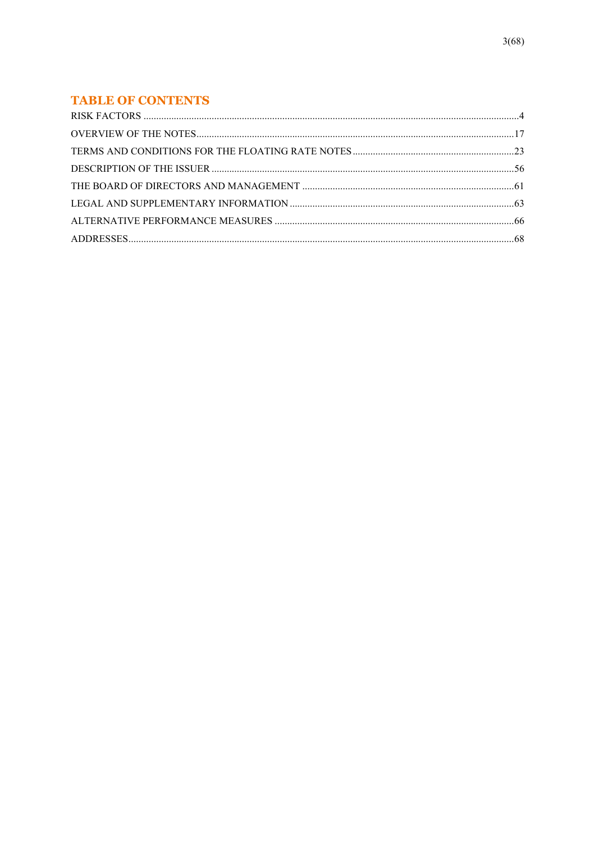# **TABLE OF CONTENTS**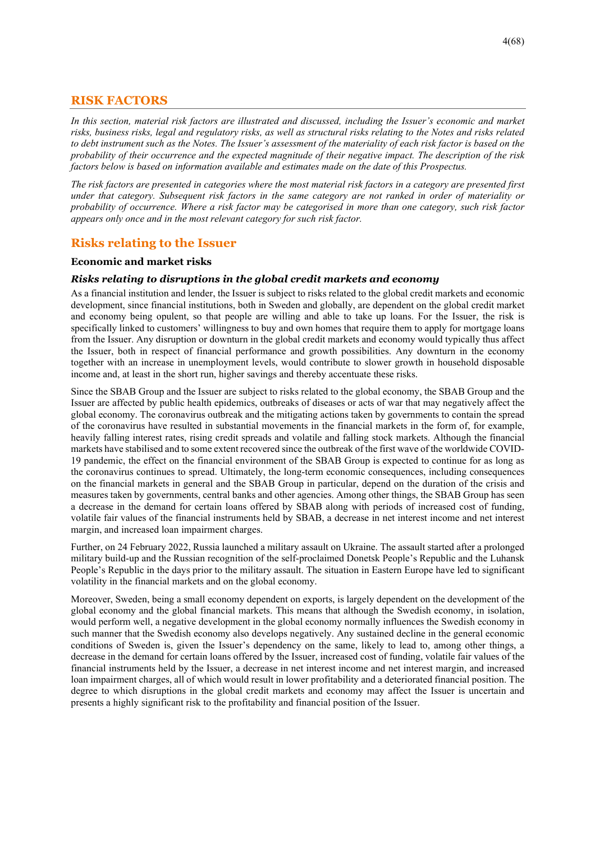# **RISK FACTORS**

*In this section, material risk factors are illustrated and discussed, including the Issuer's economic and market risks, business risks, legal and regulatory risks, as well as structural risks relating to the Notes and risks related to debt instrument such as the Notes. The Issuer's assessment of the materiality of each risk factor is based on the probability of their occurrence and the expected magnitude of their negative impact. The description of the risk factors below is based on information available and estimates made on the date of this Prospectus.* 

*The risk factors are presented in categories where the most material risk factors in a category are presented first under that category. Subsequent risk factors in the same category are not ranked in order of materiality or probability of occurrence. Where a risk factor may be categorised in more than one category, such risk factor appears only once and in the most relevant category for such risk factor.* 

# **Risks relating to the Issuer**

#### **Economic and market risks**

#### *Risks relating to disruptions in the global credit markets and economy*

As a financial institution and lender, the Issuer is subject to risks related to the global credit markets and economic development, since financial institutions, both in Sweden and globally, are dependent on the global credit market and economy being opulent, so that people are willing and able to take up loans. For the Issuer, the risk is specifically linked to customers' willingness to buy and own homes that require them to apply for mortgage loans from the Issuer. Any disruption or downturn in the global credit markets and economy would typically thus affect the Issuer, both in respect of financial performance and growth possibilities. Any downturn in the economy together with an increase in unemployment levels, would contribute to slower growth in household disposable income and, at least in the short run, higher savings and thereby accentuate these risks.

Since the SBAB Group and the Issuer are subject to risks related to the global economy, the SBAB Group and the Issuer are affected by public health epidemics, outbreaks of diseases or acts of war that may negatively affect the global economy. The coronavirus outbreak and the mitigating actions taken by governments to contain the spread of the coronavirus have resulted in substantial movements in the financial markets in the form of, for example, heavily falling interest rates, rising credit spreads and volatile and falling stock markets. Although the financial markets have stabilised and to some extent recovered since the outbreak of the first wave of the worldwide COVID-19 pandemic, the effect on the financial environment of the SBAB Group is expected to continue for as long as the coronavirus continues to spread. Ultimately, the long-term economic consequences, including consequences on the financial markets in general and the SBAB Group in particular, depend on the duration of the crisis and measures taken by governments, central banks and other agencies. Among other things, the SBAB Group has seen a decrease in the demand for certain loans offered by SBAB along with periods of increased cost of funding, volatile fair values of the financial instruments held by SBAB, a decrease in net interest income and net interest margin, and increased loan impairment charges.

Further, on 24 February 2022, Russia launched a military assault on Ukraine. The assault started after a prolonged military build-up and the Russian recognition of the self-proclaimed Donetsk People's Republic and the Luhansk People's Republic in the days prior to the military assault. The situation in Eastern Europe have led to significant volatility in the financial markets and on the global economy.

Moreover, Sweden, being a small economy dependent on exports, is largely dependent on the development of the global economy and the global financial markets. This means that although the Swedish economy, in isolation, would perform well, a negative development in the global economy normally influences the Swedish economy in such manner that the Swedish economy also develops negatively. Any sustained decline in the general economic conditions of Sweden is, given the Issuer's dependency on the same, likely to lead to, among other things, a decrease in the demand for certain loans offered by the Issuer, increased cost of funding, volatile fair values of the financial instruments held by the Issuer, a decrease in net interest income and net interest margin, and increased loan impairment charges, all of which would result in lower profitability and a deteriorated financial position. The degree to which disruptions in the global credit markets and economy may affect the Issuer is uncertain and presents a highly significant risk to the profitability and financial position of the Issuer.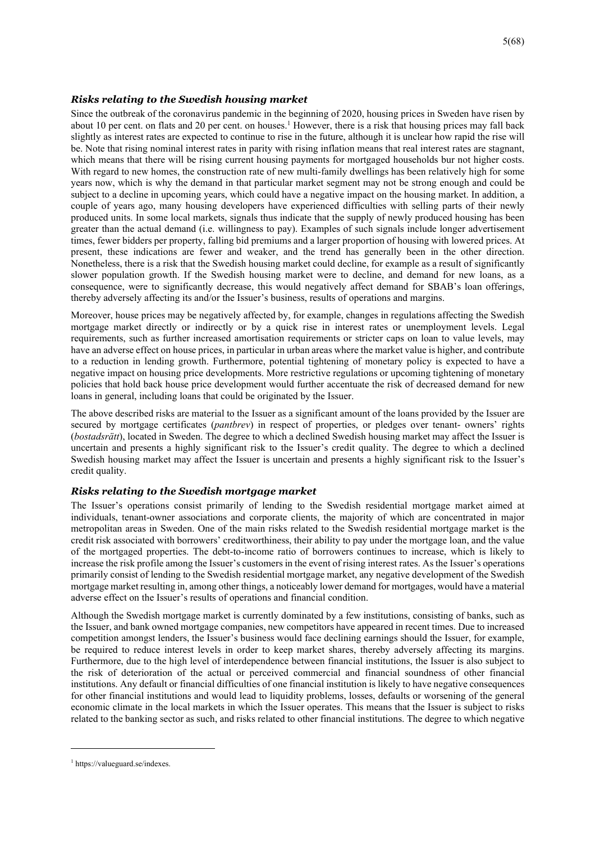#### *Risks relating to the Swedish housing market*

Since the outbreak of the coronavirus pandemic in the beginning of 2020, housing prices in Sweden have risen by about 10 per cent. on flats and 20 per cent. on houses.<sup>1</sup> However, there is a risk that housing prices may fall back slightly as interest rates are expected to continue to rise in the future, although it is unclear how rapid the rise will be. Note that rising nominal interest rates in parity with rising inflation means that real interest rates are stagnant, which means that there will be rising current housing payments for mortgaged households bur not higher costs. With regard to new homes, the construction rate of new multi-family dwellings has been relatively high for some years now, which is why the demand in that particular market segment may not be strong enough and could be subject to a decline in upcoming years, which could have a negative impact on the housing market. In addition, a couple of years ago, many housing developers have experienced difficulties with selling parts of their newly produced units. In some local markets, signals thus indicate that the supply of newly produced housing has been greater than the actual demand (i.e. willingness to pay). Examples of such signals include longer advertisement times, fewer bidders per property, falling bid premiums and a larger proportion of housing with lowered prices. At present, these indications are fewer and weaker, and the trend has generally been in the other direction. Nonetheless, there is a risk that the Swedish housing market could decline, for example as a result of significantly slower population growth. If the Swedish housing market were to decline, and demand for new loans, as a consequence, were to significantly decrease, this would negatively affect demand for SBAB's loan offerings, thereby adversely affecting its and/or the Issuer's business, results of operations and margins.

Moreover, house prices may be negatively affected by, for example, changes in regulations affecting the Swedish mortgage market directly or indirectly or by a quick rise in interest rates or unemployment levels. Legal requirements, such as further increased amortisation requirements or stricter caps on loan to value levels, may have an adverse effect on house prices, in particular in urban areas where the market value is higher, and contribute to a reduction in lending growth. Furthermore, potential tightening of monetary policy is expected to have a negative impact on housing price developments. More restrictive regulations or upcoming tightening of monetary policies that hold back house price development would further accentuate the risk of decreased demand for new loans in general, including loans that could be originated by the Issuer.

The above described risks are material to the Issuer as a significant amount of the loans provided by the Issuer are secured by mortgage certificates (*pantbrev*) in respect of properties, or pledges over tenant- owners' rights (*bostadsrätt*), located in Sweden. The degree to which a declined Swedish housing market may affect the Issuer is uncertain and presents a highly significant risk to the Issuer's credit quality. The degree to which a declined Swedish housing market may affect the Issuer is uncertain and presents a highly significant risk to the Issuer's credit quality.

#### *Risks relating to the Swedish mortgage market*

The Issuer's operations consist primarily of lending to the Swedish residential mortgage market aimed at individuals, tenant-owner associations and corporate clients, the majority of which are concentrated in major metropolitan areas in Sweden. One of the main risks related to the Swedish residential mortgage market is the credit risk associated with borrowers' creditworthiness, their ability to pay under the mortgage loan, and the value of the mortgaged properties. The debt-to-income ratio of borrowers continues to increase, which is likely to increase the risk profile among the Issuer's customers in the event of rising interest rates. As the Issuer's operations primarily consist of lending to the Swedish residential mortgage market, any negative development of the Swedish mortgage market resulting in, among other things, a noticeably lower demand for mortgages, would have a material adverse effect on the Issuer's results of operations and financial condition.

Although the Swedish mortgage market is currently dominated by a few institutions, consisting of banks, such as the Issuer, and bank owned mortgage companies, new competitors have appeared in recent times. Due to increased competition amongst lenders, the Issuer's business would face declining earnings should the Issuer, for example, be required to reduce interest levels in order to keep market shares, thereby adversely affecting its margins. Furthermore, due to the high level of interdependence between financial institutions, the Issuer is also subject to the risk of deterioration of the actual or perceived commercial and financial soundness of other financial institutions. Any default or financial difficulties of one financial institution is likely to have negative consequences for other financial institutions and would lead to liquidity problems, losses, defaults or worsening of the general economic climate in the local markets in which the Issuer operates. This means that the Issuer is subject to risks related to the banking sector as such, and risks related to other financial institutions. The degree to which negative

<sup>1</sup> https://valueguard.se/indexes.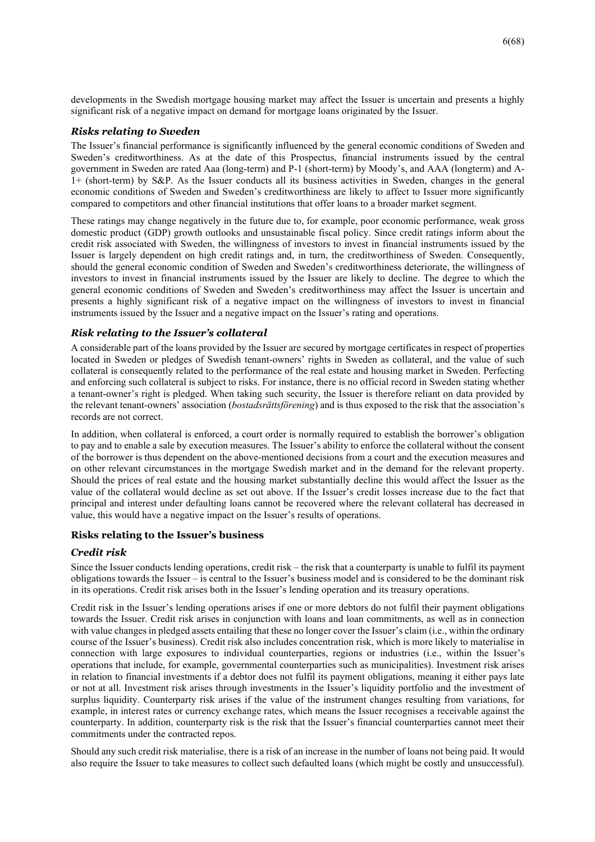developments in the Swedish mortgage housing market may affect the Issuer is uncertain and presents a highly significant risk of a negative impact on demand for mortgage loans originated by the Issuer.

#### *Risks relating to Sweden*

The Issuer's financial performance is significantly influenced by the general economic conditions of Sweden and Sweden's creditworthiness. As at the date of this Prospectus, financial instruments issued by the central government in Sweden are rated Aaa (long-term) and P-1 (short-term) by Moody's, and AAA (longterm) and A-1+ (short-term) by S&P. As the Issuer conducts all its business activities in Sweden, changes in the general economic conditions of Sweden and Sweden's creditworthiness are likely to affect to Issuer more significantly compared to competitors and other financial institutions that offer loans to a broader market segment.

These ratings may change negatively in the future due to, for example, poor economic performance, weak gross domestic product (GDP) growth outlooks and unsustainable fiscal policy. Since credit ratings inform about the credit risk associated with Sweden, the willingness of investors to invest in financial instruments issued by the Issuer is largely dependent on high credit ratings and, in turn, the creditworthiness of Sweden. Consequently, should the general economic condition of Sweden and Sweden's creditworthiness deteriorate, the willingness of investors to invest in financial instruments issued by the Issuer are likely to decline. The degree to which the general economic conditions of Sweden and Sweden's creditworthiness may affect the Issuer is uncertain and presents a highly significant risk of a negative impact on the willingness of investors to invest in financial instruments issued by the Issuer and a negative impact on the Issuer's rating and operations.

#### *Risk relating to the Issuer's collateral*

A considerable part of the loans provided by the Issuer are secured by mortgage certificates in respect of properties located in Sweden or pledges of Swedish tenant-owners' rights in Sweden as collateral, and the value of such collateral is consequently related to the performance of the real estate and housing market in Sweden. Perfecting and enforcing such collateral is subject to risks. For instance, there is no official record in Sweden stating whether a tenant-owner's right is pledged. When taking such security, the Issuer is therefore reliant on data provided by the relevant tenant-owners' association (*bostadsrättsförening*) and is thus exposed to the risk that the association's records are not correct.

In addition, when collateral is enforced, a court order is normally required to establish the borrower's obligation to pay and to enable a sale by execution measures. The Issuer's ability to enforce the collateral without the consent of the borrower is thus dependent on the above-mentioned decisions from a court and the execution measures and on other relevant circumstances in the mortgage Swedish market and in the demand for the relevant property. Should the prices of real estate and the housing market substantially decline this would affect the Issuer as the value of the collateral would decline as set out above. If the Issuer's credit losses increase due to the fact that principal and interest under defaulting loans cannot be recovered where the relevant collateral has decreased in value, this would have a negative impact on the Issuer's results of operations.

#### **Risks relating to the Issuer's business**

#### *Credit risk*

Since the Issuer conducts lending operations, credit risk – the risk that a counterparty is unable to fulfil its payment obligations towards the Issuer – is central to the Issuer's business model and is considered to be the dominant risk in its operations. Credit risk arises both in the Issuer's lending operation and its treasury operations.

Credit risk in the Issuer's lending operations arises if one or more debtors do not fulfil their payment obligations towards the Issuer. Credit risk arises in conjunction with loans and loan commitments, as well as in connection with value changes in pledged assets entailing that these no longer cover the Issuer's claim (i.e., within the ordinary course of the Issuer's business). Credit risk also includes concentration risk, which is more likely to materialise in connection with large exposures to individual counterparties, regions or industries (i.e., within the Issuer's operations that include, for example, governmental counterparties such as municipalities). Investment risk arises in relation to financial investments if a debtor does not fulfil its payment obligations, meaning it either pays late or not at all. Investment risk arises through investments in the Issuer's liquidity portfolio and the investment of surplus liquidity. Counterparty risk arises if the value of the instrument changes resulting from variations, for example, in interest rates or currency exchange rates, which means the Issuer recognises a receivable against the counterparty. In addition, counterparty risk is the risk that the Issuer's financial counterparties cannot meet their commitments under the contracted repos.

Should any such credit risk materialise, there is a risk of an increase in the number of loans not being paid. It would also require the Issuer to take measures to collect such defaulted loans (which might be costly and unsuccessful).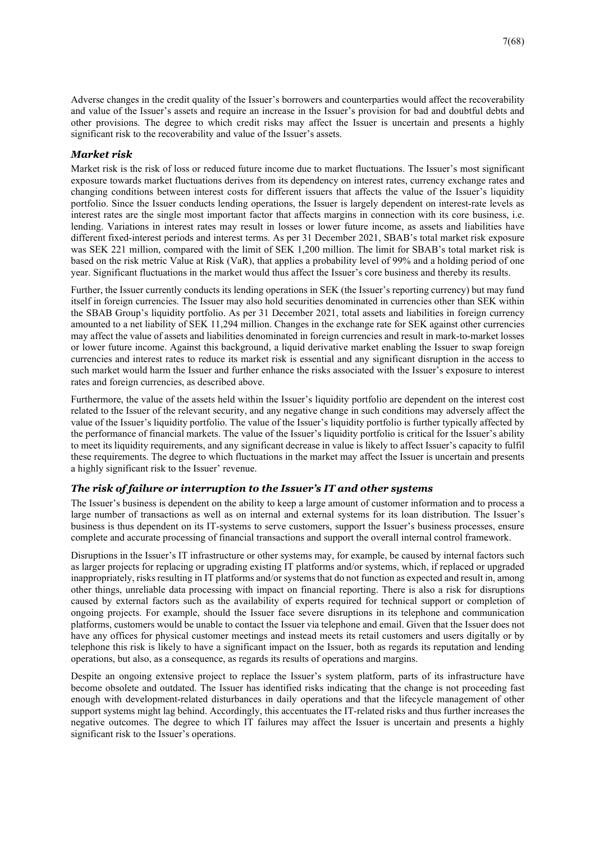Adverse changes in the credit quality of the Issuer's borrowers and counterparties would affect the recoverability and value of the Issuer's assets and require an increase in the Issuer's provision for bad and doubtful debts and other provisions. The degree to which credit risks may affect the Issuer is uncertain and presents a highly significant risk to the recoverability and value of the Issuer's assets.

#### *Market risk*

Market risk is the risk of loss or reduced future income due to market fluctuations. The Issuer's most significant exposure towards market fluctuations derives from its dependency on interest rates, currency exchange rates and changing conditions between interest costs for different issuers that affects the value of the Issuer's liquidity portfolio. Since the Issuer conducts lending operations, the Issuer is largely dependent on interest-rate levels as interest rates are the single most important factor that affects margins in connection with its core business, i.e. lending. Variations in interest rates may result in losses or lower future income, as assets and liabilities have different fixed-interest periods and interest terms. As per 31 December 2021, SBAB's total market risk exposure was SEK 221 million, compared with the limit of SEK 1,200 million. The limit for SBAB's total market risk is based on the risk metric Value at Risk (VaR), that applies a probability level of 99% and a holding period of one year. Significant fluctuations in the market would thus affect the Issuer's core business and thereby its results.

Further, the Issuer currently conducts its lending operations in SEK (the Issuer's reporting currency) but may fund itself in foreign currencies. The Issuer may also hold securities denominated in currencies other than SEK within the SBAB Group's liquidity portfolio. As per 31 December 2021, total assets and liabilities in foreign currency amounted to a net liability of SEK 11,294 million. Changes in the exchange rate for SEK against other currencies may affect the value of assets and liabilities denominated in foreign currencies and result in mark-to-market losses or lower future income. Against this background, a liquid derivative market enabling the Issuer to swap foreign currencies and interest rates to reduce its market risk is essential and any significant disruption in the access to such market would harm the Issuer and further enhance the risks associated with the Issuer's exposure to interest rates and foreign currencies, as described above.

Furthermore, the value of the assets held within the Issuer's liquidity portfolio are dependent on the interest cost related to the Issuer of the relevant security, and any negative change in such conditions may adversely affect the value of the Issuer's liquidity portfolio. The value of the Issuer's liquidity portfolio is further typically affected by the performance of financial markets. The value of the Issuer's liquidity portfolio is critical for the Issuer's ability to meet its liquidity requirements, and any significant decrease in value is likely to affect Issuer's capacity to fulfil these requirements. The degree to which fluctuations in the market may affect the Issuer is uncertain and presents a highly significant risk to the Issuer' revenue.

## *The risk of failure or interruption to the Issuer's IT and other systems*

The Issuer's business is dependent on the ability to keep a large amount of customer information and to process a large number of transactions as well as on internal and external systems for its loan distribution. The Issuer's business is thus dependent on its IT-systems to serve customers, support the Issuer's business processes, ensure complete and accurate processing of financial transactions and support the overall internal control framework.

Disruptions in the Issuer's IT infrastructure or other systems may, for example, be caused by internal factors such as larger projects for replacing or upgrading existing IT platforms and/or systems, which, if replaced or upgraded inappropriately, risks resulting in IT platforms and/or systems that do not function as expected and result in, among other things, unreliable data processing with impact on financial reporting. There is also a risk for disruptions caused by external factors such as the availability of experts required for technical support or completion of ongoing projects. For example, should the Issuer face severe disruptions in its telephone and communication platforms, customers would be unable to contact the Issuer via telephone and email. Given that the Issuer does not have any offices for physical customer meetings and instead meets its retail customers and users digitally or by telephone this risk is likely to have a significant impact on the Issuer, both as regards its reputation and lending operations, but also, as a consequence, as regards its results of operations and margins.

Despite an ongoing extensive project to replace the Issuer's system platform, parts of its infrastructure have become obsolete and outdated. The Issuer has identified risks indicating that the change is not proceeding fast enough with development-related disturbances in daily operations and that the lifecycle management of other support systems might lag behind. Accordingly, this accentuates the IT-related risks and thus further increases the negative outcomes. The degree to which IT failures may affect the Issuer is uncertain and presents a highly significant risk to the Issuer's operations.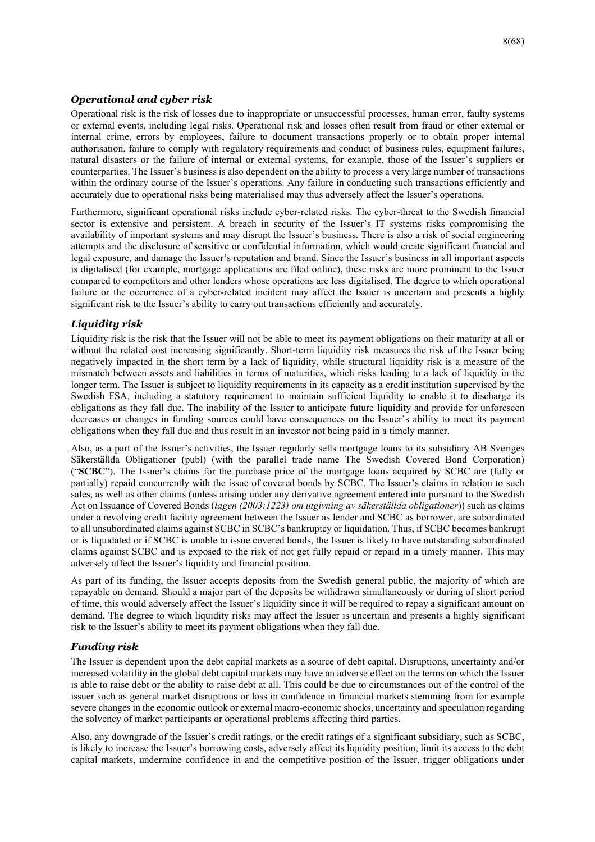# *Operational and cyber risk*

Operational risk is the risk of losses due to inappropriate or unsuccessful processes, human error, faulty systems or external events, including legal risks. Operational risk and losses often result from fraud or other external or internal crime, errors by employees, failure to document transactions properly or to obtain proper internal authorisation, failure to comply with regulatory requirements and conduct of business rules, equipment failures, natural disasters or the failure of internal or external systems, for example, those of the Issuer's suppliers or counterparties. The Issuer's business is also dependent on the ability to process a very large number of transactions within the ordinary course of the Issuer's operations. Any failure in conducting such transactions efficiently and accurately due to operational risks being materialised may thus adversely affect the Issuer's operations.

Furthermore, significant operational risks include cyber-related risks. The cyber-threat to the Swedish financial sector is extensive and persistent. A breach in security of the Issuer's IT systems risks compromising the availability of important systems and may disrupt the Issuer's business. There is also a risk of social engineering attempts and the disclosure of sensitive or confidential information, which would create significant financial and legal exposure, and damage the Issuer's reputation and brand. Since the Issuer's business in all important aspects is digitalised (for example, mortgage applications are filed online), these risks are more prominent to the Issuer compared to competitors and other lenders whose operations are less digitalised. The degree to which operational failure or the occurrence of a cyber-related incident may affect the Issuer is uncertain and presents a highly significant risk to the Issuer's ability to carry out transactions efficiently and accurately.

## *Liquidity risk*

Liquidity risk is the risk that the Issuer will not be able to meet its payment obligations on their maturity at all or without the related cost increasing significantly. Short-term liquidity risk measures the risk of the Issuer being negatively impacted in the short term by a lack of liquidity, while structural liquidity risk is a measure of the mismatch between assets and liabilities in terms of maturities, which risks leading to a lack of liquidity in the longer term. The Issuer is subject to liquidity requirements in its capacity as a credit institution supervised by the Swedish FSA, including a statutory requirement to maintain sufficient liquidity to enable it to discharge its obligations as they fall due. The inability of the Issuer to anticipate future liquidity and provide for unforeseen decreases or changes in funding sources could have consequences on the Issuer's ability to meet its payment obligations when they fall due and thus result in an investor not being paid in a timely manner.

Also, as a part of the Issuer's activities, the Issuer regularly sells mortgage loans to its subsidiary AB Sveriges Säkerställda Obligationer (publ) (with the parallel trade name The Swedish Covered Bond Corporation) ("**SCBC**"). The Issuer's claims for the purchase price of the mortgage loans acquired by SCBC are (fully or partially) repaid concurrently with the issue of covered bonds by SCBC. The Issuer's claims in relation to such sales, as well as other claims (unless arising under any derivative agreement entered into pursuant to the Swedish Act on Issuance of Covered Bonds (*lagen (2003:1223) om utgivning av säkerställda obligationer*)) such as claims under a revolving credit facility agreement between the Issuer as lender and SCBC as borrower, are subordinated to all unsubordinated claims against SCBC in SCBC's bankruptcy or liquidation. Thus, if SCBC becomes bankrupt or is liquidated or if SCBC is unable to issue covered bonds, the Issuer is likely to have outstanding subordinated claims against SCBC and is exposed to the risk of not get fully repaid or repaid in a timely manner. This may adversely affect the Issuer's liquidity and financial position.

As part of its funding, the Issuer accepts deposits from the Swedish general public, the majority of which are repayable on demand. Should a major part of the deposits be withdrawn simultaneously or during of short period of time, this would adversely affect the Issuer's liquidity since it will be required to repay a significant amount on demand. The degree to which liquidity risks may affect the Issuer is uncertain and presents a highly significant risk to the Issuer's ability to meet its payment obligations when they fall due.

## *Funding risk*

The Issuer is dependent upon the debt capital markets as a source of debt capital. Disruptions, uncertainty and/or increased volatility in the global debt capital markets may have an adverse effect on the terms on which the Issuer is able to raise debt or the ability to raise debt at all. This could be due to circumstances out of the control of the issuer such as general market disruptions or loss in confidence in financial markets stemming from for example severe changes in the economic outlook or external macro-economic shocks, uncertainty and speculation regarding the solvency of market participants or operational problems affecting third parties.

Also, any downgrade of the Issuer's credit ratings, or the credit ratings of a significant subsidiary, such as SCBC, is likely to increase the Issuer's borrowing costs, adversely affect its liquidity position, limit its access to the debt capital markets, undermine confidence in and the competitive position of the Issuer, trigger obligations under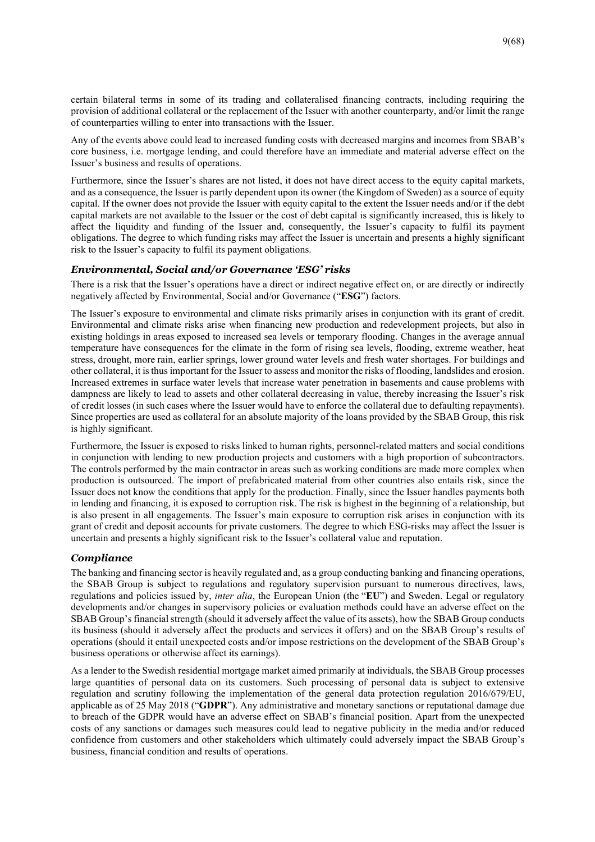certain bilateral terms in some of its trading and collateralised financing contracts, including requiring the provision of additional collateral or the replacement of the Issuer with another counterparty, and/or limit the range of counterparties willing to enter into transactions with the Issuer.

Any of the events above could lead to increased funding costs with decreased margins and incomes from SBAB's core business, i.e. mortgage lending, and could therefore have an immediate and material adverse effect on the Issuer's business and results of operations.

Furthermore, since the Issuer's shares are not listed, it does not have direct access to the equity capital markets, and as a consequence, the Issuer is partly dependent upon its owner (the Kingdom of Sweden) as a source of equity capital. If the owner does not provide the Issuer with equity capital to the extent the Issuer needs and/or if the debt capital markets are not available to the Issuer or the cost of debt capital is significantly increased, this is likely to affect the liquidity and funding of the Issuer and, consequently, the Issuer's capacity to fulfil its payment obligations. The degree to which funding risks may affect the Issuer is uncertain and presents a highly significant risk to the Issuer's capacity to fulfil its payment obligations.

#### *Environmental, Social and/or Governance 'ESG' risks*

There is a risk that the Issuer's operations have a direct or indirect negative effect on, or are directly or indirectly negatively affected by Environmental, Social and/or Governance ("**ESG**") factors.

The Issuer's exposure to environmental and climate risks primarily arises in conjunction with its grant of credit. Environmental and climate risks arise when financing new production and redevelopment projects, but also in existing holdings in areas exposed to increased sea levels or temporary flooding. Changes in the average annual temperature have consequences for the climate in the form of rising sea levels, flooding, extreme weather, heat stress, drought, more rain, earlier springs, lower ground water levels and fresh water shortages. For buildings and other collateral, it is thus important for the Issuer to assess and monitor the risks of flooding, landslides and erosion. Increased extremes in surface water levels that increase water penetration in basements and cause problems with dampness are likely to lead to assets and other collateral decreasing in value, thereby increasing the Issuer's risk of credit losses (in such cases where the Issuer would have to enforce the collateral due to defaulting repayments). Since properties are used as collateral for an absolute majority of the loans provided by the SBAB Group, this risk is highly significant.

Furthermore, the Issuer is exposed to risks linked to human rights, personnel-related matters and social conditions in conjunction with lending to new production projects and customers with a high proportion of subcontractors. The controls performed by the main contractor in areas such as working conditions are made more complex when production is outsourced. The import of prefabricated material from other countries also entails risk, since the Issuer does not know the conditions that apply for the production. Finally, since the Issuer handles payments both in lending and financing, it is exposed to corruption risk. The risk is highest in the beginning of a relationship, but is also present in all engagements. The Issuer's main exposure to corruption risk arises in conjunction with its grant of credit and deposit accounts for private customers. The degree to which ESG-risks may affect the Issuer is uncertain and presents a highly significant risk to the Issuer's collateral value and reputation.

## *Compliance*

The banking and financing sector is heavily regulated and, as a group conducting banking and financing operations, the SBAB Group is subject to regulations and regulatory supervision pursuant to numerous directives, laws, regulations and policies issued by, *inter alia*, the European Union (the "**EU**") and Sweden. Legal or regulatory developments and/or changes in supervisory policies or evaluation methods could have an adverse effect on the SBAB Group's financial strength (should it adversely affect the value of its assets), how the SBAB Group conducts its business (should it adversely affect the products and services it offers) and on the SBAB Group's results of operations (should it entail unexpected costs and/or impose restrictions on the development of the SBAB Group's business operations or otherwise affect its earnings).

As a lender to the Swedish residential mortgage market aimed primarily at individuals, the SBAB Group processes large quantities of personal data on its customers. Such processing of personal data is subject to extensive regulation and scrutiny following the implementation of the general data protection regulation 2016/679/EU, applicable as of 25 May 2018 ("**GDPR**"). Any administrative and monetary sanctions or reputational damage due to breach of the GDPR would have an adverse effect on SBAB's financial position. Apart from the unexpected costs of any sanctions or damages such measures could lead to negative publicity in the media and/or reduced confidence from customers and other stakeholders which ultimately could adversely impact the SBAB Group's business, financial condition and results of operations.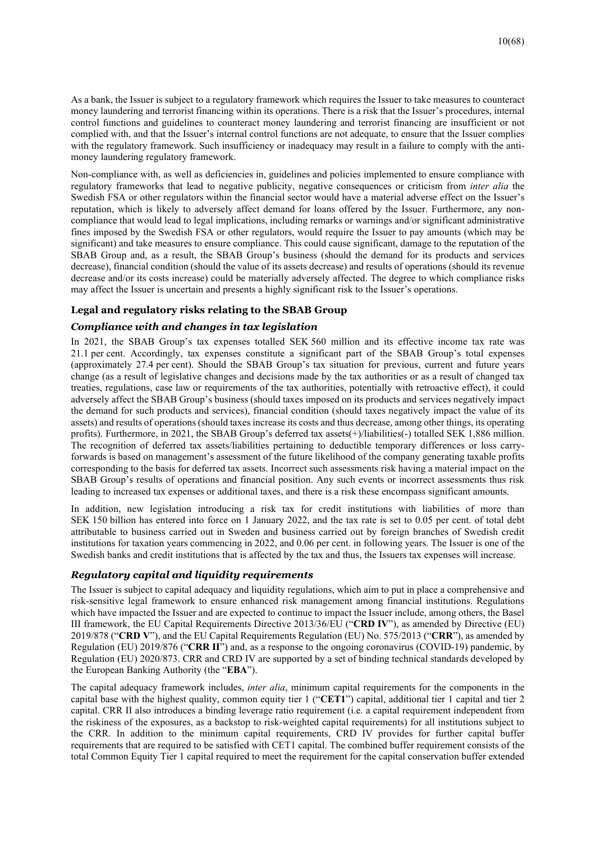As a bank, the Issuer is subject to a regulatory framework which requires the Issuer to take measures to counteract money laundering and terrorist financing within its operations. There is a risk that the Issuer's procedures, internal control functions and guidelines to counteract money laundering and terrorist financing are insufficient or not complied with, and that the Issuer's internal control functions are not adequate, to ensure that the Issuer complies with the regulatory framework. Such insufficiency or inadequacy may result in a failure to comply with the antimoney laundering regulatory framework.

Non-compliance with, as well as deficiencies in, guidelines and policies implemented to ensure compliance with regulatory frameworks that lead to negative publicity, negative consequences or criticism from *inter alia* the Swedish FSA or other regulators within the financial sector would have a material adverse effect on the Issuer's reputation, which is likely to adversely affect demand for loans offered by the Issuer. Furthermore, any noncompliance that would lead to legal implications, including remarks or warnings and/or significant administrative fines imposed by the Swedish FSA or other regulators, would require the Issuer to pay amounts (which may be significant) and take measures to ensure compliance. This could cause significant, damage to the reputation of the SBAB Group and, as a result, the SBAB Group's business (should the demand for its products and services decrease), financial condition (should the value of its assets decrease) and results of operations (should its revenue decrease and/or its costs increase) could be materially adversely affected. The degree to which compliance risks may affect the Issuer is uncertain and presents a highly significant risk to the Issuer's operations.

#### **Legal and regulatory risks relating to the SBAB Group**

#### *Compliance with and changes in tax legislation*

In 2021, the SBAB Group's tax expenses totalled SEK 560 million and its effective income tax rate was 21.1 per cent. Accordingly, tax expenses constitute a significant part of the SBAB Group's total expenses (approximately 27.4 per cent). Should the SBAB Group's tax situation for previous, current and future years change (as a result of legislative changes and decisions made by the tax authorities or as a result of changed tax treaties, regulations, case law or requirements of the tax authorities, potentially with retroactive effect), it could adversely affect the SBAB Group's business (should taxes imposed on its products and services negatively impact the demand for such products and services), financial condition (should taxes negatively impact the value of its assets) and results of operations (should taxes increase its costs and thus decrease, among other things, its operating profits). Furthermore, in 2021, the SBAB Group's deferred tax assets(+)/liabilities(-) totalled SEK 1,886 million. The recognition of deferred tax assets/liabilities pertaining to deductible temporary differences or loss carryforwards is based on management's assessment of the future likelihood of the company generating taxable profits corresponding to the basis for deferred tax assets. Incorrect such assessments risk having a material impact on the SBAB Group's results of operations and financial position. Any such events or incorrect assessments thus risk leading to increased tax expenses or additional taxes, and there is a risk these encompass significant amounts.

In addition, new legislation introducing a risk tax for credit institutions with liabilities of more than SEK 150 billion has entered into force on 1 January 2022, and the tax rate is set to 0.05 per cent. of total debt attributable to business carried out in Sweden and business carried out by foreign branches of Swedish credit institutions for taxation years commencing in 2022, and 0.06 per cent. in following years. The Issuer is one of the Swedish banks and credit institutions that is affected by the tax and thus, the Issuers tax expenses will increase.

#### *Regulatory capital and liquidity requirements*

The Issuer is subject to capital adequacy and liquidity regulations, which aim to put in place a comprehensive and risk-sensitive legal framework to ensure enhanced risk management among financial institutions. Regulations which have impacted the Issuer and are expected to continue to impact the Issuer include, among others, the Basel III framework, the EU Capital Requirements Directive 2013/36/EU ("**CRD IV**"), as amended by Directive (EU) 2019/878 ("**CRD V**"), and the EU Capital Requirements Regulation (EU) No. 575/2013 ("**CRR**"), as amended by Regulation (EU) 2019/876 ("**CRR II**") and, as a response to the ongoing coronavirus (COVID-19) pandemic, by Regulation (EU) 2020/873. CRR and CRD IV are supported by a set of binding technical standards developed by the European Banking Authority (the "**EBA**").

The capital adequacy framework includes, *inter alia*, minimum capital requirements for the components in the capital base with the highest quality, common equity tier 1 ("**CET1**") capital, additional tier 1 capital and tier 2 capital. CRR II also introduces a binding leverage ratio requirement (i.e. a capital requirement independent from the riskiness of the exposures, as a backstop to risk-weighted capital requirements) for all institutions subject to the CRR. In addition to the minimum capital requirements, CRD IV provides for further capital buffer requirements that are required to be satisfied with CET1 capital. The combined buffer requirement consists of the total Common Equity Tier 1 capital required to meet the requirement for the capital conservation buffer extended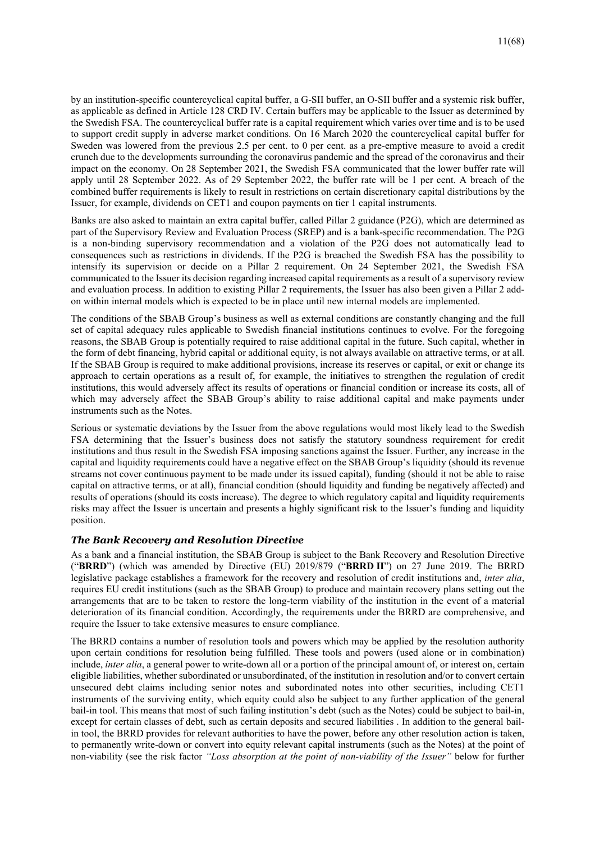by an institution-specific countercyclical capital buffer, a G-SII buffer, an O-SII buffer and a systemic risk buffer, as applicable as defined in Article 128 CRD IV. Certain buffers may be applicable to the Issuer as determined by the Swedish FSA. The countercyclical buffer rate is a capital requirement which varies over time and is to be used to support credit supply in adverse market conditions. On 16 March 2020 the countercyclical capital buffer for Sweden was lowered from the previous 2.5 per cent. to 0 per cent. as a pre-emptive measure to avoid a credit crunch due to the developments surrounding the coronavirus pandemic and the spread of the coronavirus and their impact on the economy. On 28 September 2021, the Swedish FSA communicated that the lower buffer rate will apply until 28 September 2022. As of 29 September 2022, the buffer rate will be 1 per cent. A breach of the combined buffer requirements is likely to result in restrictions on certain discretionary capital distributions by the Issuer, for example, dividends on CET1 and coupon payments on tier 1 capital instruments.

Banks are also asked to maintain an extra capital buffer, called Pillar 2 guidance (P2G), which are determined as part of the Supervisory Review and Evaluation Process (SREP) and is a bank-specific recommendation. The P2G is a non-binding supervisory recommendation and a violation of the P2G does not automatically lead to consequences such as restrictions in dividends. If the P2G is breached the Swedish FSA has the possibility to intensify its supervision or decide on a Pillar 2 requirement. On 24 September 2021, the Swedish FSA communicated to the Issuer its decision regarding increased capital requirements as a result of a supervisory review and evaluation process. In addition to existing Pillar 2 requirements, the Issuer has also been given a Pillar 2 addon within internal models which is expected to be in place until new internal models are implemented.

The conditions of the SBAB Group's business as well as external conditions are constantly changing and the full set of capital adequacy rules applicable to Swedish financial institutions continues to evolve. For the foregoing reasons, the SBAB Group is potentially required to raise additional capital in the future. Such capital, whether in the form of debt financing, hybrid capital or additional equity, is not always available on attractive terms, or at all. If the SBAB Group is required to make additional provisions, increase its reserves or capital, or exit or change its approach to certain operations as a result of, for example, the initiatives to strengthen the regulation of credit institutions, this would adversely affect its results of operations or financial condition or increase its costs, all of which may adversely affect the SBAB Group's ability to raise additional capital and make payments under instruments such as the Notes.

Serious or systematic deviations by the Issuer from the above regulations would most likely lead to the Swedish FSA determining that the Issuer's business does not satisfy the statutory soundness requirement for credit institutions and thus result in the Swedish FSA imposing sanctions against the Issuer. Further, any increase in the capital and liquidity requirements could have a negative effect on the SBAB Group's liquidity (should its revenue streams not cover continuous payment to be made under its issued capital), funding (should it not be able to raise capital on attractive terms, or at all), financial condition (should liquidity and funding be negatively affected) and results of operations (should its costs increase). The degree to which regulatory capital and liquidity requirements risks may affect the Issuer is uncertain and presents a highly significant risk to the Issuer's funding and liquidity position.

#### *The Bank Recovery and Resolution Directive*

As a bank and a financial institution, the SBAB Group is subject to the Bank Recovery and Resolution Directive ("**BRRD**") (which was amended by Directive (EU) 2019/879 ("**BRRD II**") on 27 June 2019. The BRRD legislative package establishes a framework for the recovery and resolution of credit institutions and, *inter alia*, requires EU credit institutions (such as the SBAB Group) to produce and maintain recovery plans setting out the arrangements that are to be taken to restore the long-term viability of the institution in the event of a material deterioration of its financial condition. Accordingly, the requirements under the BRRD are comprehensive, and require the Issuer to take extensive measures to ensure compliance.

The BRRD contains a number of resolution tools and powers which may be applied by the resolution authority upon certain conditions for resolution being fulfilled. These tools and powers (used alone or in combination) include, *inter alia*, a general power to write-down all or a portion of the principal amount of, or interest on, certain eligible liabilities, whether subordinated or unsubordinated, of the institution in resolution and/or to convert certain unsecured debt claims including senior notes and subordinated notes into other securities, including CET1 instruments of the surviving entity, which equity could also be subject to any further application of the general bail-in tool. This means that most of such failing institution's debt (such as the Notes) could be subject to bail-in, except for certain classes of debt, such as certain deposits and secured liabilities . In addition to the general bailin tool, the BRRD provides for relevant authorities to have the power, before any other resolution action is taken, to permanently write-down or convert into equity relevant capital instruments (such as the Notes) at the point of non-viability (see the risk factor *"Loss absorption at the point of non-viability of the Issuer"* below for further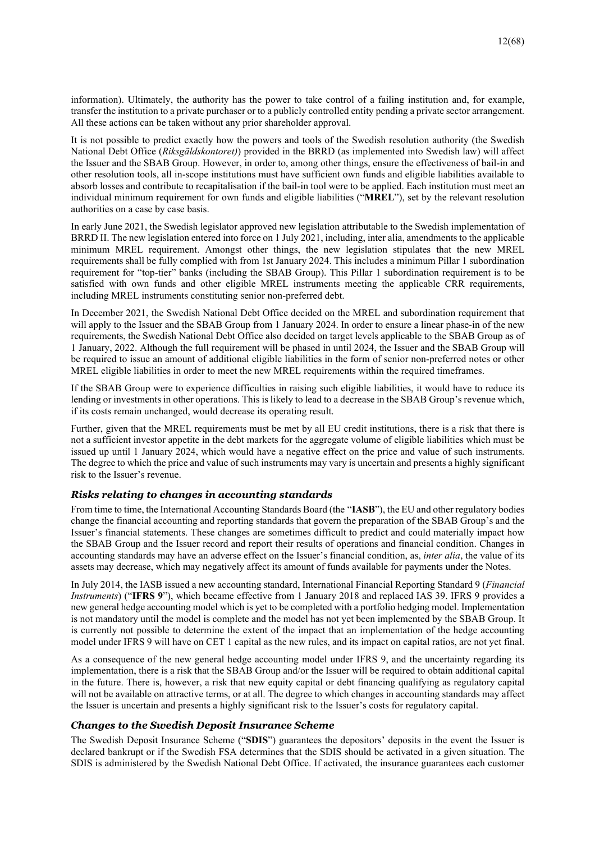information). Ultimately, the authority has the power to take control of a failing institution and, for example, transfer the institution to a private purchaser or to a publicly controlled entity pending a private sector arrangement. All these actions can be taken without any prior shareholder approval.

It is not possible to predict exactly how the powers and tools of the Swedish resolution authority (the Swedish National Debt Office (*Riksgäldskontoret)*) provided in the BRRD (as implemented into Swedish law) will affect the Issuer and the SBAB Group. However, in order to, among other things, ensure the effectiveness of bail-in and other resolution tools, all in-scope institutions must have sufficient own funds and eligible liabilities available to absorb losses and contribute to recapitalisation if the bail-in tool were to be applied. Each institution must meet an individual minimum requirement for own funds and eligible liabilities ("**MREL**"), set by the relevant resolution authorities on a case by case basis.

In early June 2021, the Swedish legislator approved new legislation attributable to the Swedish implementation of BRRD II. The new legislation entered into force on 1 July 2021, including, inter alia, amendments to the applicable minimum MREL requirement. Amongst other things, the new legislation stipulates that the new MREL requirements shall be fully complied with from 1st January 2024. This includes a minimum Pillar 1 subordination requirement for "top-tier" banks (including the SBAB Group). This Pillar 1 subordination requirement is to be satisfied with own funds and other eligible MREL instruments meeting the applicable CRR requirements, including MREL instruments constituting senior non-preferred debt.

In December 2021, the Swedish National Debt Office decided on the MREL and subordination requirement that will apply to the Issuer and the SBAB Group from 1 January 2024. In order to ensure a linear phase-in of the new requirements, the Swedish National Debt Office also decided on target levels applicable to the SBAB Group as of 1 January, 2022. Although the full requirement will be phased in until 2024, the Issuer and the SBAB Group will be required to issue an amount of additional eligible liabilities in the form of senior non-preferred notes or other MREL eligible liabilities in order to meet the new MREL requirements within the required timeframes.

If the SBAB Group were to experience difficulties in raising such eligible liabilities, it would have to reduce its lending or investments in other operations. This is likely to lead to a decrease in the SBAB Group's revenue which, if its costs remain unchanged, would decrease its operating result.

Further, given that the MREL requirements must be met by all EU credit institutions, there is a risk that there is not a sufficient investor appetite in the debt markets for the aggregate volume of eligible liabilities which must be issued up until 1 January 2024, which would have a negative effect on the price and value of such instruments. The degree to which the price and value of such instruments may vary is uncertain and presents a highly significant risk to the Issuer's revenue.

#### *Risks relating to changes in accounting standards*

From time to time, the International Accounting Standards Board (the "**IASB**"), the EU and other regulatory bodies change the financial accounting and reporting standards that govern the preparation of the SBAB Group's and the Issuer's financial statements. These changes are sometimes difficult to predict and could materially impact how the SBAB Group and the Issuer record and report their results of operations and financial condition. Changes in accounting standards may have an adverse effect on the Issuer's financial condition, as, *inter alia*, the value of its assets may decrease, which may negatively affect its amount of funds available for payments under the Notes.

In July 2014, the IASB issued a new accounting standard, International Financial Reporting Standard 9 (*Financial Instruments*) ("**IFRS 9**"), which became effective from 1 January 2018 and replaced IAS 39. IFRS 9 provides a new general hedge accounting model which is yet to be completed with a portfolio hedging model. Implementation is not mandatory until the model is complete and the model has not yet been implemented by the SBAB Group. It is currently not possible to determine the extent of the impact that an implementation of the hedge accounting model under IFRS 9 will have on CET 1 capital as the new rules, and its impact on capital ratios, are not yet final.

As a consequence of the new general hedge accounting model under IFRS 9, and the uncertainty regarding its implementation, there is a risk that the SBAB Group and/or the Issuer will be required to obtain additional capital in the future. There is, however, a risk that new equity capital or debt financing qualifying as regulatory capital will not be available on attractive terms, or at all. The degree to which changes in accounting standards may affect the Issuer is uncertain and presents a highly significant risk to the Issuer's costs for regulatory capital.

#### *Changes to the Swedish Deposit Insurance Scheme*

The Swedish Deposit Insurance Scheme ("**SDIS**") guarantees the depositors' deposits in the event the Issuer is declared bankrupt or if the Swedish FSA determines that the SDIS should be activated in a given situation. The SDIS is administered by the Swedish National Debt Office. If activated, the insurance guarantees each customer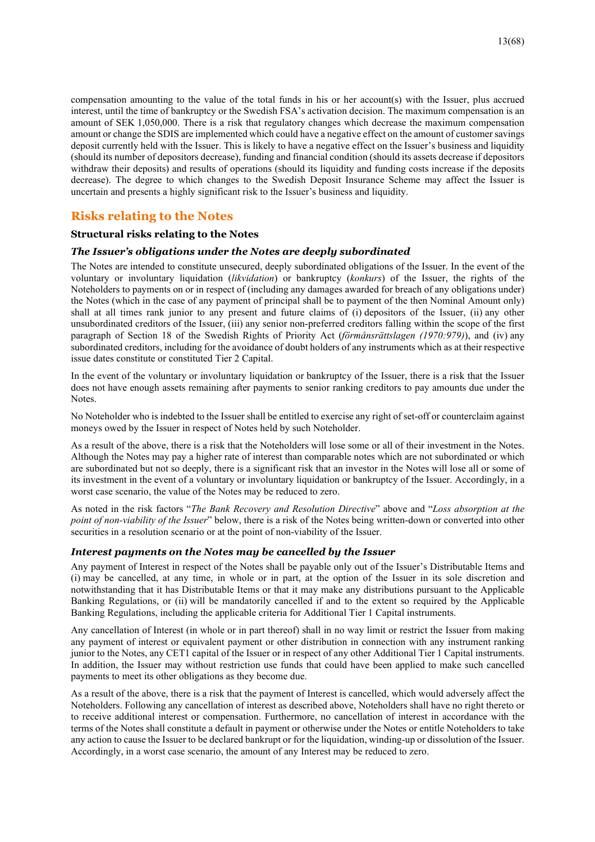compensation amounting to the value of the total funds in his or her account(s) with the Issuer, plus accrued interest, until the time of bankruptcy or the Swedish FSA's activation decision. The maximum compensation is an amount of SEK 1,050,000. There is a risk that regulatory changes which decrease the maximum compensation amount or change the SDIS are implemented which could have a negative effect on the amount of customer savings deposit currently held with the Issuer. This is likely to have a negative effect on the Issuer's business and liquidity (should its number of depositors decrease), funding and financial condition (should its assets decrease if depositors withdraw their deposits) and results of operations (should its liquidity and funding costs increase if the deposits decrease). The degree to which changes to the Swedish Deposit Insurance Scheme may affect the Issuer is uncertain and presents a highly significant risk to the Issuer's business and liquidity.

# **Risks relating to the Notes**

#### **Structural risks relating to the Notes**

#### *The Issuer's obligations under the Notes are deeply subordinated*

The Notes are intended to constitute unsecured, deeply subordinated obligations of the Issuer. In the event of the voluntary or involuntary liquidation (*likvidation*) or bankruptcy (*konkurs*) of the Issuer, the rights of the Noteholders to payments on or in respect of (including any damages awarded for breach of any obligations under) the Notes (which in the case of any payment of principal shall be to payment of the then Nominal Amount only) shall at all times rank junior to any present and future claims of (i) depositors of the Issuer, (ii) any other unsubordinated creditors of the Issuer, (iii) any senior non-preferred creditors falling within the scope of the first paragraph of Section 18 of the Swedish Rights of Priority Act (*förmånsrättslagen (1970:979)*), and (iv) any subordinated creditors, including for the avoidance of doubt holders of any instruments which as at their respective issue dates constitute or constituted Tier 2 Capital.

In the event of the voluntary or involuntary liquidation or bankruptcy of the Issuer, there is a risk that the Issuer does not have enough assets remaining after payments to senior ranking creditors to pay amounts due under the Notes.

No Noteholder who is indebted to the Issuer shall be entitled to exercise any right of set-off or counterclaim against moneys owed by the Issuer in respect of Notes held by such Noteholder.

As a result of the above, there is a risk that the Noteholders will lose some or all of their investment in the Notes. Although the Notes may pay a higher rate of interest than comparable notes which are not subordinated or which are subordinated but not so deeply, there is a significant risk that an investor in the Notes will lose all or some of its investment in the event of a voluntary or involuntary liquidation or bankruptcy of the Issuer. Accordingly, in a worst case scenario, the value of the Notes may be reduced to zero.

As noted in the risk factors "*The Bank Recovery and Resolution Directive*" above and "*Loss absorption at the point of non-viability of the Issuer*" below, there is a risk of the Notes being written-down or converted into other securities in a resolution scenario or at the point of non-viability of the Issuer.

#### *Interest payments on the Notes may be cancelled by the Issuer*

Any payment of Interest in respect of the Notes shall be payable only out of the Issuer's Distributable Items and (i) may be cancelled, at any time, in whole or in part, at the option of the Issuer in its sole discretion and notwithstanding that it has Distributable Items or that it may make any distributions pursuant to the Applicable Banking Regulations, or (ii) will be mandatorily cancelled if and to the extent so required by the Applicable Banking Regulations, including the applicable criteria for Additional Tier 1 Capital instruments.

Any cancellation of Interest (in whole or in part thereof) shall in no way limit or restrict the Issuer from making any payment of interest or equivalent payment or other distribution in connection with any instrument ranking junior to the Notes, any CET1 capital of the Issuer or in respect of any other Additional Tier 1 Capital instruments. In addition, the Issuer may without restriction use funds that could have been applied to make such cancelled payments to meet its other obligations as they become due.

As a result of the above, there is a risk that the payment of Interest is cancelled, which would adversely affect the Noteholders. Following any cancellation of interest as described above, Noteholders shall have no right thereto or to receive additional interest or compensation. Furthermore, no cancellation of interest in accordance with the terms of the Notes shall constitute a default in payment or otherwise under the Notes or entitle Noteholders to take any action to cause the Issuer to be declared bankrupt or for the liquidation, winding-up or dissolution of the Issuer. Accordingly, in a worst case scenario, the amount of any Interest may be reduced to zero.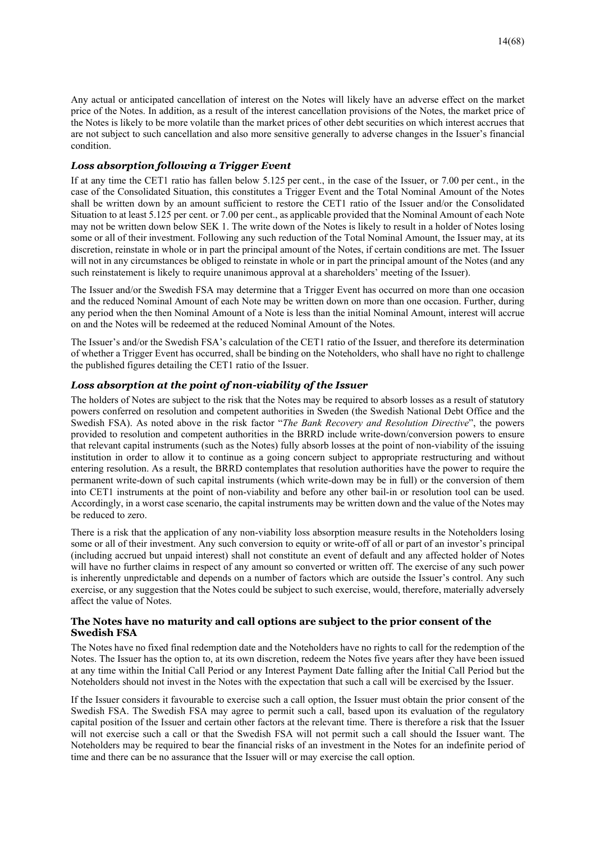Any actual or anticipated cancellation of interest on the Notes will likely have an adverse effect on the market price of the Notes. In addition, as a result of the interest cancellation provisions of the Notes, the market price of the Notes is likely to be more volatile than the market prices of other debt securities on which interest accrues that are not subject to such cancellation and also more sensitive generally to adverse changes in the Issuer's financial condition.

#### *Loss absorption following a Trigger Event*

If at any time the CET1 ratio has fallen below 5.125 per cent., in the case of the Issuer, or 7.00 per cent., in the case of the Consolidated Situation, this constitutes a Trigger Event and the Total Nominal Amount of the Notes shall be written down by an amount sufficient to restore the CET1 ratio of the Issuer and/or the Consolidated Situation to at least 5.125 per cent. or 7.00 per cent., as applicable provided that the Nominal Amount of each Note may not be written down below SEK 1. The write down of the Notes is likely to result in a holder of Notes losing some or all of their investment. Following any such reduction of the Total Nominal Amount, the Issuer may, at its discretion, reinstate in whole or in part the principal amount of the Notes, if certain conditions are met. The Issuer will not in any circumstances be obliged to reinstate in whole or in part the principal amount of the Notes (and any such reinstatement is likely to require unanimous approval at a shareholders' meeting of the Issuer).

The Issuer and/or the Swedish FSA may determine that a Trigger Event has occurred on more than one occasion and the reduced Nominal Amount of each Note may be written down on more than one occasion. Further, during any period when the then Nominal Amount of a Note is less than the initial Nominal Amount, interest will accrue on and the Notes will be redeemed at the reduced Nominal Amount of the Notes.

The Issuer's and/or the Swedish FSA's calculation of the CET1 ratio of the Issuer, and therefore its determination of whether a Trigger Event has occurred, shall be binding on the Noteholders, who shall have no right to challenge the published figures detailing the CET1 ratio of the Issuer.

#### *Loss absorption at the point of non-viability of the Issuer*

The holders of Notes are subject to the risk that the Notes may be required to absorb losses as a result of statutory powers conferred on resolution and competent authorities in Sweden (the Swedish National Debt Office and the Swedish FSA). As noted above in the risk factor "*The Bank Recovery and Resolution Directive*", the powers provided to resolution and competent authorities in the BRRD include write-down/conversion powers to ensure that relevant capital instruments (such as the Notes) fully absorb losses at the point of non-viability of the issuing institution in order to allow it to continue as a going concern subject to appropriate restructuring and without entering resolution. As a result, the BRRD contemplates that resolution authorities have the power to require the permanent write-down of such capital instruments (which write-down may be in full) or the conversion of them into CET1 instruments at the point of non-viability and before any other bail-in or resolution tool can be used. Accordingly, in a worst case scenario, the capital instruments may be written down and the value of the Notes may be reduced to zero.

There is a risk that the application of any non-viability loss absorption measure results in the Noteholders losing some or all of their investment. Any such conversion to equity or write-off of all or part of an investor's principal (including accrued but unpaid interest) shall not constitute an event of default and any affected holder of Notes will have no further claims in respect of any amount so converted or written off. The exercise of any such power is inherently unpredictable and depends on a number of factors which are outside the Issuer's control. Any such exercise, or any suggestion that the Notes could be subject to such exercise, would, therefore, materially adversely affect the value of Notes.

#### **The Notes have no maturity and call options are subject to the prior consent of the Swedish FSA**

The Notes have no fixed final redemption date and the Noteholders have no rights to call for the redemption of the Notes. The Issuer has the option to, at its own discretion, redeem the Notes five years after they have been issued at any time within the Initial Call Period or any Interest Payment Date falling after the Initial Call Period but the Noteholders should not invest in the Notes with the expectation that such a call will be exercised by the Issuer.

If the Issuer considers it favourable to exercise such a call option, the Issuer must obtain the prior consent of the Swedish FSA. The Swedish FSA may agree to permit such a call, based upon its evaluation of the regulatory capital position of the Issuer and certain other factors at the relevant time. There is therefore a risk that the Issuer will not exercise such a call or that the Swedish FSA will not permit such a call should the Issuer want. The Noteholders may be required to bear the financial risks of an investment in the Notes for an indefinite period of time and there can be no assurance that the Issuer will or may exercise the call option.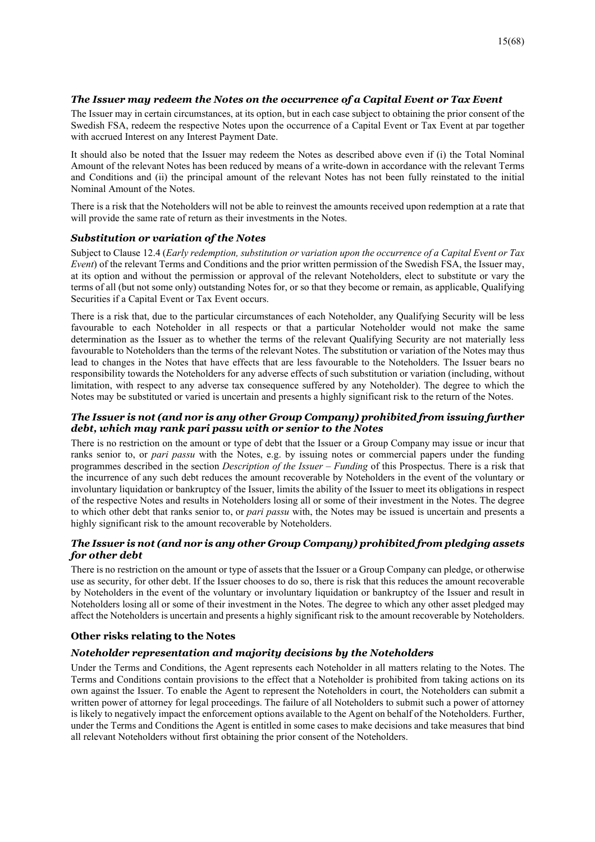#### *The Issuer may redeem the Notes on the occurrence of a Capital Event or Tax Event*

The Issuer may in certain circumstances, at its option, but in each case subject to obtaining the prior consent of the Swedish FSA, redeem the respective Notes upon the occurrence of a Capital Event or Tax Event at par together with accrued Interest on any Interest Payment Date.

It should also be noted that the Issuer may redeem the Notes as described above even if (i) the Total Nominal Amount of the relevant Notes has been reduced by means of a write-down in accordance with the relevant Terms and Conditions and (ii) the principal amount of the relevant Notes has not been fully reinstated to the initial Nominal Amount of the Notes.

There is a risk that the Noteholders will not be able to reinvest the amounts received upon redemption at a rate that will provide the same rate of return as their investments in the Notes.

#### *Substitution or variation of the Notes*

Subject to Clause 12.4 (*Early redemption, substitution or variation upon the occurrence of a Capital Event or Tax Event*) of the relevant Terms and Conditions and the prior written permission of the Swedish FSA, the Issuer may, at its option and without the permission or approval of the relevant Noteholders, elect to substitute or vary the terms of all (but not some only) outstanding Notes for, or so that they become or remain, as applicable, Qualifying Securities if a Capital Event or Tax Event occurs.

There is a risk that, due to the particular circumstances of each Noteholder, any Qualifying Security will be less favourable to each Noteholder in all respects or that a particular Noteholder would not make the same determination as the Issuer as to whether the terms of the relevant Qualifying Security are not materially less favourable to Noteholders than the terms of the relevant Notes. The substitution or variation of the Notes may thus lead to changes in the Notes that have effects that are less favourable to the Noteholders. The Issuer bears no responsibility towards the Noteholders for any adverse effects of such substitution or variation (including, without limitation, with respect to any adverse tax consequence suffered by any Noteholder). The degree to which the Notes may be substituted or varied is uncertain and presents a highly significant risk to the return of the Notes.

#### *The Issuer is not (and nor is any other Group Company) prohibited from issuing further debt, which may rank pari passu with or senior to the Notes*

There is no restriction on the amount or type of debt that the Issuer or a Group Company may issue or incur that ranks senior to, or *pari passu* with the Notes, e.g. by issuing notes or commercial papers under the funding programmes described in the section *Description of the Issuer – Funding* of this Prospectus. There is a risk that the incurrence of any such debt reduces the amount recoverable by Noteholders in the event of the voluntary or involuntary liquidation or bankruptcy of the Issuer, limits the ability of the Issuer to meet its obligations in respect of the respective Notes and results in Noteholders losing all or some of their investment in the Notes. The degree to which other debt that ranks senior to, or *pari passu* with, the Notes may be issued is uncertain and presents a highly significant risk to the amount recoverable by Noteholders.

## *The Issuer is not (and nor is any other Group Company) prohibited from pledging assets for other debt*

There is no restriction on the amount or type of assets that the Issuer or a Group Company can pledge, or otherwise use as security, for other debt. If the Issuer chooses to do so, there is risk that this reduces the amount recoverable by Noteholders in the event of the voluntary or involuntary liquidation or bankruptcy of the Issuer and result in Noteholders losing all or some of their investment in the Notes. The degree to which any other asset pledged may affect the Noteholders is uncertain and presents a highly significant risk to the amount recoverable by Noteholders.

#### **Other risks relating to the Notes**

#### *Noteholder representation and majority decisions by the Noteholders*

Under the Terms and Conditions, the Agent represents each Noteholder in all matters relating to the Notes. The Terms and Conditions contain provisions to the effect that a Noteholder is prohibited from taking actions on its own against the Issuer. To enable the Agent to represent the Noteholders in court, the Noteholders can submit a written power of attorney for legal proceedings. The failure of all Noteholders to submit such a power of attorney is likely to negatively impact the enforcement options available to the Agent on behalf of the Noteholders. Further, under the Terms and Conditions the Agent is entitled in some cases to make decisions and take measures that bind all relevant Noteholders without first obtaining the prior consent of the Noteholders.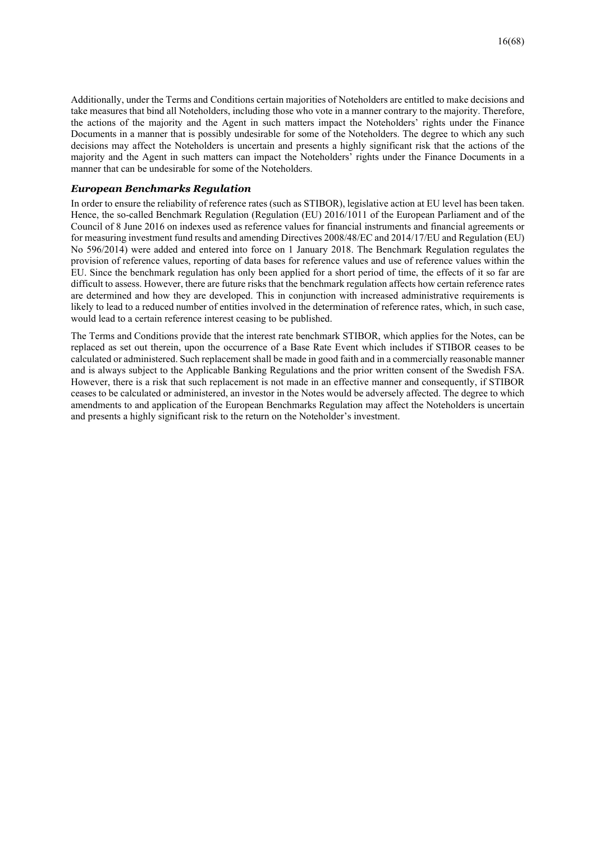Additionally, under the Terms and Conditions certain majorities of Noteholders are entitled to make decisions and take measures that bind all Noteholders, including those who vote in a manner contrary to the majority. Therefore, the actions of the majority and the Agent in such matters impact the Noteholders' rights under the Finance Documents in a manner that is possibly undesirable for some of the Noteholders. The degree to which any such decisions may affect the Noteholders is uncertain and presents a highly significant risk that the actions of the majority and the Agent in such matters can impact the Noteholders' rights under the Finance Documents in a manner that can be undesirable for some of the Noteholders.

#### *European Benchmarks Regulation*

In order to ensure the reliability of reference rates (such as STIBOR), legislative action at EU level has been taken. Hence, the so-called Benchmark Regulation (Regulation (EU) 2016/1011 of the European Parliament and of the Council of 8 June 2016 on indexes used as reference values for financial instruments and financial agreements or for measuring investment fund results and amending Directives 2008/48/EC and 2014/17/EU and Regulation (EU) No 596/2014) were added and entered into force on 1 January 2018. The Benchmark Regulation regulates the provision of reference values, reporting of data bases for reference values and use of reference values within the EU. Since the benchmark regulation has only been applied for a short period of time, the effects of it so far are difficult to assess. However, there are future risks that the benchmark regulation affects how certain reference rates are determined and how they are developed. This in conjunction with increased administrative requirements is likely to lead to a reduced number of entities involved in the determination of reference rates, which, in such case, would lead to a certain reference interest ceasing to be published.

The Terms and Conditions provide that the interest rate benchmark STIBOR, which applies for the Notes, can be replaced as set out therein, upon the occurrence of a Base Rate Event which includes if STIBOR ceases to be calculated or administered. Such replacement shall be made in good faith and in a commercially reasonable manner and is always subject to the Applicable Banking Regulations and the prior written consent of the Swedish FSA. However, there is a risk that such replacement is not made in an effective manner and consequently, if STIBOR ceases to be calculated or administered, an investor in the Notes would be adversely affected. The degree to which amendments to and application of the European Benchmarks Regulation may affect the Noteholders is uncertain and presents a highly significant risk to the return on the Noteholder's investment.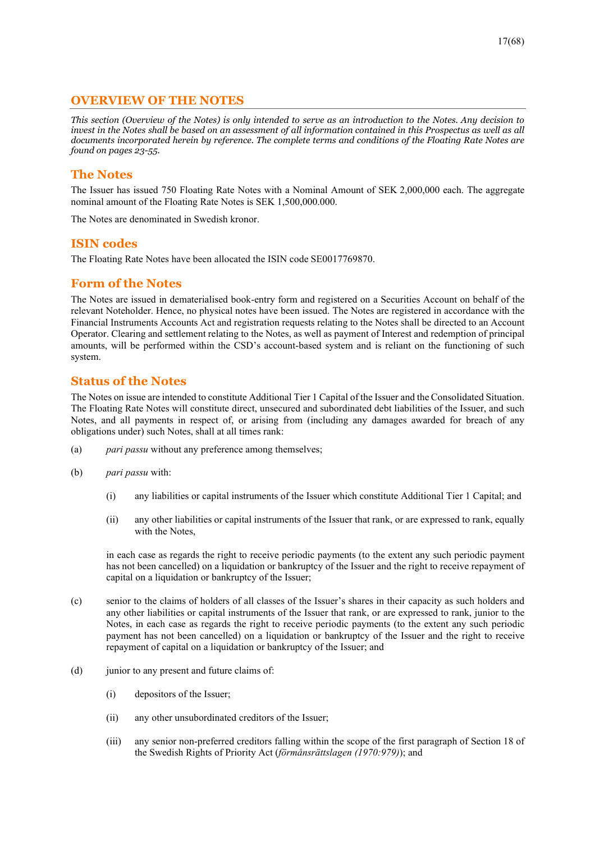# **OVERVIEW OF THE NOTES**

*This section (Overview of the Notes) is only intended to serve as an introduction to the Notes. Any decision to invest in the Notes shall be based on an assessment of all information contained in this Prospectus as well as all documents incorporated herein by reference. The complete terms and conditions of the Floating Rate Notes are found on pages 23-55.* 

# **The Notes**

The Issuer has issued 750 Floating Rate Notes with a Nominal Amount of SEK 2,000,000 each. The aggregate nominal amount of the Floating Rate Notes is SEK 1,500,000.000.

The Notes are denominated in Swedish kronor.

# **ISIN codes**

The Floating Rate Notes have been allocated the ISIN code SE0017769870.

# **Form of the Notes**

The Notes are issued in dematerialised book-entry form and registered on a Securities Account on behalf of the relevant Noteholder. Hence, no physical notes have been issued. The Notes are registered in accordance with the Financial Instruments Accounts Act and registration requests relating to the Notes shall be directed to an Account Operator. Clearing and settlement relating to the Notes, as well as payment of Interest and redemption of principal amounts, will be performed within the CSD's account-based system and is reliant on the functioning of such system.

# **Status of the Notes**

The Notes on issue are intended to constitute Additional Tier 1 Capital of the Issuer and the Consolidated Situation. The Floating Rate Notes will constitute direct, unsecured and subordinated debt liabilities of the Issuer, and such Notes, and all payments in respect of, or arising from (including any damages awarded for breach of any obligations under) such Notes, shall at all times rank:

- (a) *pari passu* without any preference among themselves;
- (b) *pari passu* with:
	- (i) any liabilities or capital instruments of the Issuer which constitute Additional Tier 1 Capital; and
	- (ii) any other liabilities or capital instruments of the Issuer that rank, or are expressed to rank, equally with the Notes,

 in each case as regards the right to receive periodic payments (to the extent any such periodic payment has not been cancelled) on a liquidation or bankruptcy of the Issuer and the right to receive repayment of capital on a liquidation or bankruptcy of the Issuer;

- (c) senior to the claims of holders of all classes of the Issuer's shares in their capacity as such holders and any other liabilities or capital instruments of the Issuer that rank, or are expressed to rank, junior to the Notes, in each case as regards the right to receive periodic payments (to the extent any such periodic payment has not been cancelled) on a liquidation or bankruptcy of the Issuer and the right to receive repayment of capital on a liquidation or bankruptcy of the Issuer; and
- (d) junior to any present and future claims of:
	- (i) depositors of the Issuer;
	- (ii) any other unsubordinated creditors of the Issuer;
	- (iii) any senior non-preferred creditors falling within the scope of the first paragraph of Section 18 of the Swedish Rights of Priority Act (*förmånsrättslagen (1970:979)*); and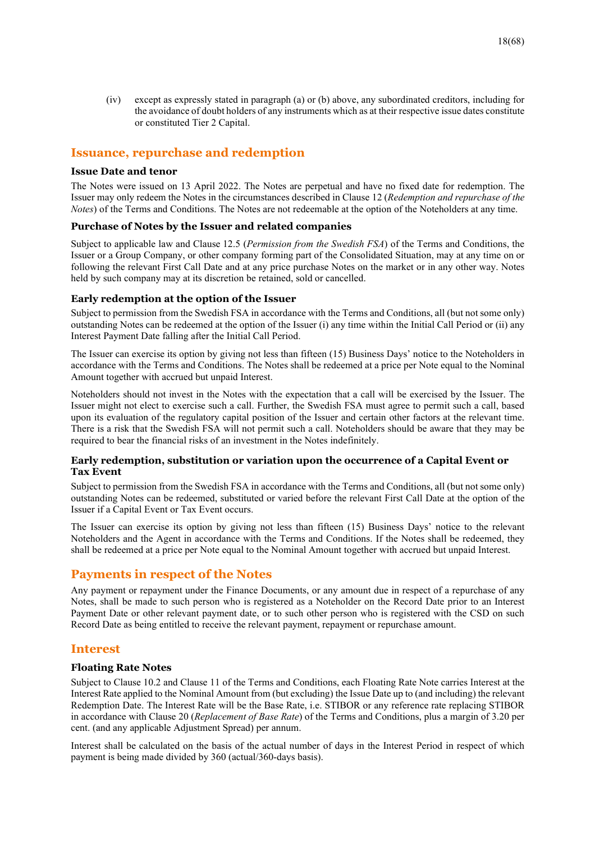(iv) except as expressly stated in paragraph (a) or (b) above, any subordinated creditors, including for the avoidance of doubt holders of any instruments which as at their respective issue dates constitute or constituted Tier 2 Capital.

# **Issuance, repurchase and redemption**

#### **Issue Date and tenor**

The Notes were issued on 13 April 2022. The Notes are perpetual and have no fixed date for redemption. The Issuer may only redeem the Notes in the circumstances described in Clause 12 (*Redemption and repurchase of the Notes*) of the Terms and Conditions. The Notes are not redeemable at the option of the Noteholders at any time.

#### **Purchase of Notes by the Issuer and related companies**

Subject to applicable law and Clause 12.5 (*Permission from the Swedish FSA*) of the Terms and Conditions, the Issuer or a Group Company, or other company forming part of the Consolidated Situation, may at any time on or following the relevant First Call Date and at any price purchase Notes on the market or in any other way. Notes held by such company may at its discretion be retained, sold or cancelled.

#### **Early redemption at the option of the Issuer**

Subject to permission from the Swedish FSA in accordance with the Terms and Conditions, all (but not some only) outstanding Notes can be redeemed at the option of the Issuer (i) any time within the Initial Call Period or (ii) any Interest Payment Date falling after the Initial Call Period.

The Issuer can exercise its option by giving not less than fifteen (15) Business Days' notice to the Noteholders in accordance with the Terms and Conditions. The Notes shall be redeemed at a price per Note equal to the Nominal Amount together with accrued but unpaid Interest.

Noteholders should not invest in the Notes with the expectation that a call will be exercised by the Issuer. The Issuer might not elect to exercise such a call. Further, the Swedish FSA must agree to permit such a call, based upon its evaluation of the regulatory capital position of the Issuer and certain other factors at the relevant time. There is a risk that the Swedish FSA will not permit such a call. Noteholders should be aware that they may be required to bear the financial risks of an investment in the Notes indefinitely.

#### **Early redemption, substitution or variation upon the occurrence of a Capital Event or Tax Event**

Subject to permission from the Swedish FSA in accordance with the Terms and Conditions, all (but not some only) outstanding Notes can be redeemed, substituted or varied before the relevant First Call Date at the option of the Issuer if a Capital Event or Tax Event occurs.

The Issuer can exercise its option by giving not less than fifteen (15) Business Days' notice to the relevant Noteholders and the Agent in accordance with the Terms and Conditions. If the Notes shall be redeemed, they shall be redeemed at a price per Note equal to the Nominal Amount together with accrued but unpaid Interest.

## **Payments in respect of the Notes**

Any payment or repayment under the Finance Documents, or any amount due in respect of a repurchase of any Notes, shall be made to such person who is registered as a Noteholder on the Record Date prior to an Interest Payment Date or other relevant payment date, or to such other person who is registered with the CSD on such Record Date as being entitled to receive the relevant payment, repayment or repurchase amount.

# **Interest**

#### **Floating Rate Notes**

Subject to Clause 10.2 and Clause 11 of the Terms and Conditions, each Floating Rate Note carries Interest at the Interest Rate applied to the Nominal Amount from (but excluding) the Issue Date up to (and including) the relevant Redemption Date. The Interest Rate will be the Base Rate, i.e. STIBOR or any reference rate replacing STIBOR in accordance with Clause 20 (*Replacement of Base Rate*) of the Terms and Conditions, plus a margin of 3.20 per cent. (and any applicable Adjustment Spread) per annum.

Interest shall be calculated on the basis of the actual number of days in the Interest Period in respect of which payment is being made divided by 360 (actual/360-days basis).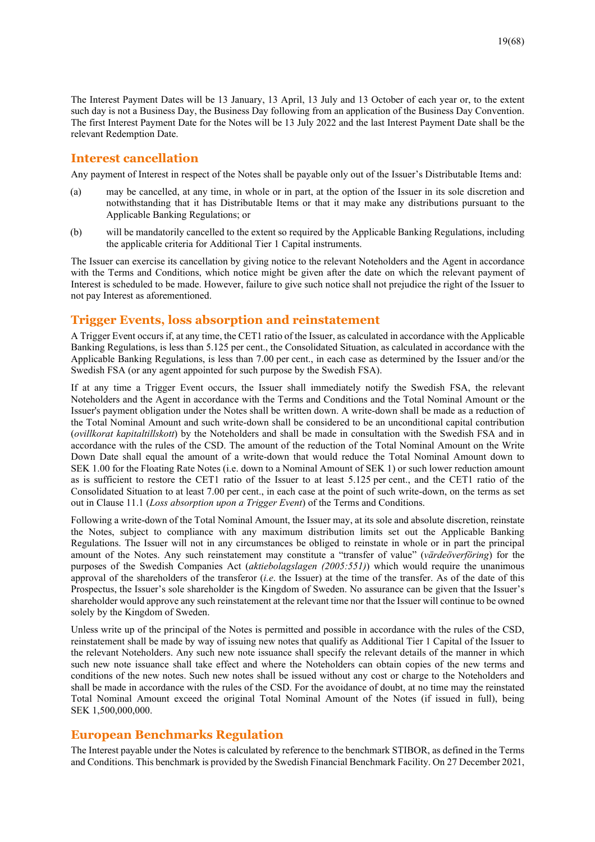The Interest Payment Dates will be 13 January, 13 April, 13 July and 13 October of each year or, to the extent such day is not a Business Day, the Business Day following from an application of the Business Day Convention. The first Interest Payment Date for the Notes will be 13 July 2022 and the last Interest Payment Date shall be the relevant Redemption Date.

#### **Interest cancellation**

Any payment of Interest in respect of the Notes shall be payable only out of the Issuer's Distributable Items and:

- (a) may be cancelled, at any time, in whole or in part, at the option of the Issuer in its sole discretion and notwithstanding that it has Distributable Items or that it may make any distributions pursuant to the Applicable Banking Regulations; or
- (b) will be mandatorily cancelled to the extent so required by the Applicable Banking Regulations, including the applicable criteria for Additional Tier 1 Capital instruments.

The Issuer can exercise its cancellation by giving notice to the relevant Noteholders and the Agent in accordance with the Terms and Conditions, which notice might be given after the date on which the relevant payment of Interest is scheduled to be made. However, failure to give such notice shall not prejudice the right of the Issuer to not pay Interest as aforementioned.

#### **Trigger Events, loss absorption and reinstatement**

A Trigger Event occurs if, at any time, the CET1 ratio of the Issuer, as calculated in accordance with the Applicable Banking Regulations, is less than 5.125 per cent., the Consolidated Situation, as calculated in accordance with the Applicable Banking Regulations, is less than 7.00 per cent., in each case as determined by the Issuer and/or the Swedish FSA (or any agent appointed for such purpose by the Swedish FSA).

If at any time a Trigger Event occurs, the Issuer shall immediately notify the Swedish FSA, the relevant Noteholders and the Agent in accordance with the Terms and Conditions and the Total Nominal Amount or the Issuer's payment obligation under the Notes shall be written down. A write-down shall be made as a reduction of the Total Nominal Amount and such write-down shall be considered to be an unconditional capital contribution (*ovillkorat kapitaltillskott*) by the Noteholders and shall be made in consultation with the Swedish FSA and in accordance with the rules of the CSD. The amount of the reduction of the Total Nominal Amount on the Write Down Date shall equal the amount of a write-down that would reduce the Total Nominal Amount down to SEK 1.00 for the Floating Rate Notes (i.e. down to a Nominal Amount of SEK 1) or such lower reduction amount as is sufficient to restore the CET1 ratio of the Issuer to at least 5.125 per cent., and the CET1 ratio of the Consolidated Situation to at least 7.00 per cent., in each case at the point of such write-down, on the terms as set out in Clause 11.1 (*Loss absorption upon a Trigger Event*) of the Terms and Conditions.

Following a write-down of the Total Nominal Amount, the Issuer may, at its sole and absolute discretion, reinstate the Notes, subject to compliance with any maximum distribution limits set out the Applicable Banking Regulations. The Issuer will not in any circumstances be obliged to reinstate in whole or in part the principal amount of the Notes. Any such reinstatement may constitute a "transfer of value" (*värdeöverföring*) for the purposes of the Swedish Companies Act (*aktiebolagslagen (2005:551)*) which would require the unanimous approval of the shareholders of the transferor (*i.e*. the Issuer) at the time of the transfer. As of the date of this Prospectus, the Issuer's sole shareholder is the Kingdom of Sweden. No assurance can be given that the Issuer's shareholder would approve any such reinstatement at the relevant time nor that the Issuer will continue to be owned solely by the Kingdom of Sweden.

Unless write up of the principal of the Notes is permitted and possible in accordance with the rules of the CSD, reinstatement shall be made by way of issuing new notes that qualify as Additional Tier 1 Capital of the Issuer to the relevant Noteholders. Any such new note issuance shall specify the relevant details of the manner in which such new note issuance shall take effect and where the Noteholders can obtain copies of the new terms and conditions of the new notes. Such new notes shall be issued without any cost or charge to the Noteholders and shall be made in accordance with the rules of the CSD. For the avoidance of doubt, at no time may the reinstated Total Nominal Amount exceed the original Total Nominal Amount of the Notes (if issued in full), being SEK 1,500,000,000.

## **European Benchmarks Regulation**

The Interest payable under the Notes is calculated by reference to the benchmark STIBOR, as defined in the Terms and Conditions. This benchmark is provided by the Swedish Financial Benchmark Facility. On 27 December 2021,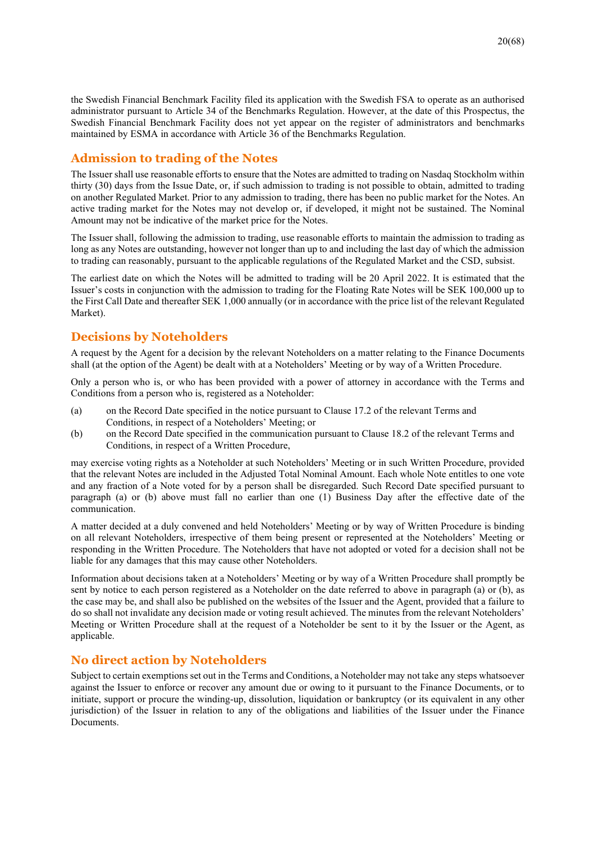the Swedish Financial Benchmark Facility filed its application with the Swedish FSA to operate as an authorised administrator pursuant to Article 34 of the Benchmarks Regulation. However, at the date of this Prospectus, the Swedish Financial Benchmark Facility does not yet appear on the register of administrators and benchmarks maintained by ESMA in accordance with Article 36 of the Benchmarks Regulation.

# **Admission to trading of the Notes**

The Issuer shall use reasonable efforts to ensure that the Notes are admitted to trading on Nasdaq Stockholm within thirty (30) days from the Issue Date, or, if such admission to trading is not possible to obtain, admitted to trading on another Regulated Market. Prior to any admission to trading, there has been no public market for the Notes. An active trading market for the Notes may not develop or, if developed, it might not be sustained. The Nominal Amount may not be indicative of the market price for the Notes.

The Issuer shall, following the admission to trading, use reasonable efforts to maintain the admission to trading as long as any Notes are outstanding, however not longer than up to and including the last day of which the admission to trading can reasonably, pursuant to the applicable regulations of the Regulated Market and the CSD, subsist.

The earliest date on which the Notes will be admitted to trading will be 20 April 2022. It is estimated that the Issuer's costs in conjunction with the admission to trading for the Floating Rate Notes will be SEK 100,000 up to the First Call Date and thereafter SEK 1,000 annually (or in accordance with the price list of the relevant Regulated Market).

# **Decisions by Noteholders**

A request by the Agent for a decision by the relevant Noteholders on a matter relating to the Finance Documents shall (at the option of the Agent) be dealt with at a Noteholders' Meeting or by way of a Written Procedure.

Only a person who is, or who has been provided with a power of attorney in accordance with the Terms and Conditions from a person who is, registered as a Noteholder:

- (a) on the Record Date specified in the notice pursuant to Clause 17.2 of the relevant Terms and Conditions, in respect of a Noteholders' Meeting; or
- (b) on the Record Date specified in the communication pursuant to Clause 18.2 of the relevant Terms and Conditions, in respect of a Written Procedure,

may exercise voting rights as a Noteholder at such Noteholders' Meeting or in such Written Procedure, provided that the relevant Notes are included in the Adjusted Total Nominal Amount. Each whole Note entitles to one vote and any fraction of a Note voted for by a person shall be disregarded. Such Record Date specified pursuant to paragraph (a) or (b) above must fall no earlier than one (1) Business Day after the effective date of the communication.

A matter decided at a duly convened and held Noteholders' Meeting or by way of Written Procedure is binding on all relevant Noteholders, irrespective of them being present or represented at the Noteholders' Meeting or responding in the Written Procedure. The Noteholders that have not adopted or voted for a decision shall not be liable for any damages that this may cause other Noteholders.

Information about decisions taken at a Noteholders' Meeting or by way of a Written Procedure shall promptly be sent by notice to each person registered as a Noteholder on the date referred to above in paragraph (a) or (b), as the case may be, and shall also be published on the websites of the Issuer and the Agent, provided that a failure to do so shall not invalidate any decision made or voting result achieved. The minutes from the relevant Noteholders' Meeting or Written Procedure shall at the request of a Noteholder be sent to it by the Issuer or the Agent, as applicable.

# **No direct action by Noteholders**

Subject to certain exemptions set out in the Terms and Conditions, a Noteholder may not take any steps whatsoever against the Issuer to enforce or recover any amount due or owing to it pursuant to the Finance Documents, or to initiate, support or procure the winding-up, dissolution, liquidation or bankruptcy (or its equivalent in any other jurisdiction) of the Issuer in relation to any of the obligations and liabilities of the Issuer under the Finance Documents.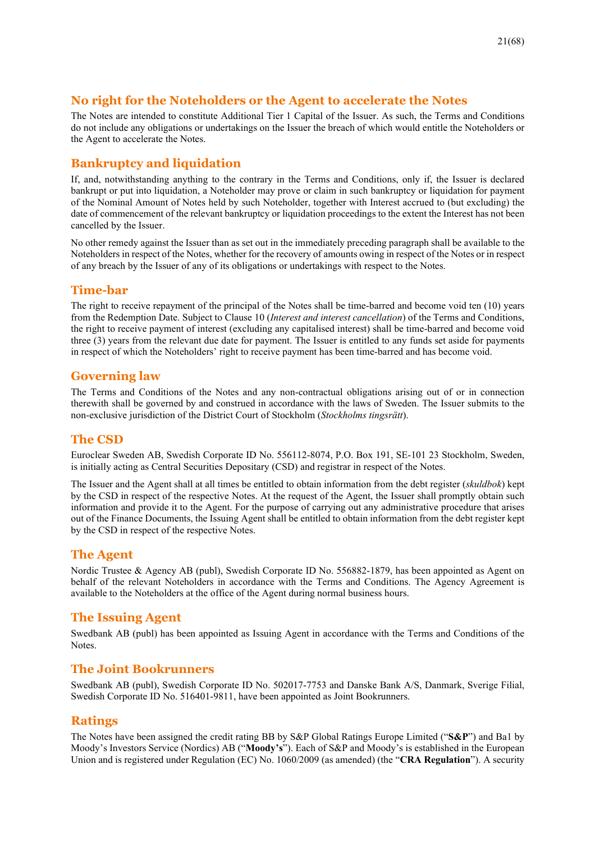# **No right for the Noteholders or the Agent to accelerate the Notes**

The Notes are intended to constitute Additional Tier 1 Capital of the Issuer. As such, the Terms and Conditions do not include any obligations or undertakings on the Issuer the breach of which would entitle the Noteholders or the Agent to accelerate the Notes.

# **Bankruptcy and liquidation**

If, and, notwithstanding anything to the contrary in the Terms and Conditions, only if, the Issuer is declared bankrupt or put into liquidation, a Noteholder may prove or claim in such bankruptcy or liquidation for payment of the Nominal Amount of Notes held by such Noteholder, together with Interest accrued to (but excluding) the date of commencement of the relevant bankruptcy or liquidation proceedings to the extent the Interest has not been cancelled by the Issuer.

No other remedy against the Issuer than as set out in the immediately preceding paragraph shall be available to the Noteholders in respect of the Notes, whether for the recovery of amounts owing in respect of the Notes or in respect of any breach by the Issuer of any of its obligations or undertakings with respect to the Notes.

# **Time-bar**

The right to receive repayment of the principal of the Notes shall be time-barred and become void ten (10) years from the Redemption Date. Subject to Clause 10 (*Interest and interest cancellation*) of the Terms and Conditions, the right to receive payment of interest (excluding any capitalised interest) shall be time-barred and become void three (3) years from the relevant due date for payment. The Issuer is entitled to any funds set aside for payments in respect of which the Noteholders' right to receive payment has been time-barred and has become void.

# **Governing law**

The Terms and Conditions of the Notes and any non-contractual obligations arising out of or in connection therewith shall be governed by and construed in accordance with the laws of Sweden. The Issuer submits to the non-exclusive jurisdiction of the District Court of Stockholm (*Stockholms tingsrätt*).

# **The CSD**

Euroclear Sweden AB, Swedish Corporate ID No. 556112-8074, P.O. Box 191, SE-101 23 Stockholm, Sweden, is initially acting as Central Securities Depositary (CSD) and registrar in respect of the Notes.

The Issuer and the Agent shall at all times be entitled to obtain information from the debt register (*skuldbok*) kept by the CSD in respect of the respective Notes. At the request of the Agent, the Issuer shall promptly obtain such information and provide it to the Agent. For the purpose of carrying out any administrative procedure that arises out of the Finance Documents, the Issuing Agent shall be entitled to obtain information from the debt register kept by the CSD in respect of the respective Notes.

# **The Agent**

Nordic Trustee & Agency AB (publ), Swedish Corporate ID No. 556882-1879, has been appointed as Agent on behalf of the relevant Noteholders in accordance with the Terms and Conditions. The Agency Agreement is available to the Noteholders at the office of the Agent during normal business hours.

# **The Issuing Agent**

Swedbank AB (publ) has been appointed as Issuing Agent in accordance with the Terms and Conditions of the Notes.

# **The Joint Bookrunners**

Swedbank AB (publ), Swedish Corporate ID No. 502017-7753 and Danske Bank A/S, Danmark, Sverige Filial, Swedish Corporate ID No. 516401-9811, have been appointed as Joint Bookrunners.

## **Ratings**

The Notes have been assigned the credit rating BB by S&P Global Ratings Europe Limited ("**S&P**") and Ba1 by Moody's Investors Service (Nordics) AB ("**Moody's**"). Each of S&P and Moody's is established in the European Union and is registered under Regulation (EC) No. 1060/2009 (as amended) (the "**CRA Regulation**"). A security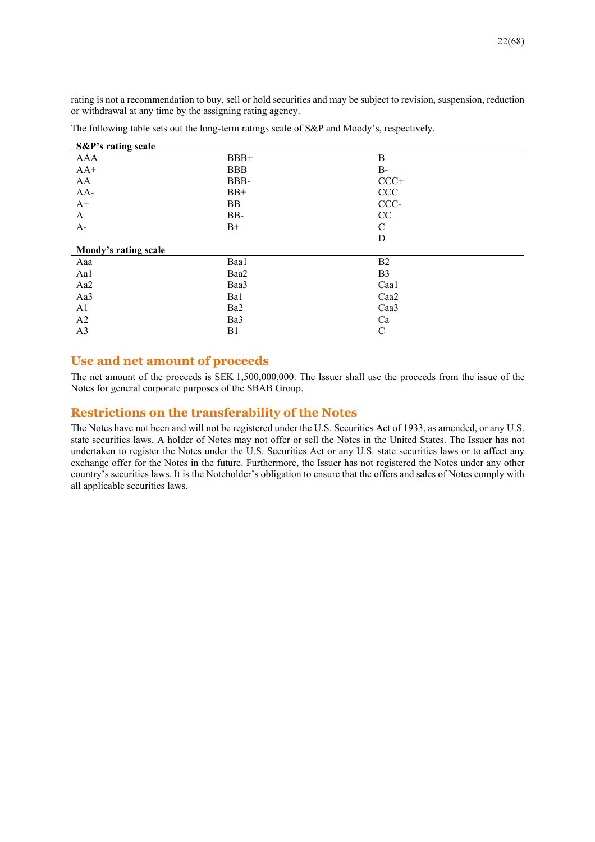rating is not a recommendation to buy, sell or hold securities and may be subject to revision, suspension, reduction or withdrawal at any time by the assigning rating agency.

| S&P's rating scale   |            |                |
|----------------------|------------|----------------|
| <b>AAA</b>           | $BBB+$     | B              |
| $AA+$                | <b>BBB</b> | $B-$           |
| AA                   | BBB-       | $CCC+$         |
| $AA-$                | $BB+$      | CCC            |
| $A+$                 | <b>BB</b>  | CCC-           |
| A                    | BB-        | CC             |
| $A-$                 | $B+$       | C              |
|                      |            | D              |
| Moody's rating scale |            |                |
| Aaa                  | Baa1       | B <sub>2</sub> |
| Aa1                  | Baa2       | B <sub>3</sub> |
| Aa2                  | Baa3       | Caal           |
| Aa3                  | Ba1        | Caa2           |
| A <sub>1</sub>       | Ba2        | Caa3           |
| A2                   | Ba3        | Ca             |
| A <sub>3</sub>       | B1         | $\mathsf{C}$   |
|                      |            |                |

The following table sets out the long-term ratings scale of S&P and Moody's, respectively.

## **Use and net amount of proceeds**

The net amount of the proceeds is SEK 1,500,000,000. The Issuer shall use the proceeds from the issue of the Notes for general corporate purposes of the SBAB Group.

# **Restrictions on the transferability of the Notes**

The Notes have not been and will not be registered under the U.S. Securities Act of 1933, as amended, or any U.S. state securities laws. A holder of Notes may not offer or sell the Notes in the United States. The Issuer has not undertaken to register the Notes under the U.S. Securities Act or any U.S. state securities laws or to affect any exchange offer for the Notes in the future. Furthermore, the Issuer has not registered the Notes under any other country's securities laws. It is the Noteholder's obligation to ensure that the offers and sales of Notes comply with all applicable securities laws.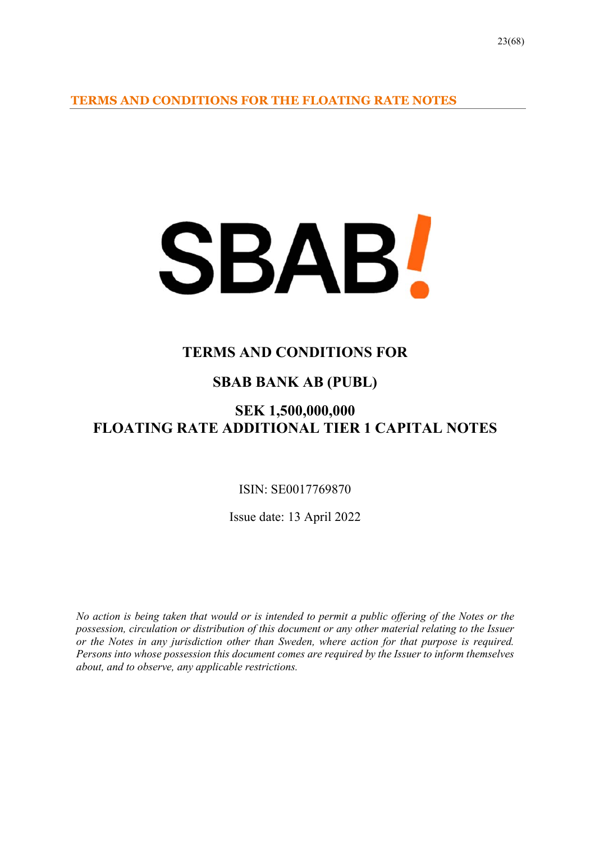**TERMS AND CONDITIONS FOR THE FLOATING RATE NOTES** 

# SBAB!

# **TERMS AND CONDITIONS FOR**

# **SBAB BANK AB (PUBL)**

# **SEK 1,500,000,000 FLOATING RATE ADDITIONAL TIER 1 CAPITAL NOTES**

ISIN: SE0017769870

Issue date: 13 April 2022

*No action is being taken that would or is intended to permit a public offering of the Notes or the possession, circulation or distribution of this document or any other material relating to the Issuer or the Notes in any jurisdiction other than Sweden, where action for that purpose is required. Persons into whose possession this document comes are required by the Issuer to inform themselves about, and to observe, any applicable restrictions.*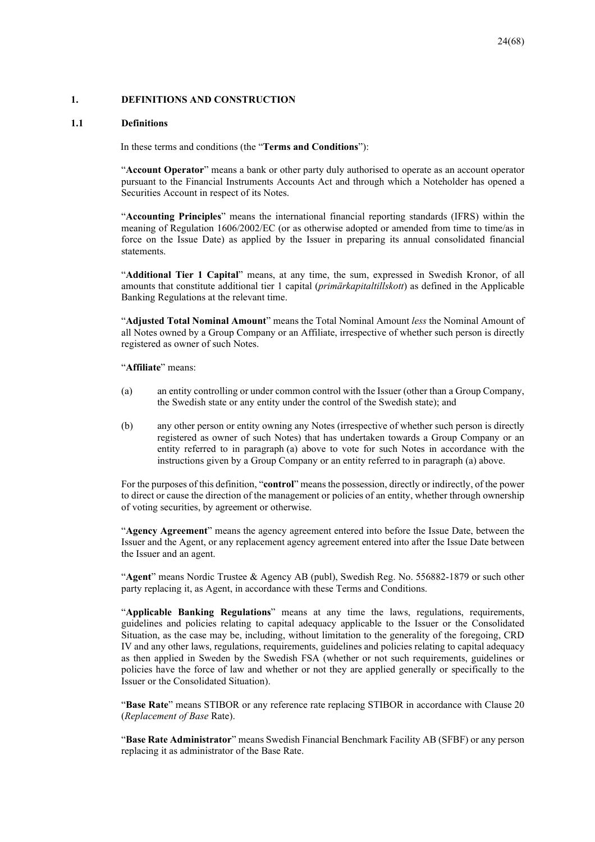#### **1. DEFINITIONS AND CONSTRUCTION**

#### **1.1 Definitions**

In these terms and conditions (the "**Terms and Conditions**"):

"**Account Operator**" means a bank or other party duly authorised to operate as an account operator pursuant to the Financial Instruments Accounts Act and through which a Noteholder has opened a Securities Account in respect of its Notes.

"**Accounting Principles**" means the international financial reporting standards (IFRS) within the meaning of Regulation 1606/2002/EC (or as otherwise adopted or amended from time to time/as in force on the Issue Date) as applied by the Issuer in preparing its annual consolidated financial statements.

"**Additional Tier 1 Capital**" means, at any time, the sum, expressed in Swedish Kronor, of all amounts that constitute additional tier 1 capital (*primärkapitaltillskott*) as defined in the Applicable Banking Regulations at the relevant time.

"**Adjusted Total Nominal Amount**" means the Total Nominal Amount *less* the Nominal Amount of all Notes owned by a Group Company or an Affiliate, irrespective of whether such person is directly registered as owner of such Notes.

"**Affiliate**" means:

- (a) an entity controlling or under common control with the Issuer (other than a Group Company, the Swedish state or any entity under the control of the Swedish state); and
- (b) any other person or entity owning any Notes (irrespective of whether such person is directly registered as owner of such Notes) that has undertaken towards a Group Company or an entity referred to in paragraph (a) above to vote for such Notes in accordance with the instructions given by a Group Company or an entity referred to in paragraph (a) above.

For the purposes of this definition, "**control**" means the possession, directly or indirectly, of the power to direct or cause the direction of the management or policies of an entity, whether through ownership of voting securities, by agreement or otherwise.

"**Agency Agreement**" means the agency agreement entered into before the Issue Date, between the Issuer and the Agent, or any replacement agency agreement entered into after the Issue Date between the Issuer and an agent.

"**Agent**" means Nordic Trustee & Agency AB (publ), Swedish Reg. No. 556882-1879 or such other party replacing it, as Agent, in accordance with these Terms and Conditions.

"**Applicable Banking Regulations**" means at any time the laws, regulations, requirements, guidelines and policies relating to capital adequacy applicable to the Issuer or the Consolidated Situation, as the case may be, including, without limitation to the generality of the foregoing, CRD IV and any other laws, regulations, requirements, guidelines and policies relating to capital adequacy as then applied in Sweden by the Swedish FSA (whether or not such requirements, guidelines or policies have the force of law and whether or not they are applied generally or specifically to the Issuer or the Consolidated Situation).

"**Base Rate**" means STIBOR or any reference rate replacing STIBOR in accordance with Clause 20 (*Replacement of Base* Rate).

"**Base Rate Administrator**" means Swedish Financial Benchmark Facility AB (SFBF) or any person replacing it as administrator of the Base Rate.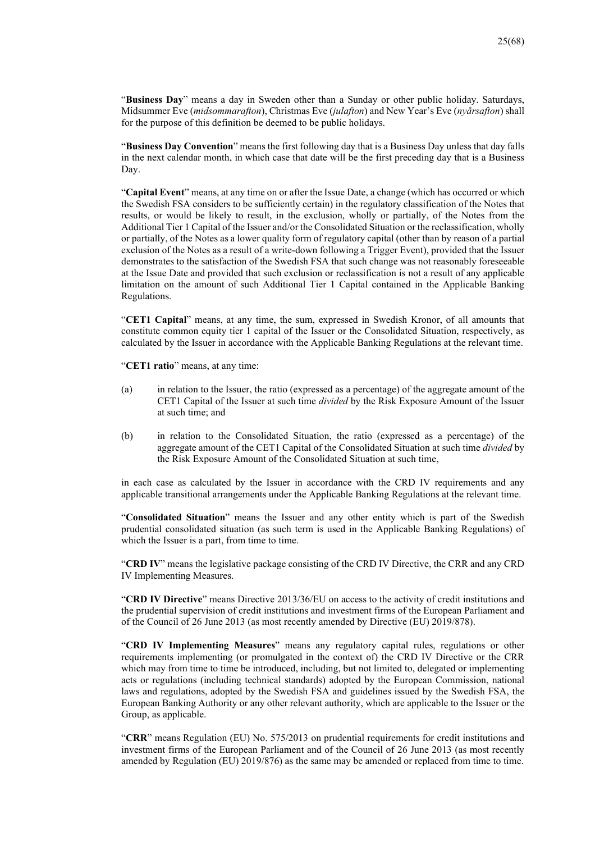"**Business Day**" means a day in Sweden other than a Sunday or other public holiday. Saturdays, Midsummer Eve (*midsommarafton*), Christmas Eve (*julafton*) and New Year's Eve (*nyårsafton*) shall for the purpose of this definition be deemed to be public holidays.

"**Business Day Convention**" means the first following day that is a Business Day unless that day falls in the next calendar month, in which case that date will be the first preceding day that is a Business Day.

"**Capital Event**" means, at any time on or after the Issue Date, a change (which has occurred or which the Swedish FSA considers to be sufficiently certain) in the regulatory classification of the Notes that results, or would be likely to result, in the exclusion, wholly or partially, of the Notes from the Additional Tier 1 Capital of the Issuer and/or the Consolidated Situation or the reclassification, wholly or partially, of the Notes as a lower quality form of regulatory capital (other than by reason of a partial exclusion of the Notes as a result of a write-down following a Trigger Event), provided that the Issuer demonstrates to the satisfaction of the Swedish FSA that such change was not reasonably foreseeable at the Issue Date and provided that such exclusion or reclassification is not a result of any applicable limitation on the amount of such Additional Tier 1 Capital contained in the Applicable Banking Regulations.

"**CET1 Capital**" means, at any time, the sum, expressed in Swedish Kronor, of all amounts that constitute common equity tier 1 capital of the Issuer or the Consolidated Situation, respectively, as calculated by the Issuer in accordance with the Applicable Banking Regulations at the relevant time.

"**CET1 ratio**" means, at any time:

- (a) in relation to the Issuer, the ratio (expressed as a percentage) of the aggregate amount of the CET1 Capital of the Issuer at such time *divided* by the Risk Exposure Amount of the Issuer at such time; and
- (b) in relation to the Consolidated Situation, the ratio (expressed as a percentage) of the aggregate amount of the CET1 Capital of the Consolidated Situation at such time *divided* by the Risk Exposure Amount of the Consolidated Situation at such time,

in each case as calculated by the Issuer in accordance with the CRD IV requirements and any applicable transitional arrangements under the Applicable Banking Regulations at the relevant time.

"**Consolidated Situation**" means the Issuer and any other entity which is part of the Swedish prudential consolidated situation (as such term is used in the Applicable Banking Regulations) of which the Issuer is a part, from time to time.

"**CRD IV**" means the legislative package consisting of the CRD IV Directive, the CRR and any CRD IV Implementing Measures.

"**CRD IV Directive**" means Directive 2013/36/EU on access to the activity of credit institutions and the prudential supervision of credit institutions and investment firms of the European Parliament and of the Council of 26 June 2013 (as most recently amended by Directive (EU) 2019/878).

"**CRD IV Implementing Measures**" means any regulatory capital rules, regulations or other requirements implementing (or promulgated in the context of) the CRD IV Directive or the CRR which may from time to time be introduced, including, but not limited to, delegated or implementing acts or regulations (including technical standards) adopted by the European Commission, national laws and regulations, adopted by the Swedish FSA and guidelines issued by the Swedish FSA, the European Banking Authority or any other relevant authority, which are applicable to the Issuer or the Group, as applicable.

"**CRR**" means Regulation (EU) No. 575/2013 on prudential requirements for credit institutions and investment firms of the European Parliament and of the Council of 26 June 2013 (as most recently amended by Regulation (EU) 2019/876) as the same may be amended or replaced from time to time.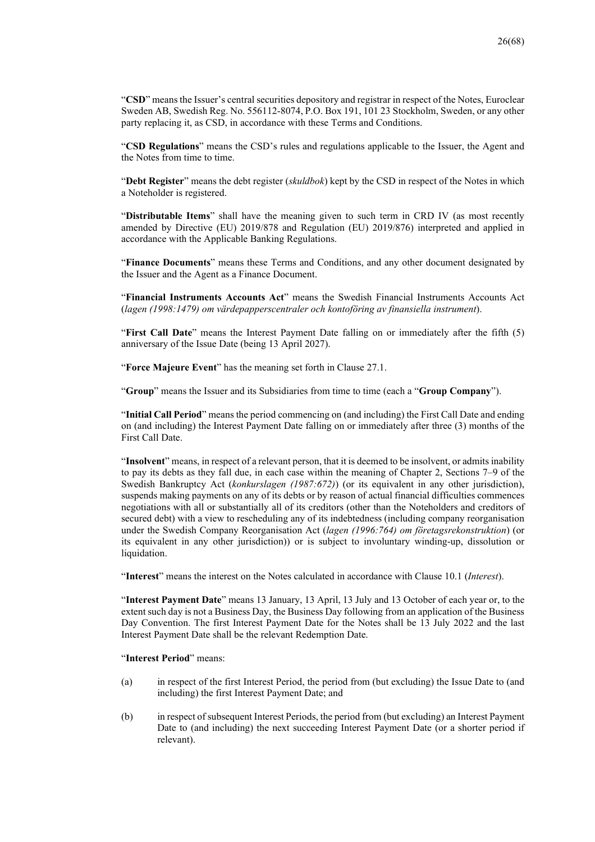"**CSD**" means the Issuer's central securities depository and registrar in respect of the Notes, Euroclear Sweden AB, Swedish Reg. No. 556112-8074, P.O. Box 191, 101 23 Stockholm, Sweden, or any other party replacing it, as CSD, in accordance with these Terms and Conditions.

"**CSD Regulations**" means the CSD's rules and regulations applicable to the Issuer, the Agent and the Notes from time to time.

"**Debt Register**" means the debt register (*skuldbok*) kept by the CSD in respect of the Notes in which a Noteholder is registered.

"**Distributable Items**" shall have the meaning given to such term in CRD IV (as most recently amended by Directive (EU) 2019/878 and Regulation (EU) 2019/876) interpreted and applied in accordance with the Applicable Banking Regulations.

"**Finance Documents**" means these Terms and Conditions, and any other document designated by the Issuer and the Agent as a Finance Document.

"**Financial Instruments Accounts Act**" means the Swedish Financial Instruments Accounts Act (*lagen (1998:1479) om värdepapperscentraler och kontoföring av finansiella instrument*).

"**First Call Date**" means the Interest Payment Date falling on or immediately after the fifth (5) anniversary of the Issue Date (being 13 April 2027).

"**Force Majeure Event**" has the meaning set forth in Clause 27.1.

"**Group**" means the Issuer and its Subsidiaries from time to time (each a "**Group Company**").

"**Initial Call Period**" means the period commencing on (and including) the First Call Date and ending on (and including) the Interest Payment Date falling on or immediately after three (3) months of the First Call Date.

"**Insolvent**" means, in respect of a relevant person, that it is deemed to be insolvent, or admits inability to pay its debts as they fall due, in each case within the meaning of Chapter 2, Sections 7–9 of the Swedish Bankruptcy Act (*konkurslagen (1987:672)*) (or its equivalent in any other jurisdiction), suspends making payments on any of its debts or by reason of actual financial difficulties commences negotiations with all or substantially all of its creditors (other than the Noteholders and creditors of secured debt) with a view to rescheduling any of its indebtedness (including company reorganisation under the Swedish Company Reorganisation Act (*lagen (1996:764) om företagsrekonstruktion*) (or its equivalent in any other jurisdiction)) or is subject to involuntary winding-up, dissolution or liquidation.

"**Interest**" means the interest on the Notes calculated in accordance with Clause 10.1 (*Interest*).

"**Interest Payment Date**" means 13 January, 13 April, 13 July and 13 October of each year or, to the extent such day is not a Business Day, the Business Day following from an application of the Business Day Convention. The first Interest Payment Date for the Notes shall be 13 July 2022 and the last Interest Payment Date shall be the relevant Redemption Date.

#### "**Interest Period**" means:

- (a) in respect of the first Interest Period, the period from (but excluding) the Issue Date to (and including) the first Interest Payment Date; and
- (b) in respect of subsequent Interest Periods, the period from (but excluding) an Interest Payment Date to (and including) the next succeeding Interest Payment Date (or a shorter period if relevant).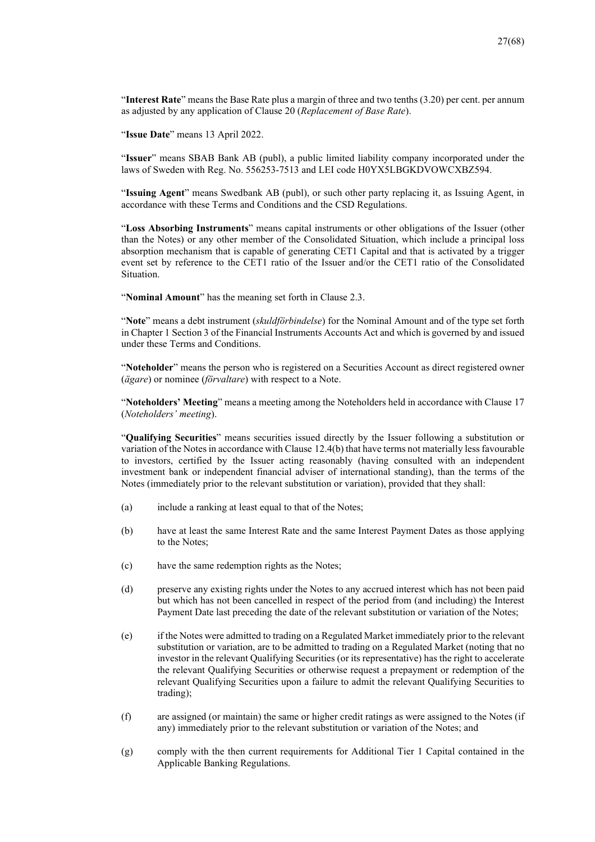"**Interest Rate**" means the Base Rate plus a margin of three and two tenths (3.20) per cent. per annum as adjusted by any application of Clause 20 (*Replacement of Base Rate*).

"**Issue Date**" means 13 April 2022.

"**Issuer**" means SBAB Bank AB (publ), a public limited liability company incorporated under the laws of Sweden with Reg. No. 556253-7513 and LEI code H0YX5LBGKDVOWCXBZ594.

"**Issuing Agent**" means Swedbank AB (publ), or such other party replacing it, as Issuing Agent, in accordance with these Terms and Conditions and the CSD Regulations.

"**Loss Absorbing Instruments**" means capital instruments or other obligations of the Issuer (other than the Notes) or any other member of the Consolidated Situation, which include a principal loss absorption mechanism that is capable of generating CET1 Capital and that is activated by a trigger event set by reference to the CET1 ratio of the Issuer and/or the CET1 ratio of the Consolidated Situation.

"**Nominal Amount**" has the meaning set forth in Clause 2.3.

"**Note**" means a debt instrument (*skuldförbindelse*) for the Nominal Amount and of the type set forth in Chapter 1 Section 3 of the Financial Instruments Accounts Act and which is governed by and issued under these Terms and Conditions.

"**Noteholder**" means the person who is registered on a Securities Account as direct registered owner (*ägare*) or nominee (*förvaltare*) with respect to a Note.

"**Noteholders' Meeting**" means a meeting among the Noteholders held in accordance with Clause 17 (*Noteholders' meeting*).

"**Qualifying Securities**" means securities issued directly by the Issuer following a substitution or variation of the Notes in accordance with Clause 12.4(b) that have terms not materially less favourable to investors, certified by the Issuer acting reasonably (having consulted with an independent investment bank or independent financial adviser of international standing), than the terms of the Notes (immediately prior to the relevant substitution or variation), provided that they shall:

- (a) include a ranking at least equal to that of the Notes;
- (b) have at least the same Interest Rate and the same Interest Payment Dates as those applying to the Notes;
- (c) have the same redemption rights as the Notes;
- (d) preserve any existing rights under the Notes to any accrued interest which has not been paid but which has not been cancelled in respect of the period from (and including) the Interest Payment Date last preceding the date of the relevant substitution or variation of the Notes;
- (e) if the Notes were admitted to trading on a Regulated Market immediately prior to the relevant substitution or variation, are to be admitted to trading on a Regulated Market (noting that no investor in the relevant Qualifying Securities (or its representative) has the right to accelerate the relevant Qualifying Securities or otherwise request a prepayment or redemption of the relevant Qualifying Securities upon a failure to admit the relevant Qualifying Securities to trading);
- (f) are assigned (or maintain) the same or higher credit ratings as were assigned to the Notes (if any) immediately prior to the relevant substitution or variation of the Notes; and
- (g) comply with the then current requirements for Additional Tier 1 Capital contained in the Applicable Banking Regulations.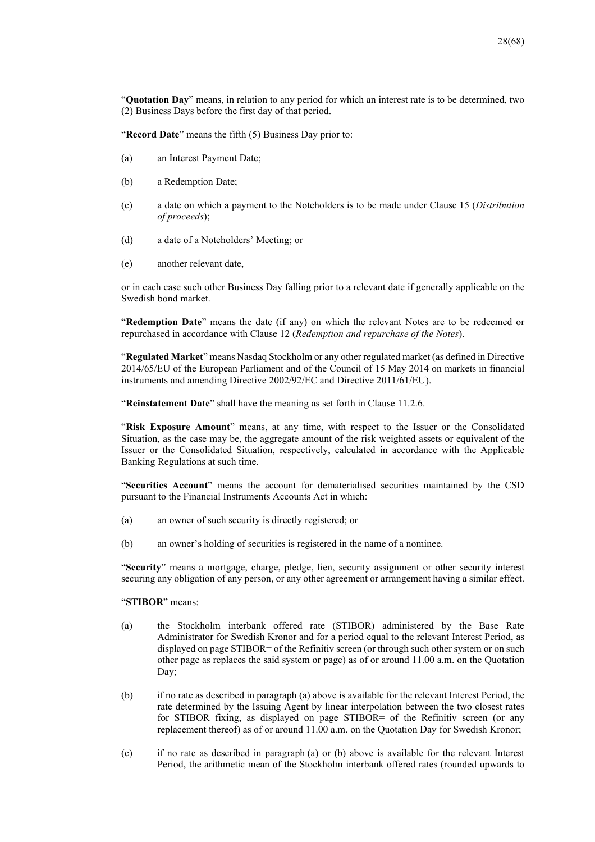"**Quotation Day**" means, in relation to any period for which an interest rate is to be determined, two (2) Business Days before the first day of that period.

"**Record Date**" means the fifth (5) Business Day prior to:

- (a) an Interest Payment Date;
- (b) a Redemption Date;
- (c) a date on which a payment to the Noteholders is to be made under Clause 15 (*Distribution of proceeds*);
- (d) a date of a Noteholders' Meeting; or
- (e) another relevant date,

or in each case such other Business Day falling prior to a relevant date if generally applicable on the Swedish bond market.

"**Redemption Date**" means the date (if any) on which the relevant Notes are to be redeemed or repurchased in accordance with Clause 12 (*Redemption and repurchase of the Notes*).

"**Regulated Market**" means Nasdaq Stockholm or any other regulated market (as defined in Directive 2014/65/EU of the European Parliament and of the Council of 15 May 2014 on markets in financial instruments and amending Directive 2002/92/EC and Directive 2011/61/EU).

"**Reinstatement Date**" shall have the meaning as set forth in Clause 11.2.6.

"**Risk Exposure Amount**" means, at any time, with respect to the Issuer or the Consolidated Situation, as the case may be, the aggregate amount of the risk weighted assets or equivalent of the Issuer or the Consolidated Situation, respectively, calculated in accordance with the Applicable Banking Regulations at such time.

"**Securities Account**" means the account for dematerialised securities maintained by the CSD pursuant to the Financial Instruments Accounts Act in which:

- (a) an owner of such security is directly registered; or
- (b) an owner's holding of securities is registered in the name of a nominee.

"**Security**" means a mortgage, charge, pledge, lien, security assignment or other security interest securing any obligation of any person, or any other agreement or arrangement having a similar effect.

#### "**STIBOR**" means:

- (a) the Stockholm interbank offered rate (STIBOR) administered by the Base Rate Administrator for Swedish Kronor and for a period equal to the relevant Interest Period, as displayed on page STIBOR= of the Refinitiv screen (or through such other system or on such other page as replaces the said system or page) as of or around 11.00 a.m. on the Quotation Day;
- (b) if no rate as described in paragraph (a) above is available for the relevant Interest Period, the rate determined by the Issuing Agent by linear interpolation between the two closest rates for STIBOR fixing, as displayed on page STIBOR= of the Refinitiv screen (or any replacement thereof) as of or around 11.00 a.m. on the Quotation Day for Swedish Kronor;
- (c) if no rate as described in paragraph (a) or (b) above is available for the relevant Interest Period, the arithmetic mean of the Stockholm interbank offered rates (rounded upwards to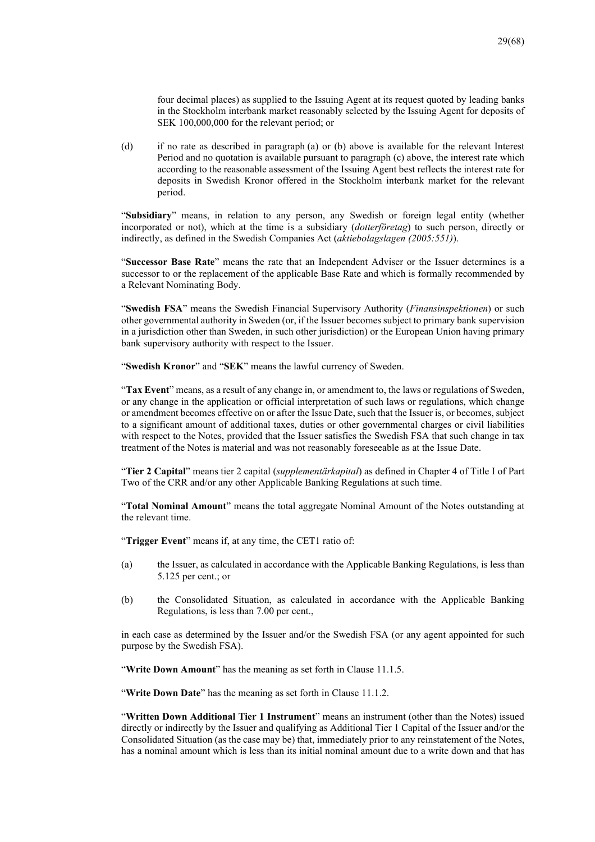four decimal places) as supplied to the Issuing Agent at its request quoted by leading banks in the Stockholm interbank market reasonably selected by the Issuing Agent for deposits of SEK 100,000,000 for the relevant period; or

(d) if no rate as described in paragraph (a) or (b) above is available for the relevant Interest Period and no quotation is available pursuant to paragraph (c) above, the interest rate which according to the reasonable assessment of the Issuing Agent best reflects the interest rate for deposits in Swedish Kronor offered in the Stockholm interbank market for the relevant period.

"**Subsidiary**" means, in relation to any person, any Swedish or foreign legal entity (whether incorporated or not), which at the time is a subsidiary (*dotterföretag*) to such person, directly or indirectly, as defined in the Swedish Companies Act (*aktiebolagslagen (2005:551)*).

"**Successor Base Rate**" means the rate that an Independent Adviser or the Issuer determines is a successor to or the replacement of the applicable Base Rate and which is formally recommended by a Relevant Nominating Body.

"**Swedish FSA**" means the Swedish Financial Supervisory Authority (*Finansinspektionen*) or such other governmental authority in Sweden (or, if the Issuer becomes subject to primary bank supervision in a jurisdiction other than Sweden, in such other jurisdiction) or the European Union having primary bank supervisory authority with respect to the Issuer.

"**Swedish Kronor**" and "**SEK**" means the lawful currency of Sweden.

"**Tax Event**" means, as a result of any change in, or amendment to, the laws or regulations of Sweden, or any change in the application or official interpretation of such laws or regulations, which change or amendment becomes effective on or after the Issue Date, such that the Issuer is, or becomes, subject to a significant amount of additional taxes, duties or other governmental charges or civil liabilities with respect to the Notes, provided that the Issuer satisfies the Swedish FSA that such change in tax treatment of the Notes is material and was not reasonably foreseeable as at the Issue Date.

"**Tier 2 Capital**" means tier 2 capital (*supplementärkapital*) as defined in Chapter 4 of Title I of Part Two of the CRR and/or any other Applicable Banking Regulations at such time.

"**Total Nominal Amount**" means the total aggregate Nominal Amount of the Notes outstanding at the relevant time.

"**Trigger Event**" means if, at any time, the CET1 ratio of:

- (a) the Issuer, as calculated in accordance with the Applicable Banking Regulations, is less than 5.125 per cent.; or
- (b) the Consolidated Situation, as calculated in accordance with the Applicable Banking Regulations, is less than 7.00 per cent.,

in each case as determined by the Issuer and/or the Swedish FSA (or any agent appointed for such purpose by the Swedish FSA).

"**Write Down Amount**" has the meaning as set forth in Clause 11.1.5.

"Write Down Date" has the meaning as set forth in Clause 11.1.2.

"**Written Down Additional Tier 1 Instrument**" means an instrument (other than the Notes) issued directly or indirectly by the Issuer and qualifying as Additional Tier 1 Capital of the Issuer and/or the Consolidated Situation (as the case may be) that, immediately prior to any reinstatement of the Notes, has a nominal amount which is less than its initial nominal amount due to a write down and that has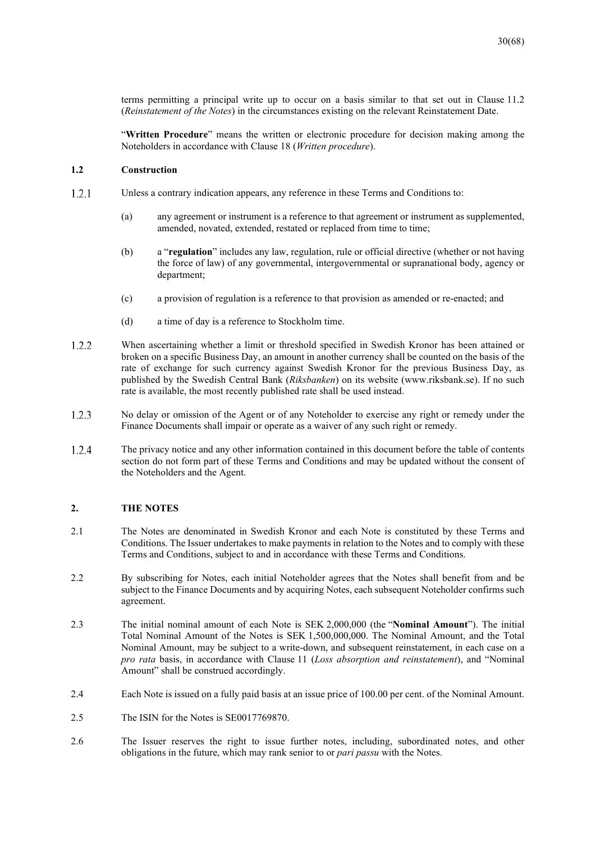terms permitting a principal write up to occur on a basis similar to that set out in Clause 11.2 (*Reinstatement of the Notes*) in the circumstances existing on the relevant Reinstatement Date.

"**Written Procedure**" means the written or electronic procedure for decision making among the Noteholders in accordance with Clause 18 (*Written procedure*).

## **1.2 Construction**

- $1.2.1$ Unless a contrary indication appears, any reference in these Terms and Conditions to:
	- (a) any agreement or instrument is a reference to that agreement or instrument as supplemented, amended, novated, extended, restated or replaced from time to time;
	- (b) a "**regulation**" includes any law, regulation, rule or official directive (whether or not having the force of law) of any governmental, intergovernmental or supranational body, agency or department;
	- (c) a provision of regulation is a reference to that provision as amended or re-enacted; and
	- (d) a time of day is a reference to Stockholm time.
- 1.2.2 When ascertaining whether a limit or threshold specified in Swedish Kronor has been attained or broken on a specific Business Day, an amount in another currency shall be counted on the basis of the rate of exchange for such currency against Swedish Kronor for the previous Business Day, as published by the Swedish Central Bank (*Riksbanken*) on its website (www.riksbank.se). If no such rate is available, the most recently published rate shall be used instead.
- $1.2.3$ No delay or omission of the Agent or of any Noteholder to exercise any right or remedy under the Finance Documents shall impair or operate as a waiver of any such right or remedy.
- 1.2.4 The privacy notice and any other information contained in this document before the table of contents section do not form part of these Terms and Conditions and may be updated without the consent of the Noteholders and the Agent.

#### **2. THE NOTES**

- 2.1 The Notes are denominated in Swedish Kronor and each Note is constituted by these Terms and Conditions. The Issuer undertakes to make payments in relation to the Notes and to comply with these Terms and Conditions, subject to and in accordance with these Terms and Conditions.
- 2.2 By subscribing for Notes, each initial Noteholder agrees that the Notes shall benefit from and be subject to the Finance Documents and by acquiring Notes, each subsequent Noteholder confirms such agreement.
- 2.3 The initial nominal amount of each Note is SEK 2,000,000 (the "**Nominal Amount**"). The initial Total Nominal Amount of the Notes is SEK 1,500,000,000. The Nominal Amount, and the Total Nominal Amount, may be subject to a write-down, and subsequent reinstatement, in each case on a *pro rata* basis, in accordance with Clause 11 (*Loss absorption and reinstatement*), and "Nominal Amount" shall be construed accordingly.
- 2.4 Each Note is issued on a fully paid basis at an issue price of 100.00 per cent. of the Nominal Amount.
- 2.5 The ISIN for the Notes is SE0017769870.
- 2.6 The Issuer reserves the right to issue further notes, including, subordinated notes, and other obligations in the future, which may rank senior to or *pari passu* with the Notes.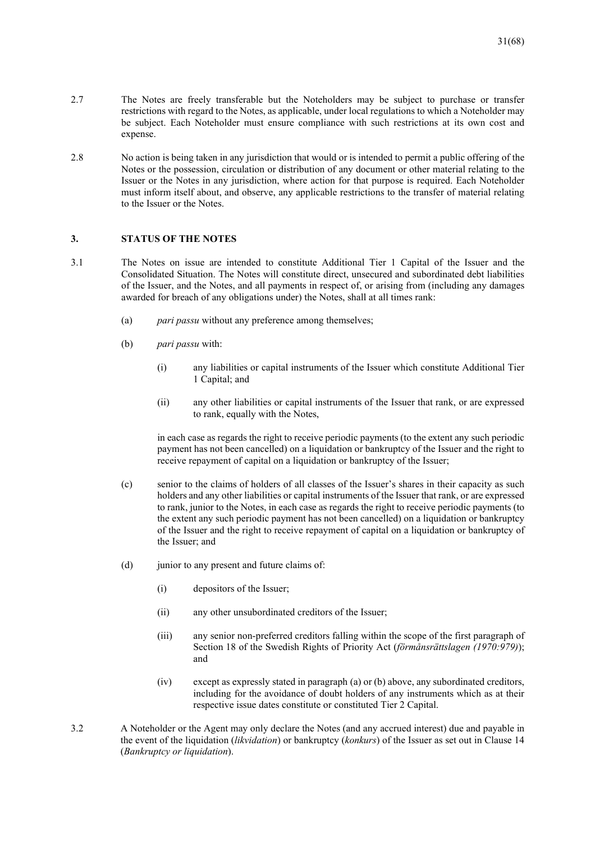- 2.7 The Notes are freely transferable but the Noteholders may be subject to purchase or transfer restrictions with regard to the Notes, as applicable, under local regulations to which a Noteholder may be subject. Each Noteholder must ensure compliance with such restrictions at its own cost and expense.
- 2.8 No action is being taken in any jurisdiction that would or is intended to permit a public offering of the Notes or the possession, circulation or distribution of any document or other material relating to the Issuer or the Notes in any jurisdiction, where action for that purpose is required. Each Noteholder must inform itself about, and observe, any applicable restrictions to the transfer of material relating to the Issuer or the Notes.

#### **3. STATUS OF THE NOTES**

- 3.1 The Notes on issue are intended to constitute Additional Tier 1 Capital of the Issuer and the Consolidated Situation. The Notes will constitute direct, unsecured and subordinated debt liabilities of the Issuer, and the Notes, and all payments in respect of, or arising from (including any damages awarded for breach of any obligations under) the Notes, shall at all times rank:
	- (a) *pari passu* without any preference among themselves;
	- (b) *pari passu* with:
		- (i) any liabilities or capital instruments of the Issuer which constitute Additional Tier 1 Capital; and
		- (ii) any other liabilities or capital instruments of the Issuer that rank, or are expressed to rank, equally with the Notes,

in each case as regards the right to receive periodic payments (to the extent any such periodic payment has not been cancelled) on a liquidation or bankruptcy of the Issuer and the right to receive repayment of capital on a liquidation or bankruptcy of the Issuer;

- (c) senior to the claims of holders of all classes of the Issuer's shares in their capacity as such holders and any other liabilities or capital instruments of the Issuer that rank, or are expressed to rank, junior to the Notes, in each case as regards the right to receive periodic payments (to the extent any such periodic payment has not been cancelled) on a liquidation or bankruptcy of the Issuer and the right to receive repayment of capital on a liquidation or bankruptcy of the Issuer; and
- (d) junior to any present and future claims of:
	- (i) depositors of the Issuer;
	- (ii) any other unsubordinated creditors of the Issuer;
	- (iii) any senior non-preferred creditors falling within the scope of the first paragraph of Section 18 of the Swedish Rights of Priority Act (*förmånsrättslagen (1970:979)*); and
	- (iv) except as expressly stated in paragraph (a) or (b) above, any subordinated creditors, including for the avoidance of doubt holders of any instruments which as at their respective issue dates constitute or constituted Tier 2 Capital.
- 3.2 A Noteholder or the Agent may only declare the Notes (and any accrued interest) due and payable in the event of the liquidation (*likvidation*) or bankruptcy (*konkurs*) of the Issuer as set out in Clause 14 (*Bankruptcy or liquidation*).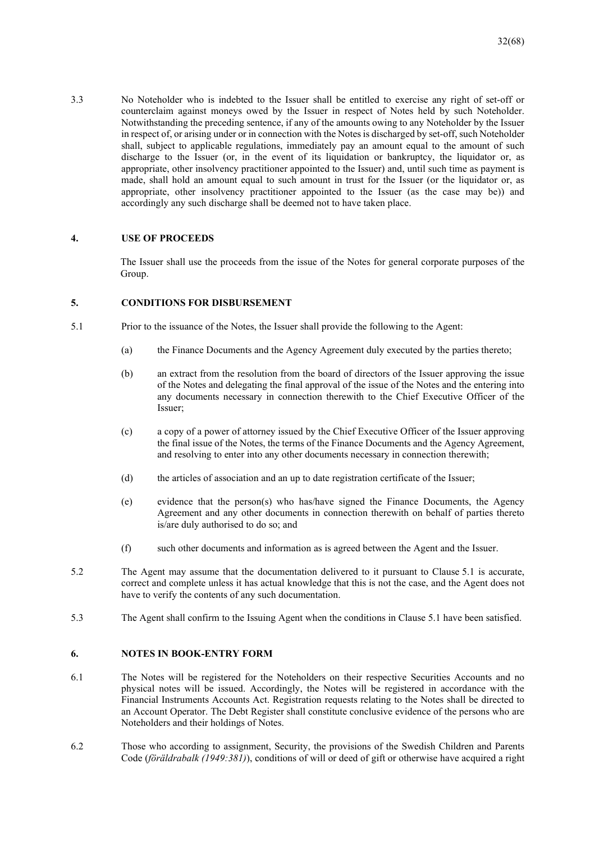3.3 No Noteholder who is indebted to the Issuer shall be entitled to exercise any right of set-off or counterclaim against moneys owed by the Issuer in respect of Notes held by such Noteholder. Notwithstanding the preceding sentence, if any of the amounts owing to any Noteholder by the Issuer in respect of, or arising under or in connection with the Notes is discharged by set-off, such Noteholder shall, subject to applicable regulations, immediately pay an amount equal to the amount of such discharge to the Issuer (or, in the event of its liquidation or bankruptcy, the liquidator or, as appropriate, other insolvency practitioner appointed to the Issuer) and, until such time as payment is made, shall hold an amount equal to such amount in trust for the Issuer (or the liquidator or, as appropriate, other insolvency practitioner appointed to the Issuer (as the case may be)) and accordingly any such discharge shall be deemed not to have taken place.

#### **4. USE OF PROCEEDS**

The Issuer shall use the proceeds from the issue of the Notes for general corporate purposes of the Group.

#### **5. CONDITIONS FOR DISBURSEMENT**

- 5.1 Prior to the issuance of the Notes, the Issuer shall provide the following to the Agent:
	- (a) the Finance Documents and the Agency Agreement duly executed by the parties thereto;
	- (b) an extract from the resolution from the board of directors of the Issuer approving the issue of the Notes and delegating the final approval of the issue of the Notes and the entering into any documents necessary in connection therewith to the Chief Executive Officer of the Issuer;
	- (c) a copy of a power of attorney issued by the Chief Executive Officer of the Issuer approving the final issue of the Notes, the terms of the Finance Documents and the Agency Agreement, and resolving to enter into any other documents necessary in connection therewith;
	- (d) the articles of association and an up to date registration certificate of the Issuer;
	- (e) evidence that the person(s) who has/have signed the Finance Documents, the Agency Agreement and any other documents in connection therewith on behalf of parties thereto is/are duly authorised to do so; and
	- (f) such other documents and information as is agreed between the Agent and the Issuer.
- 5.2 The Agent may assume that the documentation delivered to it pursuant to Clause 5.1 is accurate, correct and complete unless it has actual knowledge that this is not the case, and the Agent does not have to verify the contents of any such documentation.
- 5.3 The Agent shall confirm to the Issuing Agent when the conditions in Clause 5.1 have been satisfied.

#### **6. NOTES IN BOOK-ENTRY FORM**

- 6.1 The Notes will be registered for the Noteholders on their respective Securities Accounts and no physical notes will be issued. Accordingly, the Notes will be registered in accordance with the Financial Instruments Accounts Act. Registration requests relating to the Notes shall be directed to an Account Operator. The Debt Register shall constitute conclusive evidence of the persons who are Noteholders and their holdings of Notes.
- 6.2 Those who according to assignment, Security, the provisions of the Swedish Children and Parents Code (*föräldrabalk (1949:381)*), conditions of will or deed of gift or otherwise have acquired a right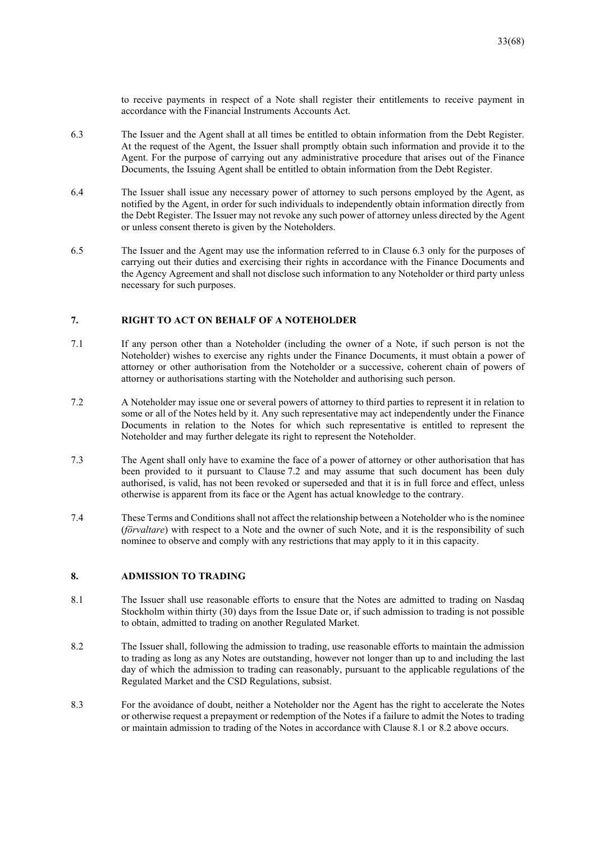to receive payments in respect of a Note shall register their entitlements to receive payment in accordance with the Financial Instruments Accounts Act.

- 6.3 The Issuer and the Agent shall at all times be entitled to obtain information from the Debt Register. At the request of the Agent, the Issuer shall promptly obtain such information and provide it to the Agent. For the purpose of carrying out any administrative procedure that arises out of the Finance Documents, the Issuing Agent shall be entitled to obtain information from the Debt Register.
- 6.4 The Issuer shall issue any necessary power of attorney to such persons employed by the Agent, as notified by the Agent, in order for such individuals to independently obtain information directly from the Debt Register. The Issuer may not revoke any such power of attorney unless directed by the Agent or unless consent thereto is given by the Noteholders.
- 6.5 The Issuer and the Agent may use the information referred to in Clause 6.3 only for the purposes of carrying out their duties and exercising their rights in accordance with the Finance Documents and the Agency Agreement and shall not disclose such information to any Noteholder or third party unless necessary for such purposes.

#### **7. RIGHT TO ACT ON BEHALF OF A NOTEHOLDER**

- 7.1 If any person other than a Noteholder (including the owner of a Note, if such person is not the Noteholder) wishes to exercise any rights under the Finance Documents, it must obtain a power of attorney or other authorisation from the Noteholder or a successive, coherent chain of powers of attorney or authorisations starting with the Noteholder and authorising such person.
- 7.2 A Noteholder may issue one or several powers of attorney to third parties to represent it in relation to some or all of the Notes held by it. Any such representative may act independently under the Finance Documents in relation to the Notes for which such representative is entitled to represent the Noteholder and may further delegate its right to represent the Noteholder.
- 7.3 The Agent shall only have to examine the face of a power of attorney or other authorisation that has been provided to it pursuant to Clause 7.2 and may assume that such document has been duly authorised, is valid, has not been revoked or superseded and that it is in full force and effect, unless otherwise is apparent from its face or the Agent has actual knowledge to the contrary.
- 7.4 These Terms and Conditions shall not affect the relationship between a Noteholder who is the nominee (*förvaltare*) with respect to a Note and the owner of such Note, and it is the responsibility of such nominee to observe and comply with any restrictions that may apply to it in this capacity.

## **8. ADMISSION TO TRADING**

- 8.1 The Issuer shall use reasonable efforts to ensure that the Notes are admitted to trading on Nasdaq Stockholm within thirty (30) days from the Issue Date or, if such admission to trading is not possible to obtain, admitted to trading on another Regulated Market.
- 8.2 The Issuer shall, following the admission to trading, use reasonable efforts to maintain the admission to trading as long as any Notes are outstanding, however not longer than up to and including the last day of which the admission to trading can reasonably, pursuant to the applicable regulations of the Regulated Market and the CSD Regulations, subsist.
- 8.3 For the avoidance of doubt, neither a Noteholder nor the Agent has the right to accelerate the Notes or otherwise request a prepayment or redemption of the Notes if a failure to admit the Notes to trading or maintain admission to trading of the Notes in accordance with Clause 8.1 or 8.2 above occurs.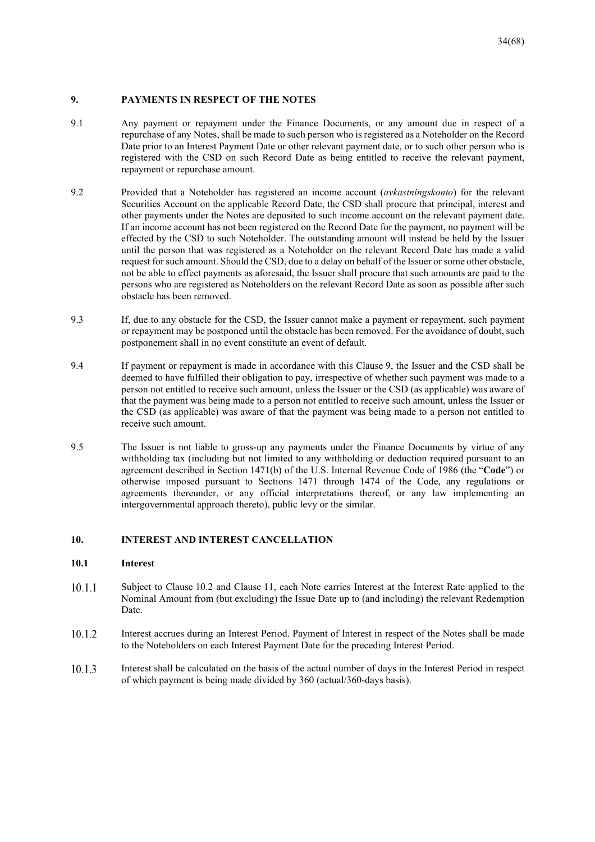#### **9. PAYMENTS IN RESPECT OF THE NOTES**

- 9.1 Any payment or repayment under the Finance Documents, or any amount due in respect of a repurchase of any Notes, shall be made to such person who is registered as a Noteholder on the Record Date prior to an Interest Payment Date or other relevant payment date, or to such other person who is registered with the CSD on such Record Date as being entitled to receive the relevant payment, repayment or repurchase amount.
- 9.2 Provided that a Noteholder has registered an income account (*avkastningskonto*) for the relevant Securities Account on the applicable Record Date, the CSD shall procure that principal, interest and other payments under the Notes are deposited to such income account on the relevant payment date. If an income account has not been registered on the Record Date for the payment, no payment will be effected by the CSD to such Noteholder. The outstanding amount will instead be held by the Issuer until the person that was registered as a Noteholder on the relevant Record Date has made a valid request for such amount. Should the CSD, due to a delay on behalf of the Issuer or some other obstacle, not be able to effect payments as aforesaid, the Issuer shall procure that such amounts are paid to the persons who are registered as Noteholders on the relevant Record Date as soon as possible after such obstacle has been removed.
- 9.3 If, due to any obstacle for the CSD, the Issuer cannot make a payment or repayment, such payment or repayment may be postponed until the obstacle has been removed. For the avoidance of doubt, such postponement shall in no event constitute an event of default.
- 9.4 If payment or repayment is made in accordance with this Clause 9, the Issuer and the CSD shall be deemed to have fulfilled their obligation to pay, irrespective of whether such payment was made to a person not entitled to receive such amount, unless the Issuer or the CSD (as applicable) was aware of that the payment was being made to a person not entitled to receive such amount, unless the Issuer or the CSD (as applicable) was aware of that the payment was being made to a person not entitled to receive such amount.
- 9.5 The Issuer is not liable to gross-up any payments under the Finance Documents by virtue of any withholding tax (including but not limited to any withholding or deduction required pursuant to an agreement described in Section 1471(b) of the U.S. Internal Revenue Code of 1986 (the "**Code**") or otherwise imposed pursuant to Sections 1471 through 1474 of the Code, any regulations or agreements thereunder, or any official interpretations thereof, or any law implementing an intergovernmental approach thereto), public levy or the similar.

#### **10. INTEREST AND INTEREST CANCELLATION**

#### **10.1 Interest**

- $10.1.1$ Subject to Clause 10.2 and Clause 11, each Note carries Interest at the Interest Rate applied to the Nominal Amount from (but excluding) the Issue Date up to (and including) the relevant Redemption Date.
- 10.1.2 Interest accrues during an Interest Period. Payment of Interest in respect of the Notes shall be made to the Noteholders on each Interest Payment Date for the preceding Interest Period.
- 10.1.3 Interest shall be calculated on the basis of the actual number of days in the Interest Period in respect of which payment is being made divided by 360 (actual/360-days basis).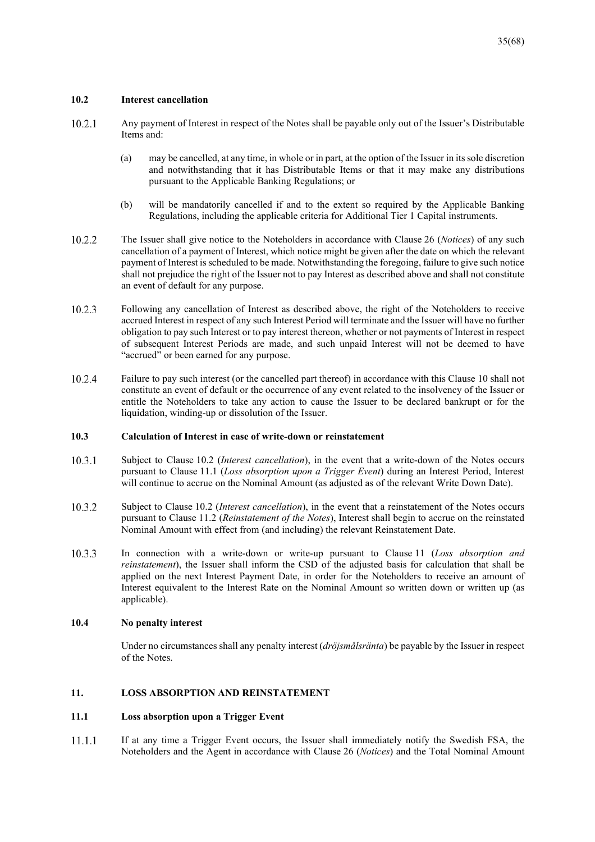#### **10.2 Interest cancellation**

- 10.2.1 Any payment of Interest in respect of the Notes shall be payable only out of the Issuer's Distributable Items and:
	- (a) may be cancelled, at any time, in whole or in part, at the option of the Issuer in its sole discretion and notwithstanding that it has Distributable Items or that it may make any distributions pursuant to the Applicable Banking Regulations; or
	- (b) will be mandatorily cancelled if and to the extent so required by the Applicable Banking Regulations, including the applicable criteria for Additional Tier 1 Capital instruments.
- 10.2.2 The Issuer shall give notice to the Noteholders in accordance with Clause 26 (*Notices*) of any such cancellation of a payment of Interest, which notice might be given after the date on which the relevant payment of Interest is scheduled to be made. Notwithstanding the foregoing, failure to give such notice shall not prejudice the right of the Issuer not to pay Interest as described above and shall not constitute an event of default for any purpose.
- 10.2.3 Following any cancellation of Interest as described above, the right of the Noteholders to receive accrued Interest in respect of any such Interest Period will terminate and the Issuer will have no further obligation to pay such Interest or to pay interest thereon, whether or not payments of Interest in respect of subsequent Interest Periods are made, and such unpaid Interest will not be deemed to have "accrued" or been earned for any purpose.
- 10.2.4 Failure to pay such interest (or the cancelled part thereof) in accordance with this Clause 10 shall not constitute an event of default or the occurrence of any event related to the insolvency of the Issuer or entitle the Noteholders to take any action to cause the Issuer to be declared bankrupt or for the liquidation, winding-up or dissolution of the Issuer.

#### **10.3 Calculation of Interest in case of write-down or reinstatement**

- 10.3.1 Subject to Clause 10.2 (*Interest cancellation*), in the event that a write-down of the Notes occurs pursuant to Clause 11.1 (*Loss absorption upon a Trigger Event*) during an Interest Period, Interest will continue to accrue on the Nominal Amount (as adjusted as of the relevant Write Down Date).
- 10.3.2 Subject to Clause 10.2 (*Interest cancellation*), in the event that a reinstatement of the Notes occurs pursuant to Clause 11.2 (*Reinstatement of the Notes*), Interest shall begin to accrue on the reinstated Nominal Amount with effect from (and including) the relevant Reinstatement Date.
- 10.3.3 In connection with a write-down or write-up pursuant to Clause 11 (*Loss absorption and reinstatement*), the Issuer shall inform the CSD of the adjusted basis for calculation that shall be applied on the next Interest Payment Date, in order for the Noteholders to receive an amount of Interest equivalent to the Interest Rate on the Nominal Amount so written down or written up (as applicable).

#### **10.4 No penalty interest**

Under no circumstances shall any penalty interest (*dröjsmålsränta*) be payable by the Issuer in respect of the Notes.

#### **11. LOSS ABSORPTION AND REINSTATEMENT**

#### **11.1 Loss absorption upon a Trigger Event**

 $11.1.1$ If at any time a Trigger Event occurs, the Issuer shall immediately notify the Swedish FSA, the Noteholders and the Agent in accordance with Clause 26 (*Notices*) and the Total Nominal Amount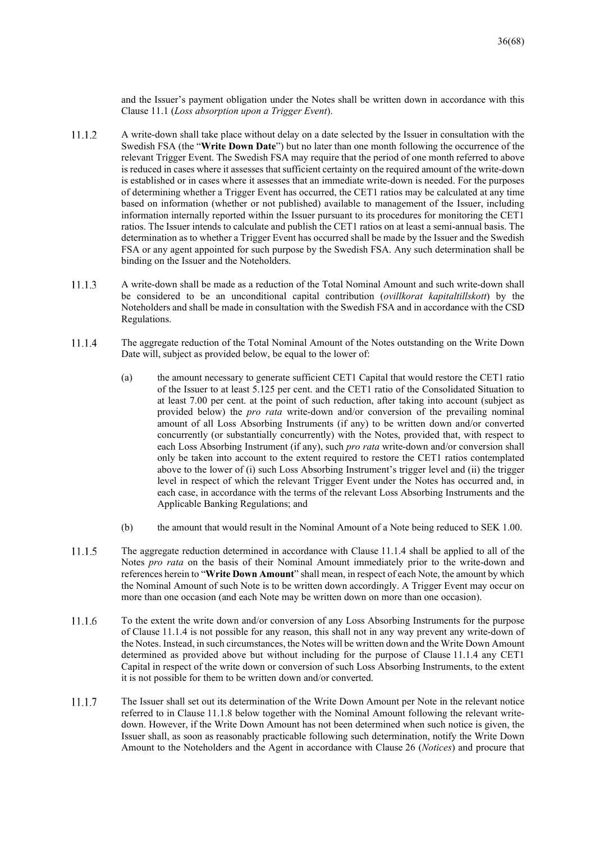and the Issuer's payment obligation under the Notes shall be written down in accordance with this Clause 11.1 (*Loss absorption upon a Trigger Event*).

- 11.1.2 A write-down shall take place without delay on a date selected by the Issuer in consultation with the Swedish FSA (the "**Write Down Date**") but no later than one month following the occurrence of the relevant Trigger Event. The Swedish FSA may require that the period of one month referred to above is reduced in cases where it assesses that sufficient certainty on the required amount of the write-down is established or in cases where it assesses that an immediate write-down is needed. For the purposes of determining whether a Trigger Event has occurred, the CET1 ratios may be calculated at any time based on information (whether or not published) available to management of the Issuer, including information internally reported within the Issuer pursuant to its procedures for monitoring the CET1 ratios. The Issuer intends to calculate and publish the CET1 ratios on at least a semi-annual basis. The determination as to whether a Trigger Event has occurred shall be made by the Issuer and the Swedish FSA or any agent appointed for such purpose by the Swedish FSA. Any such determination shall be binding on the Issuer and the Noteholders.
- A write-down shall be made as a reduction of the Total Nominal Amount and such write-down shall 11.1.3 be considered to be an unconditional capital contribution (*ovillkorat kapitaltillskott*) by the Noteholders and shall be made in consultation with the Swedish FSA and in accordance with the CSD Regulations.
- 11.1.4 The aggregate reduction of the Total Nominal Amount of the Notes outstanding on the Write Down Date will, subject as provided below, be equal to the lower of:
	- (a) the amount necessary to generate sufficient CET1 Capital that would restore the CET1 ratio of the Issuer to at least 5.125 per cent. and the CET1 ratio of the Consolidated Situation to at least 7.00 per cent. at the point of such reduction, after taking into account (subject as provided below) the *pro rata* write-down and/or conversion of the prevailing nominal amount of all Loss Absorbing Instruments (if any) to be written down and/or converted concurrently (or substantially concurrently) with the Notes, provided that, with respect to each Loss Absorbing Instrument (if any), such *pro rata* write-down and/or conversion shall only be taken into account to the extent required to restore the CET1 ratios contemplated above to the lower of (i) such Loss Absorbing Instrument's trigger level and (ii) the trigger level in respect of which the relevant Trigger Event under the Notes has occurred and, in each case, in accordance with the terms of the relevant Loss Absorbing Instruments and the Applicable Banking Regulations; and
	- (b) the amount that would result in the Nominal Amount of a Note being reduced to SEK 1.00.
- 11.1.5 The aggregate reduction determined in accordance with Clause 11.1.4 shall be applied to all of the Notes *pro rata* on the basis of their Nominal Amount immediately prior to the write-down and references herein to "**Write Down Amount**" shall mean, in respect of each Note, the amount by which the Nominal Amount of such Note is to be written down accordingly. A Trigger Event may occur on more than one occasion (and each Note may be written down on more than one occasion).
- 11.1.6 To the extent the write down and/or conversion of any Loss Absorbing Instruments for the purpose of Clause 11.1.4 is not possible for any reason, this shall not in any way prevent any write-down of the Notes. Instead, in such circumstances, the Notes will be written down and the Write Down Amount determined as provided above but without including for the purpose of Clause 11.1.4 any CET1 Capital in respect of the write down or conversion of such Loss Absorbing Instruments, to the extent it is not possible for them to be written down and/or converted.
- 11.1.7 The Issuer shall set out its determination of the Write Down Amount per Note in the relevant notice referred to in Clause 11.1.8 below together with the Nominal Amount following the relevant writedown. However, if the Write Down Amount has not been determined when such notice is given, the Issuer shall, as soon as reasonably practicable following such determination, notify the Write Down Amount to the Noteholders and the Agent in accordance with Clause 26 (*Notices*) and procure that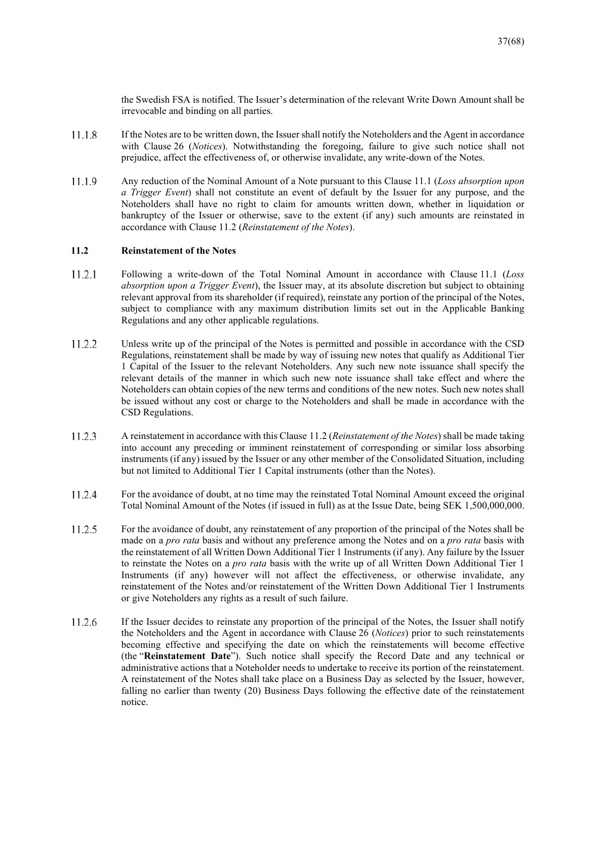the Swedish FSA is notified. The Issuer's determination of the relevant Write Down Amount shall be irrevocable and binding on all parties.

- 11.1.8 If the Notes are to be written down, the Issuer shall notify the Noteholders and the Agent in accordance with Clause 26 (*Notices*). Notwithstanding the foregoing, failure to give such notice shall not prejudice, affect the effectiveness of, or otherwise invalidate, any write-down of the Notes.
- 11.1.9 Any reduction of the Nominal Amount of a Note pursuant to this Clause 11.1 (*Loss absorption upon a Trigger Event*) shall not constitute an event of default by the Issuer for any purpose, and the Noteholders shall have no right to claim for amounts written down, whether in liquidation or bankruptcy of the Issuer or otherwise, save to the extent (if any) such amounts are reinstated in accordance with Clause 11.2 (*Reinstatement of the Notes*).

#### **11.2 Reinstatement of the Notes**

- 11.2.1 Following a write-down of the Total Nominal Amount in accordance with Clause 11.1 (*Loss absorption upon a Trigger Event*), the Issuer may, at its absolute discretion but subject to obtaining relevant approval from its shareholder (if required), reinstate any portion of the principal of the Notes, subject to compliance with any maximum distribution limits set out in the Applicable Banking Regulations and any other applicable regulations.
- 11.2.2 Unless write up of the principal of the Notes is permitted and possible in accordance with the CSD Regulations, reinstatement shall be made by way of issuing new notes that qualify as Additional Tier 1 Capital of the Issuer to the relevant Noteholders. Any such new note issuance shall specify the relevant details of the manner in which such new note issuance shall take effect and where the Noteholders can obtain copies of the new terms and conditions of the new notes. Such new notes shall be issued without any cost or charge to the Noteholders and shall be made in accordance with the CSD Regulations.
- 11.2.3 A reinstatement in accordance with this Clause 11.2 (*Reinstatement of the Notes*) shall be made taking into account any preceding or imminent reinstatement of corresponding or similar loss absorbing instruments (if any) issued by the Issuer or any other member of the Consolidated Situation, including but not limited to Additional Tier 1 Capital instruments (other than the Notes).
- 11.2.4 For the avoidance of doubt, at no time may the reinstated Total Nominal Amount exceed the original Total Nominal Amount of the Notes (if issued in full) as at the Issue Date, being SEK 1,500,000,000.
- 11.2.5 For the avoidance of doubt, any reinstatement of any proportion of the principal of the Notes shall be made on a *pro rata* basis and without any preference among the Notes and on a *pro rata* basis with the reinstatement of all Written Down Additional Tier 1 Instruments (if any). Any failure by the Issuer to reinstate the Notes on a *pro rata* basis with the write up of all Written Down Additional Tier 1 Instruments (if any) however will not affect the effectiveness, or otherwise invalidate, any reinstatement of the Notes and/or reinstatement of the Written Down Additional Tier 1 Instruments or give Noteholders any rights as a result of such failure.
- If the Issuer decides to reinstate any proportion of the principal of the Notes, the Issuer shall notify 11.2.6 the Noteholders and the Agent in accordance with Clause 26 (*Notices*) prior to such reinstatements becoming effective and specifying the date on which the reinstatements will become effective (the "**Reinstatement Date**"). Such notice shall specify the Record Date and any technical or administrative actions that a Noteholder needs to undertake to receive its portion of the reinstatement. A reinstatement of the Notes shall take place on a Business Day as selected by the Issuer, however, falling no earlier than twenty (20) Business Days following the effective date of the reinstatement notice.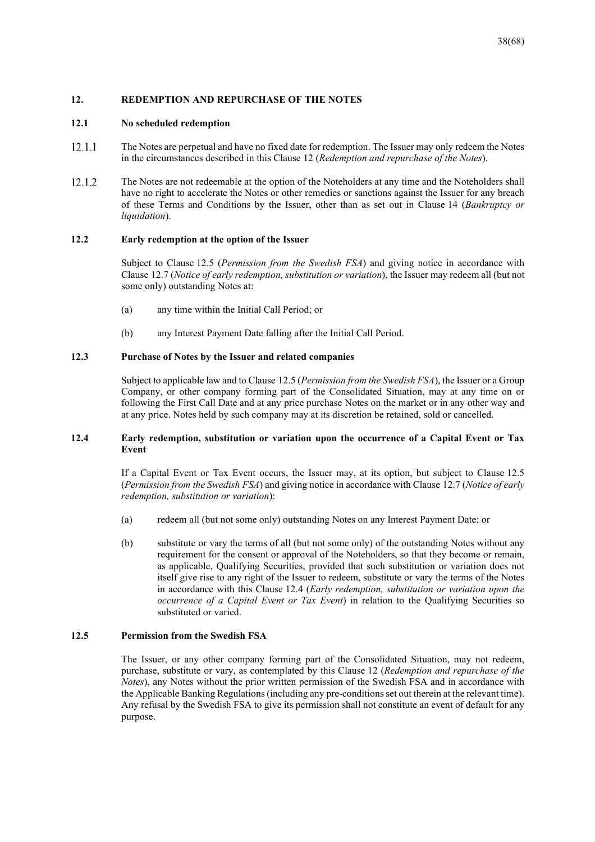#### **12. REDEMPTION AND REPURCHASE OF THE NOTES**

#### **12.1 No scheduled redemption**

- $12.1.1$ The Notes are perpetual and have no fixed date for redemption. The Issuer may only redeem the Notes in the circumstances described in this Clause 12 (*Redemption and repurchase of the Notes*).
- 12.1.2 The Notes are not redeemable at the option of the Noteholders at any time and the Noteholders shall have no right to accelerate the Notes or other remedies or sanctions against the Issuer for any breach of these Terms and Conditions by the Issuer, other than as set out in Clause 14 (*Bankruptcy or liquidation*).

#### **12.2 Early redemption at the option of the Issuer**

Subject to Clause 12.5 (*Permission from the Swedish FSA*) and giving notice in accordance with Clause 12.7 (*Notice of early redemption, substitution or variation*), the Issuer may redeem all (but not some only) outstanding Notes at:

- (a) any time within the Initial Call Period; or
- (b) any Interest Payment Date falling after the Initial Call Period.

#### **12.3 Purchase of Notes by the Issuer and related companies**

Subject to applicable law and to Clause 12.5 (*Permission from the Swedish FSA*), the Issuer or a Group Company, or other company forming part of the Consolidated Situation, may at any time on or following the First Call Date and at any price purchase Notes on the market or in any other way and at any price. Notes held by such company may at its discretion be retained, sold or cancelled.

#### **12.4 Early redemption, substitution or variation upon the occurrence of a Capital Event or Tax Event**

If a Capital Event or Tax Event occurs, the Issuer may, at its option, but subject to Clause 12.5 (*Permission from the Swedish FSA*) and giving notice in accordance with Clause 12.7 (*Notice of early redemption, substitution or variation*):

- (a) redeem all (but not some only) outstanding Notes on any Interest Payment Date; or
- (b) substitute or vary the terms of all (but not some only) of the outstanding Notes without any requirement for the consent or approval of the Noteholders, so that they become or remain, as applicable, Qualifying Securities, provided that such substitution or variation does not itself give rise to any right of the Issuer to redeem, substitute or vary the terms of the Notes in accordance with this Clause 12.4 (*Early redemption, substitution or variation upon the occurrence of a Capital Event or Tax Event*) in relation to the Qualifying Securities so substituted or varied.

#### **12.5 Permission from the Swedish FSA**

The Issuer, or any other company forming part of the Consolidated Situation, may not redeem, purchase, substitute or vary, as contemplated by this Clause 12 (*Redemption and repurchase of the Notes*), any Notes without the prior written permission of the Swedish FSA and in accordance with the Applicable Banking Regulations (including any pre-conditions set out therein at the relevant time). Any refusal by the Swedish FSA to give its permission shall not constitute an event of default for any purpose.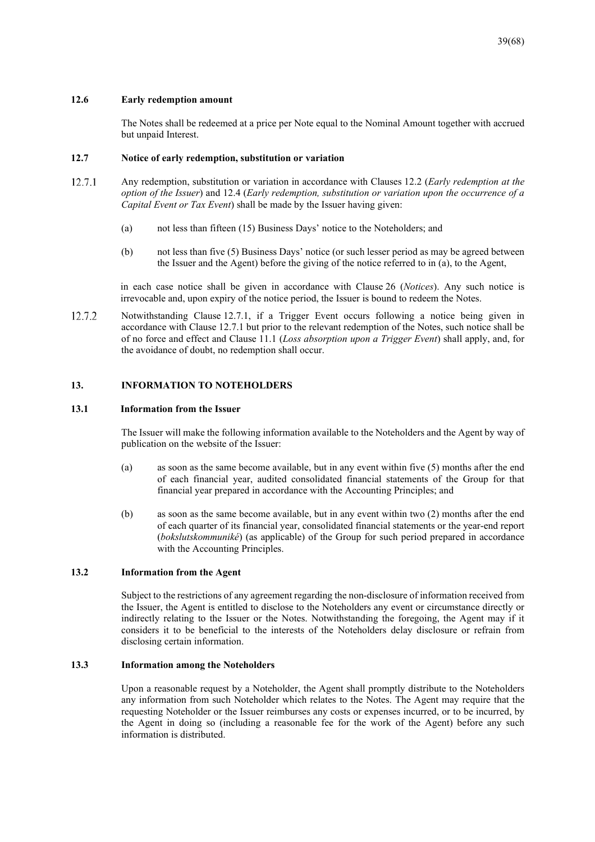#### **12.6 Early redemption amount**

The Notes shall be redeemed at a price per Note equal to the Nominal Amount together with accrued but unpaid Interest.

#### **12.7 Notice of early redemption, substitution or variation**

- 12.7.1 Any redemption, substitution or variation in accordance with Clauses 12.2 (*Early redemption at the option of the Issuer*) and 12.4 (*Early redemption, substitution or variation upon the occurrence of a Capital Event or Tax Event*) shall be made by the Issuer having given:
	- (a) not less than fifteen (15) Business Days' notice to the Noteholders; and
	- (b) not less than five (5) Business Days' notice (or such lesser period as may be agreed between the Issuer and the Agent) before the giving of the notice referred to in (a), to the Agent,

in each case notice shall be given in accordance with Clause 26 (*Notices*). Any such notice is irrevocable and, upon expiry of the notice period, the Issuer is bound to redeem the Notes.

12.7.2 Notwithstanding Clause 12.7.1, if a Trigger Event occurs following a notice being given in accordance with Clause 12.7.1 but prior to the relevant redemption of the Notes, such notice shall be of no force and effect and Clause 11.1 (*Loss absorption upon a Trigger Event*) shall apply, and, for the avoidance of doubt, no redemption shall occur.

#### **13. INFORMATION TO NOTEHOLDERS**

#### **13.1 Information from the Issuer**

The Issuer will make the following information available to the Noteholders and the Agent by way of publication on the website of the Issuer:

- (a) as soon as the same become available, but in any event within five (5) months after the end of each financial year, audited consolidated financial statements of the Group for that financial year prepared in accordance with the Accounting Principles; and
- (b) as soon as the same become available, but in any event within two (2) months after the end of each quarter of its financial year, consolidated financial statements or the year-end report (*bokslutskommuniké*) (as applicable) of the Group for such period prepared in accordance with the Accounting Principles.

#### **13.2 Information from the Agent**

Subject to the restrictions of any agreement regarding the non-disclosure of information received from the Issuer, the Agent is entitled to disclose to the Noteholders any event or circumstance directly or indirectly relating to the Issuer or the Notes. Notwithstanding the foregoing, the Agent may if it considers it to be beneficial to the interests of the Noteholders delay disclosure or refrain from disclosing certain information.

#### **13.3 Information among the Noteholders**

Upon a reasonable request by a Noteholder, the Agent shall promptly distribute to the Noteholders any information from such Noteholder which relates to the Notes. The Agent may require that the requesting Noteholder or the Issuer reimburses any costs or expenses incurred, or to be incurred, by the Agent in doing so (including a reasonable fee for the work of the Agent) before any such information is distributed.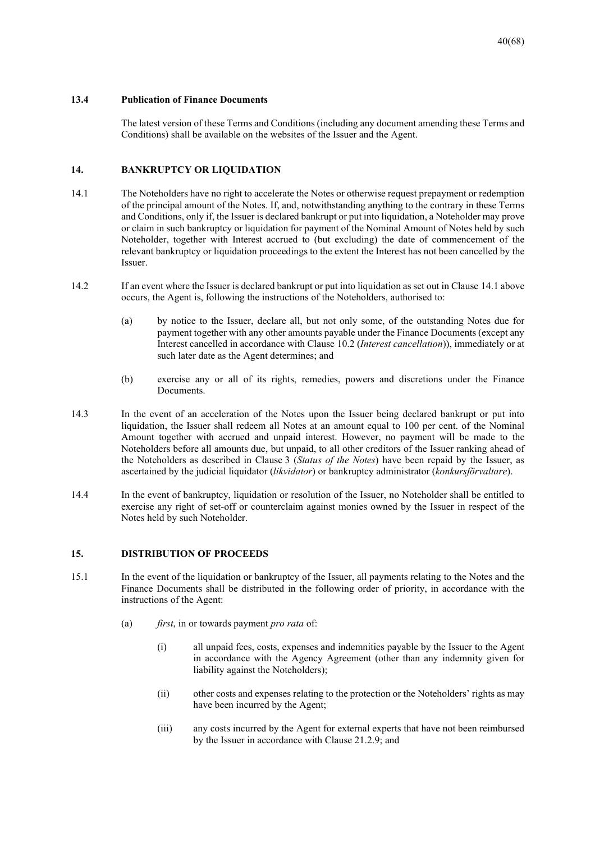#### **13.4 Publication of Finance Documents**

The latest version of these Terms and Conditions (including any document amending these Terms and Conditions) shall be available on the websites of the Issuer and the Agent.

## **14. BANKRUPTCY OR LIQUIDATION**

- 14.1 The Noteholders have no right to accelerate the Notes or otherwise request prepayment or redemption of the principal amount of the Notes. If, and, notwithstanding anything to the contrary in these Terms and Conditions, only if, the Issuer is declared bankrupt or put into liquidation, a Noteholder may prove or claim in such bankruptcy or liquidation for payment of the Nominal Amount of Notes held by such Noteholder, together with Interest accrued to (but excluding) the date of commencement of the relevant bankruptcy or liquidation proceedings to the extent the Interest has not been cancelled by the Issuer.
- 14.2 If an event where the Issuer is declared bankrupt or put into liquidation as set out in Clause 14.1 above occurs, the Agent is, following the instructions of the Noteholders, authorised to:
	- (a) by notice to the Issuer, declare all, but not only some, of the outstanding Notes due for payment together with any other amounts payable under the Finance Documents (except any Interest cancelled in accordance with Clause 10.2 (*Interest cancellation*)), immediately or at such later date as the Agent determines; and
	- (b) exercise any or all of its rights, remedies, powers and discretions under the Finance Documents.
- 14.3 In the event of an acceleration of the Notes upon the Issuer being declared bankrupt or put into liquidation, the Issuer shall redeem all Notes at an amount equal to 100 per cent. of the Nominal Amount together with accrued and unpaid interest. However, no payment will be made to the Noteholders before all amounts due, but unpaid, to all other creditors of the Issuer ranking ahead of the Noteholders as described in Clause 3 (*Status of the Notes*) have been repaid by the Issuer, as ascertained by the judicial liquidator (*likvidator*) or bankruptcy administrator (*konkursförvaltare*).
- 14.4 In the event of bankruptcy, liquidation or resolution of the Issuer, no Noteholder shall be entitled to exercise any right of set-off or counterclaim against monies owned by the Issuer in respect of the Notes held by such Noteholder.

#### **15. DISTRIBUTION OF PROCEEDS**

- 15.1 In the event of the liquidation or bankruptcy of the Issuer, all payments relating to the Notes and the Finance Documents shall be distributed in the following order of priority, in accordance with the instructions of the Agent:
	- (a) *first*, in or towards payment *pro rata* of:
		- (i) all unpaid fees, costs, expenses and indemnities payable by the Issuer to the Agent in accordance with the Agency Agreement (other than any indemnity given for liability against the Noteholders);
		- (ii) other costs and expenses relating to the protection or the Noteholders' rights as may have been incurred by the Agent;
		- (iii) any costs incurred by the Agent for external experts that have not been reimbursed by the Issuer in accordance with Clause 21.2.9; and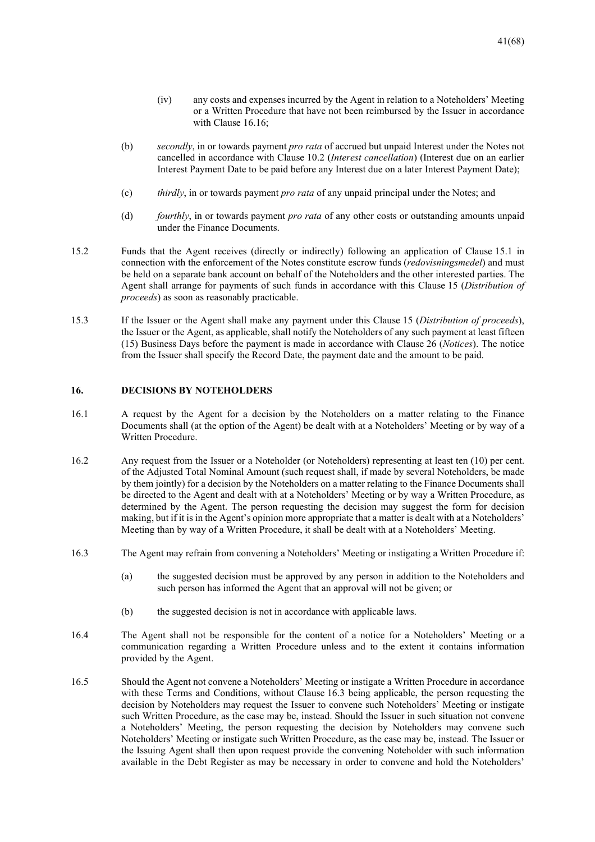- (iv) any costs and expenses incurred by the Agent in relation to a Noteholders' Meeting or a Written Procedure that have not been reimbursed by the Issuer in accordance with Clause 16.16;
- (b) *secondly*, in or towards payment *pro rata* of accrued but unpaid Interest under the Notes not cancelled in accordance with Clause 10.2 (*Interest cancellation*) (Interest due on an earlier Interest Payment Date to be paid before any Interest due on a later Interest Payment Date);
- (c) *thirdly*, in or towards payment *pro rata* of any unpaid principal under the Notes; and
- (d) *fourthly*, in or towards payment *pro rata* of any other costs or outstanding amounts unpaid under the Finance Documents.
- 15.2 Funds that the Agent receives (directly or indirectly) following an application of Clause 15.1 in connection with the enforcement of the Notes constitute escrow funds (*redovisningsmedel*) and must be held on a separate bank account on behalf of the Noteholders and the other interested parties. The Agent shall arrange for payments of such funds in accordance with this Clause 15 (*Distribution of proceeds*) as soon as reasonably practicable.
- 15.3 If the Issuer or the Agent shall make any payment under this Clause 15 (*Distribution of proceeds*), the Issuer or the Agent, as applicable, shall notify the Noteholders of any such payment at least fifteen (15) Business Days before the payment is made in accordance with Clause 26 (*Notices*). The notice from the Issuer shall specify the Record Date, the payment date and the amount to be paid.

#### **16. DECISIONS BY NOTEHOLDERS**

- 16.1 A request by the Agent for a decision by the Noteholders on a matter relating to the Finance Documents shall (at the option of the Agent) be dealt with at a Noteholders' Meeting or by way of a Written Procedure.
- 16.2 Any request from the Issuer or a Noteholder (or Noteholders) representing at least ten (10) per cent. of the Adjusted Total Nominal Amount (such request shall, if made by several Noteholders, be made by them jointly) for a decision by the Noteholders on a matter relating to the Finance Documents shall be directed to the Agent and dealt with at a Noteholders' Meeting or by way a Written Procedure, as determined by the Agent. The person requesting the decision may suggest the form for decision making, but if it is in the Agent's opinion more appropriate that a matter is dealt with at a Noteholders' Meeting than by way of a Written Procedure, it shall be dealt with at a Noteholders' Meeting.
- 16.3 The Agent may refrain from convening a Noteholders' Meeting or instigating a Written Procedure if:
	- (a) the suggested decision must be approved by any person in addition to the Noteholders and such person has informed the Agent that an approval will not be given; or
	- (b) the suggested decision is not in accordance with applicable laws.
- 16.4 The Agent shall not be responsible for the content of a notice for a Noteholders' Meeting or a communication regarding a Written Procedure unless and to the extent it contains information provided by the Agent.
- 16.5 Should the Agent not convene a Noteholders' Meeting or instigate a Written Procedure in accordance with these Terms and Conditions, without Clause 16.3 being applicable, the person requesting the decision by Noteholders may request the Issuer to convene such Noteholders' Meeting or instigate such Written Procedure, as the case may be, instead. Should the Issuer in such situation not convene a Noteholders' Meeting, the person requesting the decision by Noteholders may convene such Noteholders' Meeting or instigate such Written Procedure, as the case may be, instead. The Issuer or the Issuing Agent shall then upon request provide the convening Noteholder with such information available in the Debt Register as may be necessary in order to convene and hold the Noteholders'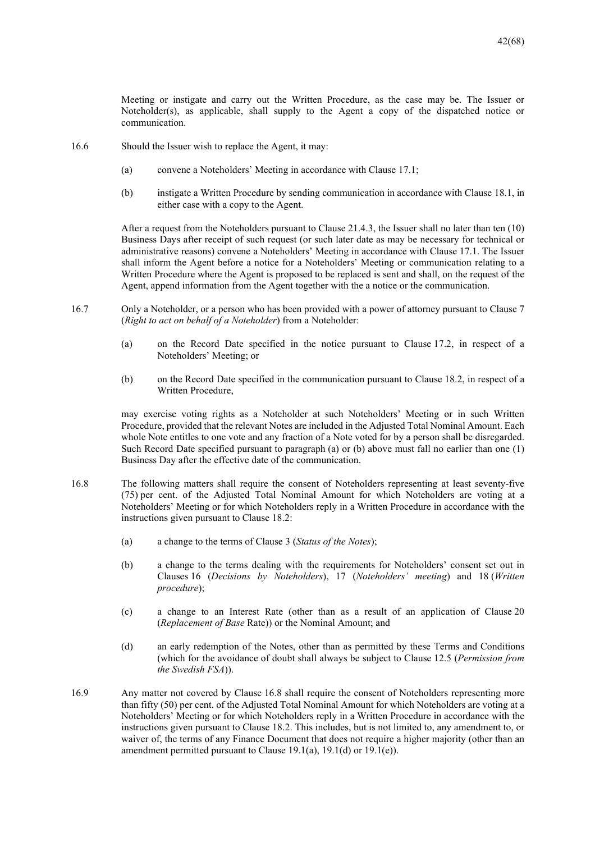Meeting or instigate and carry out the Written Procedure, as the case may be. The Issuer or Noteholder(s), as applicable, shall supply to the Agent a copy of the dispatched notice or communication.

- 16.6 Should the Issuer wish to replace the Agent, it may:
	- (a) convene a Noteholders' Meeting in accordance with Clause 17.1;
	- (b) instigate a Written Procedure by sending communication in accordance with Clause 18.1, in either case with a copy to the Agent.

After a request from the Noteholders pursuant to Clause 21.4.3, the Issuer shall no later than ten (10) Business Days after receipt of such request (or such later date as may be necessary for technical or administrative reasons) convene a Noteholders' Meeting in accordance with Clause 17.1. The Issuer shall inform the Agent before a notice for a Noteholders' Meeting or communication relating to a Written Procedure where the Agent is proposed to be replaced is sent and shall, on the request of the Agent, append information from the Agent together with the a notice or the communication.

- 16.7 Only a Noteholder, or a person who has been provided with a power of attorney pursuant to Clause 7 (*Right to act on behalf of a Noteholder*) from a Noteholder:
	- (a) on the Record Date specified in the notice pursuant to Clause 17.2, in respect of a Noteholders' Meeting; or
	- (b) on the Record Date specified in the communication pursuant to Clause 18.2, in respect of a Written Procedure,

may exercise voting rights as a Noteholder at such Noteholders' Meeting or in such Written Procedure, provided that the relevant Notes are included in the Adjusted Total Nominal Amount. Each whole Note entitles to one vote and any fraction of a Note voted for by a person shall be disregarded. Such Record Date specified pursuant to paragraph (a) or (b) above must fall no earlier than one (1) Business Day after the effective date of the communication.

- 16.8 The following matters shall require the consent of Noteholders representing at least seventy-five (75) per cent. of the Adjusted Total Nominal Amount for which Noteholders are voting at a Noteholders' Meeting or for which Noteholders reply in a Written Procedure in accordance with the instructions given pursuant to Clause 18.2:
	- (a) a change to the terms of Clause 3 (*Status of the Notes*);
	- (b) a change to the terms dealing with the requirements for Noteholders' consent set out in Clauses 16 (*Decisions by Noteholders*), 17 (*Noteholders' meeting*) and 18 (*Written procedure*);
	- (c) a change to an Interest Rate (other than as a result of an application of Clause 20 (*Replacement of Base* Rate)) or the Nominal Amount; and
	- (d) an early redemption of the Notes, other than as permitted by these Terms and Conditions (which for the avoidance of doubt shall always be subject to Clause 12.5 (*Permission from the Swedish FSA*)).
- 16.9 Any matter not covered by Clause 16.8 shall require the consent of Noteholders representing more than fifty (50) per cent. of the Adjusted Total Nominal Amount for which Noteholders are voting at a Noteholders' Meeting or for which Noteholders reply in a Written Procedure in accordance with the instructions given pursuant to Clause 18.2. This includes, but is not limited to, any amendment to, or waiver of, the terms of any Finance Document that does not require a higher majority (other than an amendment permitted pursuant to Clause 19.1(a), 19.1(d) or 19.1(e)).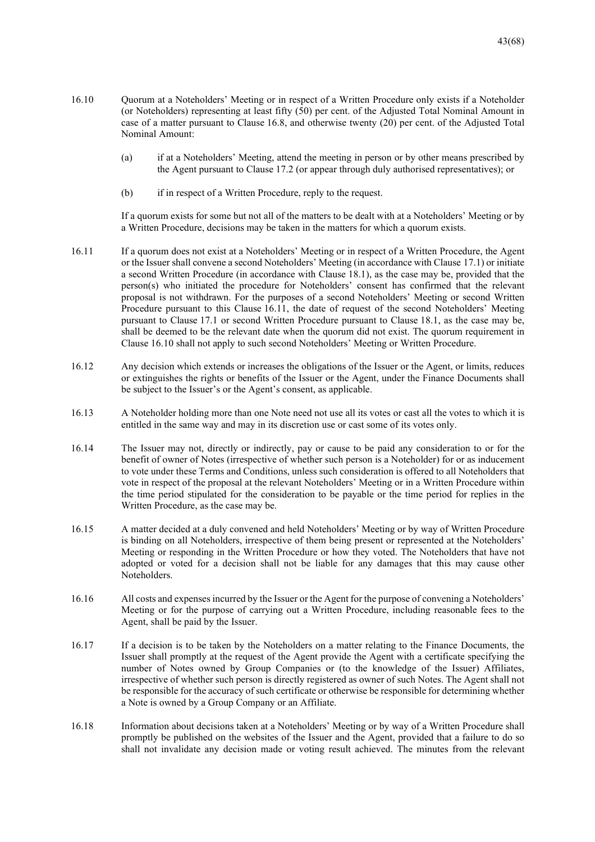- 16.10 Quorum at a Noteholders' Meeting or in respect of a Written Procedure only exists if a Noteholder (or Noteholders) representing at least fifty (50) per cent. of the Adjusted Total Nominal Amount in case of a matter pursuant to Clause 16.8, and otherwise twenty (20) per cent. of the Adjusted Total Nominal Amount:
	- (a) if at a Noteholders' Meeting, attend the meeting in person or by other means prescribed by the Agent pursuant to Clause 17.2 (or appear through duly authorised representatives); or
	- (b) if in respect of a Written Procedure, reply to the request.

If a quorum exists for some but not all of the matters to be dealt with at a Noteholders' Meeting or by a Written Procedure, decisions may be taken in the matters for which a quorum exists.

- 16.11 If a quorum does not exist at a Noteholders' Meeting or in respect of a Written Procedure, the Agent or the Issuer shall convene a second Noteholders' Meeting (in accordance with Clause 17.1) or initiate a second Written Procedure (in accordance with Clause 18.1), as the case may be, provided that the person(s) who initiated the procedure for Noteholders' consent has confirmed that the relevant proposal is not withdrawn. For the purposes of a second Noteholders' Meeting or second Written Procedure pursuant to this Clause 16.11, the date of request of the second Noteholders' Meeting pursuant to Clause 17.1 or second Written Procedure pursuant to Clause 18.1, as the case may be, shall be deemed to be the relevant date when the quorum did not exist. The quorum requirement in Clause 16.10 shall not apply to such second Noteholders' Meeting or Written Procedure.
- 16.12 Any decision which extends or increases the obligations of the Issuer or the Agent, or limits, reduces or extinguishes the rights or benefits of the Issuer or the Agent, under the Finance Documents shall be subject to the Issuer's or the Agent's consent, as applicable.
- 16.13 A Noteholder holding more than one Note need not use all its votes or cast all the votes to which it is entitled in the same way and may in its discretion use or cast some of its votes only.
- 16.14 The Issuer may not, directly or indirectly, pay or cause to be paid any consideration to or for the benefit of owner of Notes (irrespective of whether such person is a Noteholder) for or as inducement to vote under these Terms and Conditions, unless such consideration is offered to all Noteholders that vote in respect of the proposal at the relevant Noteholders' Meeting or in a Written Procedure within the time period stipulated for the consideration to be payable or the time period for replies in the Written Procedure, as the case may be.
- 16.15 A matter decided at a duly convened and held Noteholders' Meeting or by way of Written Procedure is binding on all Noteholders, irrespective of them being present or represented at the Noteholders' Meeting or responding in the Written Procedure or how they voted. The Noteholders that have not adopted or voted for a decision shall not be liable for any damages that this may cause other Noteholders.
- 16.16 All costs and expenses incurred by the Issuer or the Agent for the purpose of convening a Noteholders' Meeting or for the purpose of carrying out a Written Procedure, including reasonable fees to the Agent, shall be paid by the Issuer.
- 16.17 If a decision is to be taken by the Noteholders on a matter relating to the Finance Documents, the Issuer shall promptly at the request of the Agent provide the Agent with a certificate specifying the number of Notes owned by Group Companies or (to the knowledge of the Issuer) Affiliates, irrespective of whether such person is directly registered as owner of such Notes. The Agent shall not be responsible for the accuracy of such certificate or otherwise be responsible for determining whether a Note is owned by a Group Company or an Affiliate.
- 16.18 Information about decisions taken at a Noteholders' Meeting or by way of a Written Procedure shall promptly be published on the websites of the Issuer and the Agent, provided that a failure to do so shall not invalidate any decision made or voting result achieved. The minutes from the relevant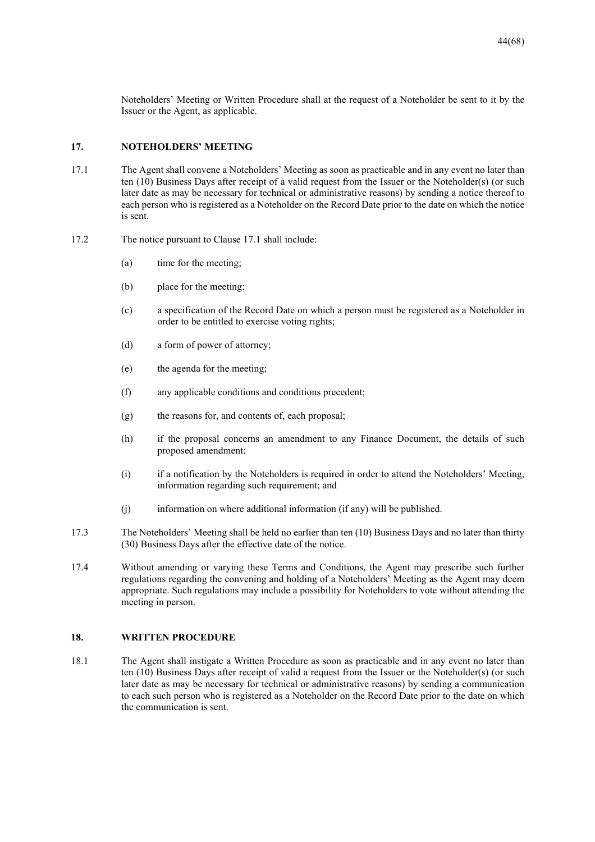Noteholders' Meeting or Written Procedure shall at the request of a Noteholder be sent to it by the Issuer or the Agent, as applicable.

#### **17. NOTEHOLDERS' MEETING**

- 17.1 The Agent shall convene a Noteholders' Meeting as soon as practicable and in any event no later than ten (10) Business Days after receipt of a valid request from the Issuer or the Noteholder(s) (or such later date as may be necessary for technical or administrative reasons) by sending a notice thereof to each person who is registered as a Noteholder on the Record Date prior to the date on which the notice is sent.
- 17.2 The notice pursuant to Clause 17.1 shall include:
	- (a) time for the meeting;
	- (b) place for the meeting;
	- (c) a specification of the Record Date on which a person must be registered as a Noteholder in order to be entitled to exercise voting rights;
	- (d) a form of power of attorney;
	- (e) the agenda for the meeting;
	- (f) any applicable conditions and conditions precedent;
	- (g) the reasons for, and contents of, each proposal;
	- (h) if the proposal concerns an amendment to any Finance Document, the details of such proposed amendment;
	- (i) if a notification by the Noteholders is required in order to attend the Noteholders' Meeting, information regarding such requirement; and
	- (j) information on where additional information (if any) will be published.
- 17.3 The Noteholders' Meeting shall be held no earlier than ten (10) Business Days and no later than thirty (30) Business Days after the effective date of the notice.
- 17.4 Without amending or varying these Terms and Conditions, the Agent may prescribe such further regulations regarding the convening and holding of a Noteholders' Meeting as the Agent may deem appropriate. Such regulations may include a possibility for Noteholders to vote without attending the meeting in person.

#### **18. WRITTEN PROCEDURE**

18.1 The Agent shall instigate a Written Procedure as soon as practicable and in any event no later than ten (10) Business Days after receipt of valid a request from the Issuer or the Noteholder(s) (or such later date as may be necessary for technical or administrative reasons) by sending a communication to each such person who is registered as a Noteholder on the Record Date prior to the date on which the communication is sent.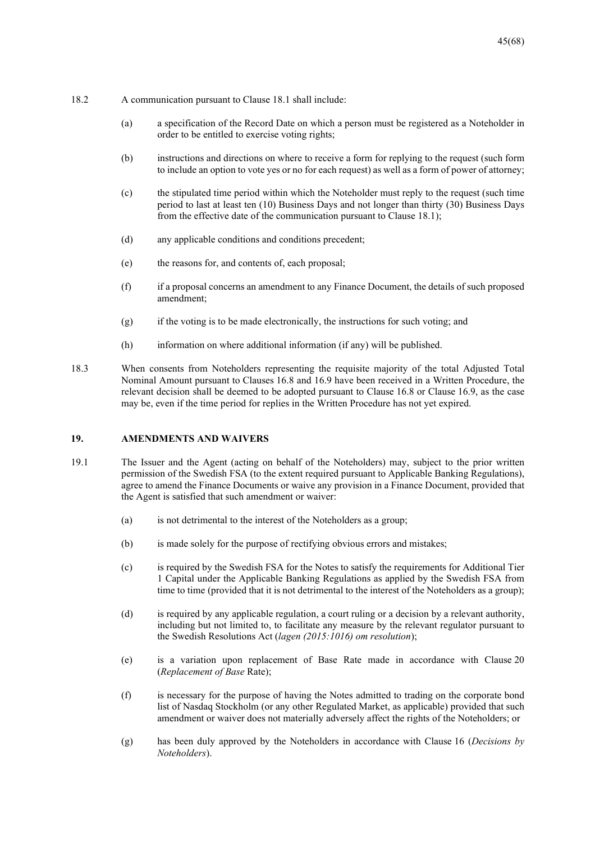- 18.2 A communication pursuant to Clause 18.1 shall include:
	- (a) a specification of the Record Date on which a person must be registered as a Noteholder in order to be entitled to exercise voting rights;
	- (b) instructions and directions on where to receive a form for replying to the request (such form to include an option to vote yes or no for each request) as well as a form of power of attorney;
	- (c) the stipulated time period within which the Noteholder must reply to the request (such time period to last at least ten (10) Business Days and not longer than thirty (30) Business Days from the effective date of the communication pursuant to Clause 18.1);
	- (d) any applicable conditions and conditions precedent;
	- (e) the reasons for, and contents of, each proposal;
	- (f) if a proposal concerns an amendment to any Finance Document, the details of such proposed amendment;
	- (g) if the voting is to be made electronically, the instructions for such voting; and
	- (h) information on where additional information (if any) will be published.
- 18.3 When consents from Noteholders representing the requisite majority of the total Adjusted Total Nominal Amount pursuant to Clauses 16.8 and 16.9 have been received in a Written Procedure, the relevant decision shall be deemed to be adopted pursuant to Clause 16.8 or Clause 16.9, as the case may be, even if the time period for replies in the Written Procedure has not yet expired.

#### **19. AMENDMENTS AND WAIVERS**

- 19.1 The Issuer and the Agent (acting on behalf of the Noteholders) may, subject to the prior written permission of the Swedish FSA (to the extent required pursuant to Applicable Banking Regulations), agree to amend the Finance Documents or waive any provision in a Finance Document, provided that the Agent is satisfied that such amendment or waiver:
	- (a) is not detrimental to the interest of the Noteholders as a group;
	- (b) is made solely for the purpose of rectifying obvious errors and mistakes;
	- (c) is required by the Swedish FSA for the Notes to satisfy the requirements for Additional Tier 1 Capital under the Applicable Banking Regulations as applied by the Swedish FSA from time to time (provided that it is not detrimental to the interest of the Noteholders as a group);
	- (d) is required by any applicable regulation, a court ruling or a decision by a relevant authority, including but not limited to, to facilitate any measure by the relevant regulator pursuant to the Swedish Resolutions Act (*lagen (2015:1016) om resolution*);
	- (e) is a variation upon replacement of Base Rate made in accordance with Clause 20 (*Replacement of Base* Rate);
	- (f) is necessary for the purpose of having the Notes admitted to trading on the corporate bond list of Nasdaq Stockholm (or any other Regulated Market, as applicable) provided that such amendment or waiver does not materially adversely affect the rights of the Noteholders; or
	- (g) has been duly approved by the Noteholders in accordance with Clause 16 (*Decisions by Noteholders*).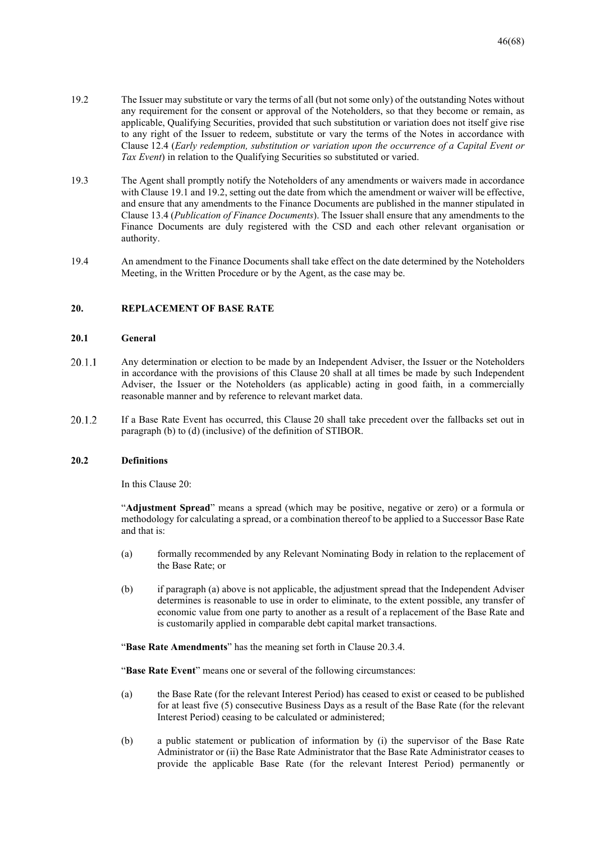- 19.2 The Issuer may substitute or vary the terms of all (but not some only) of the outstanding Notes without any requirement for the consent or approval of the Noteholders, so that they become or remain, as applicable, Qualifying Securities, provided that such substitution or variation does not itself give rise to any right of the Issuer to redeem, substitute or vary the terms of the Notes in accordance with Clause 12.4 (*Early redemption, substitution or variation upon the occurrence of a Capital Event or Tax Event*) in relation to the Qualifying Securities so substituted or varied.
- 19.3 The Agent shall promptly notify the Noteholders of any amendments or waivers made in accordance with Clause 19.1 and 19.2, setting out the date from which the amendment or waiver will be effective, and ensure that any amendments to the Finance Documents are published in the manner stipulated in Clause 13.4 (*Publication of Finance Documents*). The Issuer shall ensure that any amendments to the Finance Documents are duly registered with the CSD and each other relevant organisation or authority.
- 19.4 An amendment to the Finance Documents shall take effect on the date determined by the Noteholders Meeting, in the Written Procedure or by the Agent, as the case may be.

#### **20. REPLACEMENT OF BASE RATE**

#### **20.1 General**

- 20.1.1 Any determination or election to be made by an Independent Adviser, the Issuer or the Noteholders in accordance with the provisions of this Clause 20 shall at all times be made by such Independent Adviser, the Issuer or the Noteholders (as applicable) acting in good faith, in a commercially reasonable manner and by reference to relevant market data.
- 20.1.2 If a Base Rate Event has occurred, this Clause 20 shall take precedent over the fallbacks set out in paragraph (b) to (d) (inclusive) of the definition of STIBOR.

#### **20.2 Definitions**

In this Clause 20:

"**Adjustment Spread**" means a spread (which may be positive, negative or zero) or a formula or methodology for calculating a spread, or a combination thereof to be applied to a Successor Base Rate and that is:

- (a) formally recommended by any Relevant Nominating Body in relation to the replacement of the Base Rate; or
- (b) if paragraph (a) above is not applicable, the adjustment spread that the Independent Adviser determines is reasonable to use in order to eliminate, to the extent possible, any transfer of economic value from one party to another as a result of a replacement of the Base Rate and is customarily applied in comparable debt capital market transactions.

"**Base Rate Amendments**" has the meaning set forth in Clause 20.3.4.

"**Base Rate Event**" means one or several of the following circumstances:

- (a) the Base Rate (for the relevant Interest Period) has ceased to exist or ceased to be published for at least five (5) consecutive Business Days as a result of the Base Rate (for the relevant Interest Period) ceasing to be calculated or administered;
- (b) a public statement or publication of information by (i) the supervisor of the Base Rate Administrator or (ii) the Base Rate Administrator that the Base Rate Administrator ceases to provide the applicable Base Rate (for the relevant Interest Period) permanently or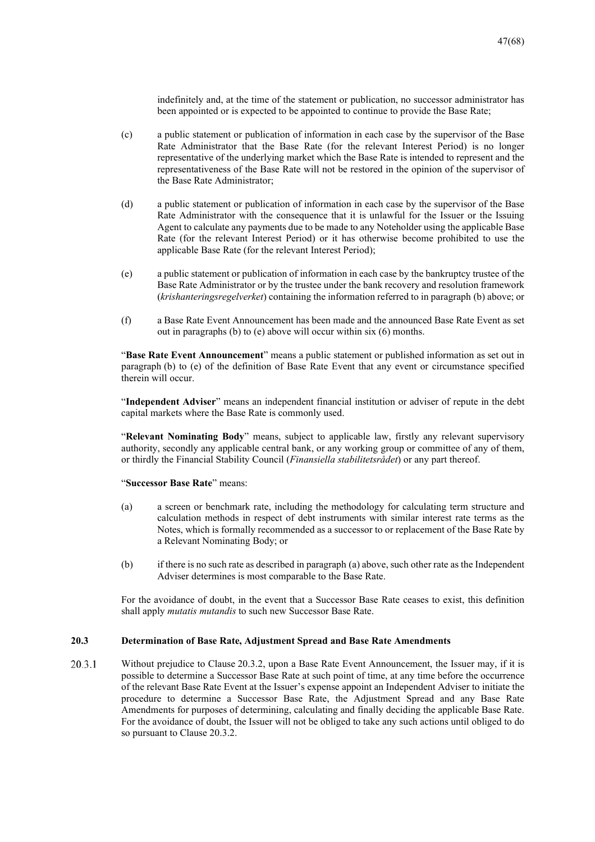indefinitely and, at the time of the statement or publication, no successor administrator has been appointed or is expected to be appointed to continue to provide the Base Rate;

- (c) a public statement or publication of information in each case by the supervisor of the Base Rate Administrator that the Base Rate (for the relevant Interest Period) is no longer representative of the underlying market which the Base Rate is intended to represent and the representativeness of the Base Rate will not be restored in the opinion of the supervisor of the Base Rate Administrator;
- (d) a public statement or publication of information in each case by the supervisor of the Base Rate Administrator with the consequence that it is unlawful for the Issuer or the Issuing Agent to calculate any payments due to be made to any Noteholder using the applicable Base Rate (for the relevant Interest Period) or it has otherwise become prohibited to use the applicable Base Rate (for the relevant Interest Period);
- (e) a public statement or publication of information in each case by the bankruptcy trustee of the Base Rate Administrator or by the trustee under the bank recovery and resolution framework (*krishanteringsregelverket*) containing the information referred to in paragraph (b) above; or
- (f) a Base Rate Event Announcement has been made and the announced Base Rate Event as set out in paragraphs (b) to (e) above will occur within six (6) months.

"**Base Rate Event Announcement**" means a public statement or published information as set out in paragraph (b) to (e) of the definition of Base Rate Event that any event or circumstance specified therein will occur.

"**Independent Adviser**" means an independent financial institution or adviser of repute in the debt capital markets where the Base Rate is commonly used.

"**Relevant Nominating Body**" means, subject to applicable law, firstly any relevant supervisory authority, secondly any applicable central bank, or any working group or committee of any of them, or thirdly the Financial Stability Council (*Finansiella stabilitetsrådet*) or any part thereof.

#### "**Successor Base Rate**" means:

- (a) a screen or benchmark rate, including the methodology for calculating term structure and calculation methods in respect of debt instruments with similar interest rate terms as the Notes, which is formally recommended as a successor to or replacement of the Base Rate by a Relevant Nominating Body; or
- (b) if there is no such rate as described in paragraph (a) above, such other rate as the Independent Adviser determines is most comparable to the Base Rate.

For the avoidance of doubt, in the event that a Successor Base Rate ceases to exist, this definition shall apply *mutatis mutandis* to such new Successor Base Rate.

#### **20.3 Determination of Base Rate, Adjustment Spread and Base Rate Amendments**

20.3.1 Without prejudice to Clause 20.3.2, upon a Base Rate Event Announcement, the Issuer may, if it is possible to determine a Successor Base Rate at such point of time, at any time before the occurrence of the relevant Base Rate Event at the Issuer's expense appoint an Independent Adviser to initiate the procedure to determine a Successor Base Rate, the Adjustment Spread and any Base Rate Amendments for purposes of determining, calculating and finally deciding the applicable Base Rate. For the avoidance of doubt, the Issuer will not be obliged to take any such actions until obliged to do so pursuant to Clause 20.3.2.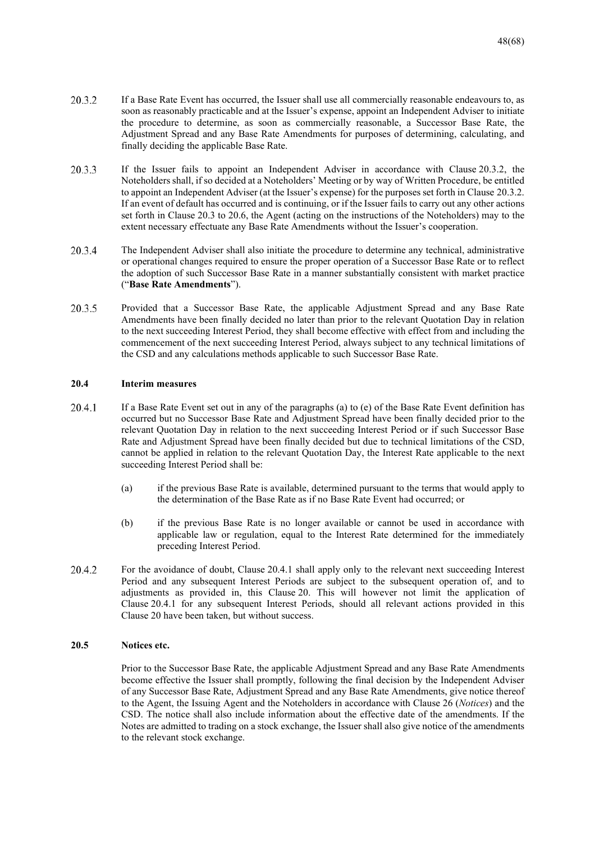- 20.3.2 If a Base Rate Event has occurred, the Issuer shall use all commercially reasonable endeavours to, as soon as reasonably practicable and at the Issuer's expense, appoint an Independent Adviser to initiate the procedure to determine, as soon as commercially reasonable, a Successor Base Rate, the Adjustment Spread and any Base Rate Amendments for purposes of determining, calculating, and finally deciding the applicable Base Rate.
- 20.3.3 If the Issuer fails to appoint an Independent Adviser in accordance with Clause 20.3.2, the Noteholders shall, if so decided at a Noteholders' Meeting or by way of Written Procedure, be entitled to appoint an Independent Adviser (at the Issuer's expense) for the purposes set forth in Clause 20.3.2. If an event of default has occurred and is continuing, or if the Issuer fails to carry out any other actions set forth in Clause 20.3 to 20.6, the Agent (acting on the instructions of the Noteholders) may to the extent necessary effectuate any Base Rate Amendments without the Issuer's cooperation.
- 20.3.4 The Independent Adviser shall also initiate the procedure to determine any technical, administrative or operational changes required to ensure the proper operation of a Successor Base Rate or to reflect the adoption of such Successor Base Rate in a manner substantially consistent with market practice ("**Base Rate Amendments**").
- 20.3.5 Provided that a Successor Base Rate, the applicable Adjustment Spread and any Base Rate Amendments have been finally decided no later than prior to the relevant Quotation Day in relation to the next succeeding Interest Period, they shall become effective with effect from and including the commencement of the next succeeding Interest Period, always subject to any technical limitations of the CSD and any calculations methods applicable to such Successor Base Rate.

#### **20.4 Interim measures**

- 20.4.1 If a Base Rate Event set out in any of the paragraphs (a) to (e) of the Base Rate Event definition has occurred but no Successor Base Rate and Adjustment Spread have been finally decided prior to the relevant Quotation Day in relation to the next succeeding Interest Period or if such Successor Base Rate and Adjustment Spread have been finally decided but due to technical limitations of the CSD, cannot be applied in relation to the relevant Quotation Day, the Interest Rate applicable to the next succeeding Interest Period shall be:
	- (a) if the previous Base Rate is available, determined pursuant to the terms that would apply to the determination of the Base Rate as if no Base Rate Event had occurred; or
	- (b) if the previous Base Rate is no longer available or cannot be used in accordance with applicable law or regulation, equal to the Interest Rate determined for the immediately preceding Interest Period.
- 20.4.2 For the avoidance of doubt, Clause 20.4.1 shall apply only to the relevant next succeeding Interest Period and any subsequent Interest Periods are subject to the subsequent operation of, and to adjustments as provided in, this Clause 20. This will however not limit the application of Clause 20.4.1 for any subsequent Interest Periods, should all relevant actions provided in this Clause 20 have been taken, but without success.

#### **20.5 Notices etc.**

Prior to the Successor Base Rate, the applicable Adjustment Spread and any Base Rate Amendments become effective the Issuer shall promptly, following the final decision by the Independent Adviser of any Successor Base Rate, Adjustment Spread and any Base Rate Amendments, give notice thereof to the Agent, the Issuing Agent and the Noteholders in accordance with Clause 26 (*Notices*) and the CSD. The notice shall also include information about the effective date of the amendments. If the Notes are admitted to trading on a stock exchange, the Issuer shall also give notice of the amendments to the relevant stock exchange.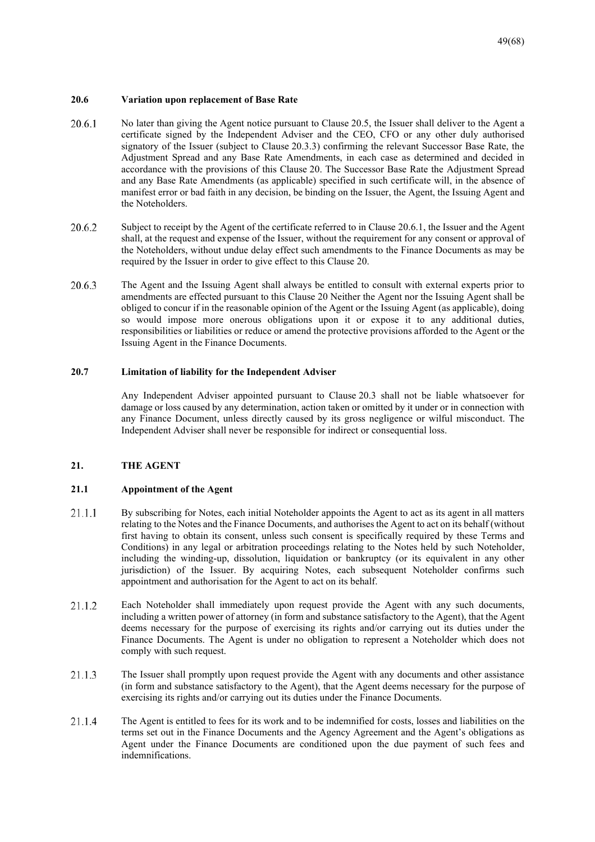#### **20.6 Variation upon replacement of Base Rate**

- 20.6.1 No later than giving the Agent notice pursuant to Clause 20.5, the Issuer shall deliver to the Agent a certificate signed by the Independent Adviser and the CEO, CFO or any other duly authorised signatory of the Issuer (subject to Clause 20.3.3) confirming the relevant Successor Base Rate, the Adjustment Spread and any Base Rate Amendments, in each case as determined and decided in accordance with the provisions of this Clause 20. The Successor Base Rate the Adjustment Spread and any Base Rate Amendments (as applicable) specified in such certificate will, in the absence of manifest error or bad faith in any decision, be binding on the Issuer, the Agent, the Issuing Agent and the Noteholders.
- 20.6.2 Subject to receipt by the Agent of the certificate referred to in Clause 20.6.1, the Issuer and the Agent shall, at the request and expense of the Issuer, without the requirement for any consent or approval of the Noteholders, without undue delay effect such amendments to the Finance Documents as may be required by the Issuer in order to give effect to this Clause 20.
- 20.6.3 The Agent and the Issuing Agent shall always be entitled to consult with external experts prior to amendments are effected pursuant to this Clause 20 Neither the Agent nor the Issuing Agent shall be obliged to concur if in the reasonable opinion of the Agent or the Issuing Agent (as applicable), doing so would impose more onerous obligations upon it or expose it to any additional duties, responsibilities or liabilities or reduce or amend the protective provisions afforded to the Agent or the Issuing Agent in the Finance Documents.

#### **20.7 Limitation of liability for the Independent Adviser**

Any Independent Adviser appointed pursuant to Clause 20.3 shall not be liable whatsoever for damage or loss caused by any determination, action taken or omitted by it under or in connection with any Finance Document, unless directly caused by its gross negligence or wilful misconduct. The Independent Adviser shall never be responsible for indirect or consequential loss.

#### **21. THE AGENT**

#### **21.1 Appointment of the Agent**

- By subscribing for Notes, each initial Noteholder appoints the Agent to act as its agent in all matters 21.1.1 relating to the Notes and the Finance Documents, and authorises the Agent to act on its behalf (without first having to obtain its consent, unless such consent is specifically required by these Terms and Conditions) in any legal or arbitration proceedings relating to the Notes held by such Noteholder, including the winding-up, dissolution, liquidation or bankruptcy (or its equivalent in any other jurisdiction) of the Issuer. By acquiring Notes, each subsequent Noteholder confirms such appointment and authorisation for the Agent to act on its behalf.
- 21.1.2 Each Noteholder shall immediately upon request provide the Agent with any such documents, including a written power of attorney (in form and substance satisfactory to the Agent), that the Agent deems necessary for the purpose of exercising its rights and/or carrying out its duties under the Finance Documents. The Agent is under no obligation to represent a Noteholder which does not comply with such request.
- 21.1.3 The Issuer shall promptly upon request provide the Agent with any documents and other assistance (in form and substance satisfactory to the Agent), that the Agent deems necessary for the purpose of exercising its rights and/or carrying out its duties under the Finance Documents.
- 21.1.4 The Agent is entitled to fees for its work and to be indemnified for costs, losses and liabilities on the terms set out in the Finance Documents and the Agency Agreement and the Agent's obligations as Agent under the Finance Documents are conditioned upon the due payment of such fees and indemnifications.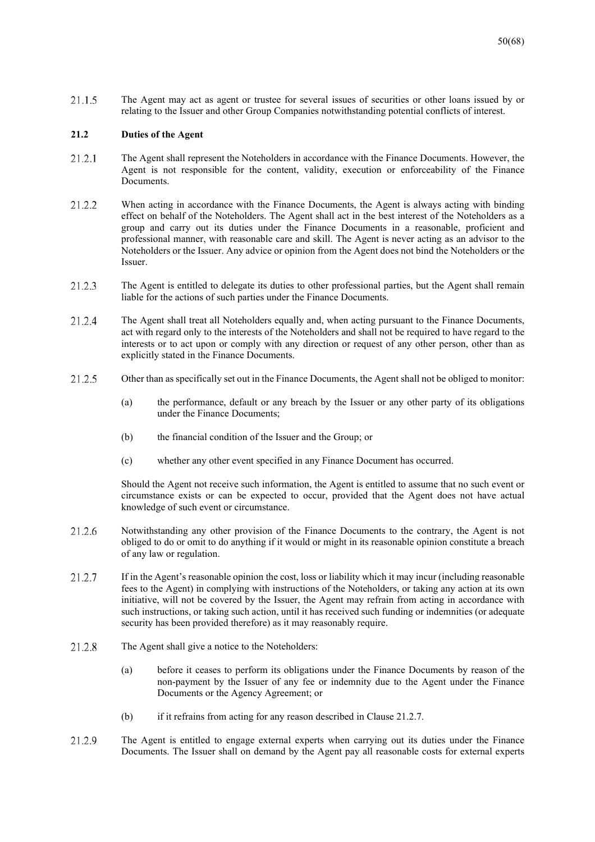21.1.5 The Agent may act as agent or trustee for several issues of securities or other loans issued by or relating to the Issuer and other Group Companies notwithstanding potential conflicts of interest.

#### **21.2 Duties of the Agent**

- 21.2.1 The Agent shall represent the Noteholders in accordance with the Finance Documents. However, the Agent is not responsible for the content, validity, execution or enforceability of the Finance Documents.
- 21.2.2 When acting in accordance with the Finance Documents, the Agent is always acting with binding effect on behalf of the Noteholders. The Agent shall act in the best interest of the Noteholders as a group and carry out its duties under the Finance Documents in a reasonable, proficient and professional manner, with reasonable care and skill. The Agent is never acting as an advisor to the Noteholders or the Issuer. Any advice or opinion from the Agent does not bind the Noteholders or the Issuer.
- 21.2.3 The Agent is entitled to delegate its duties to other professional parties, but the Agent shall remain liable for the actions of such parties under the Finance Documents.
- The Agent shall treat all Noteholders equally and, when acting pursuant to the Finance Documents, 21.2.4 act with regard only to the interests of the Noteholders and shall not be required to have regard to the interests or to act upon or comply with any direction or request of any other person, other than as explicitly stated in the Finance Documents.
- 21.2.5 Other than as specifically set out in the Finance Documents, the Agent shall not be obliged to monitor:
	- (a) the performance, default or any breach by the Issuer or any other party of its obligations under the Finance Documents;
	- (b) the financial condition of the Issuer and the Group; or
	- (c) whether any other event specified in any Finance Document has occurred.

Should the Agent not receive such information, the Agent is entitled to assume that no such event or circumstance exists or can be expected to occur, provided that the Agent does not have actual knowledge of such event or circumstance.

- 21.2.6 Notwithstanding any other provision of the Finance Documents to the contrary, the Agent is not obliged to do or omit to do anything if it would or might in its reasonable opinion constitute a breach of any law or regulation.
- 21.2.7 If in the Agent's reasonable opinion the cost, loss or liability which it may incur (including reasonable fees to the Agent) in complying with instructions of the Noteholders, or taking any action at its own initiative, will not be covered by the Issuer, the Agent may refrain from acting in accordance with such instructions, or taking such action, until it has received such funding or indemnities (or adequate security has been provided therefore) as it may reasonably require.
- 21.2.8 The Agent shall give a notice to the Noteholders:
	- (a) before it ceases to perform its obligations under the Finance Documents by reason of the non-payment by the Issuer of any fee or indemnity due to the Agent under the Finance Documents or the Agency Agreement; or
	- (b) if it refrains from acting for any reason described in Clause 21.2.7.
- 21.2.9 The Agent is entitled to engage external experts when carrying out its duties under the Finance Documents. The Issuer shall on demand by the Agent pay all reasonable costs for external experts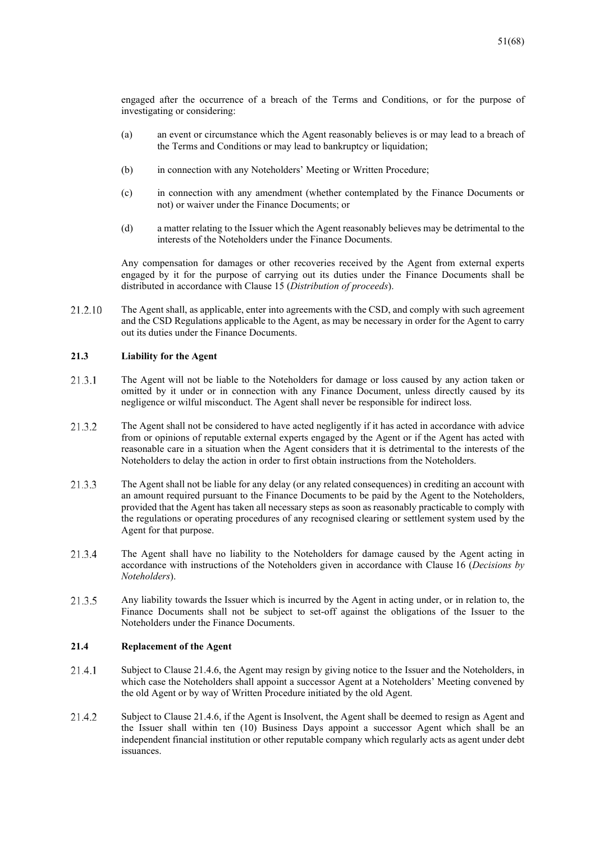engaged after the occurrence of a breach of the Terms and Conditions, or for the purpose of investigating or considering:

- (a) an event or circumstance which the Agent reasonably believes is or may lead to a breach of the Terms and Conditions or may lead to bankruptcy or liquidation;
- (b) in connection with any Noteholders' Meeting or Written Procedure;
- (c) in connection with any amendment (whether contemplated by the Finance Documents or not) or waiver under the Finance Documents; or
- (d) a matter relating to the Issuer which the Agent reasonably believes may be detrimental to the interests of the Noteholders under the Finance Documents.

Any compensation for damages or other recoveries received by the Agent from external experts engaged by it for the purpose of carrying out its duties under the Finance Documents shall be distributed in accordance with Clause 15 (*Distribution of proceeds*).

21.2.10 The Agent shall, as applicable, enter into agreements with the CSD, and comply with such agreement and the CSD Regulations applicable to the Agent, as may be necessary in order for the Agent to carry out its duties under the Finance Documents.

#### **21.3 Liability for the Agent**

- $2131$ The Agent will not be liable to the Noteholders for damage or loss caused by any action taken or omitted by it under or in connection with any Finance Document, unless directly caused by its negligence or wilful misconduct. The Agent shall never be responsible for indirect loss.
- 21.3.2 The Agent shall not be considered to have acted negligently if it has acted in accordance with advice from or opinions of reputable external experts engaged by the Agent or if the Agent has acted with reasonable care in a situation when the Agent considers that it is detrimental to the interests of the Noteholders to delay the action in order to first obtain instructions from the Noteholders.
- 21.3.3 The Agent shall not be liable for any delay (or any related consequences) in crediting an account with an amount required pursuant to the Finance Documents to be paid by the Agent to the Noteholders, provided that the Agent has taken all necessary steps as soon as reasonably practicable to comply with the regulations or operating procedures of any recognised clearing or settlement system used by the Agent for that purpose.
- 21.3.4 The Agent shall have no liability to the Noteholders for damage caused by the Agent acting in accordance with instructions of the Noteholders given in accordance with Clause 16 (*Decisions by Noteholders*).
- 21.3.5 Any liability towards the Issuer which is incurred by the Agent in acting under, or in relation to, the Finance Documents shall not be subject to set-off against the obligations of the Issuer to the Noteholders under the Finance Documents.

#### **21.4 Replacement of the Agent**

- 21.4.1 Subject to Clause 21.4.6, the Agent may resign by giving notice to the Issuer and the Noteholders, in which case the Noteholders shall appoint a successor Agent at a Noteholders' Meeting convened by the old Agent or by way of Written Procedure initiated by the old Agent.
- 21.4.2 Subject to Clause 21.4.6, if the Agent is Insolvent, the Agent shall be deemed to resign as Agent and the Issuer shall within ten (10) Business Days appoint a successor Agent which shall be an independent financial institution or other reputable company which regularly acts as agent under debt issuances.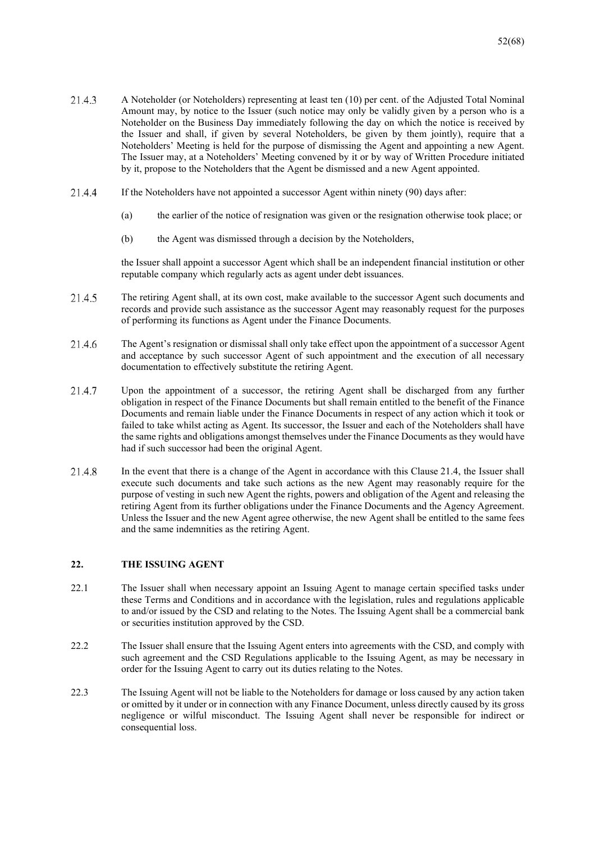- 21.4.3 A Noteholder (or Noteholders) representing at least ten (10) per cent. of the Adjusted Total Nominal Amount may, by notice to the Issuer (such notice may only be validly given by a person who is a Noteholder on the Business Day immediately following the day on which the notice is received by the Issuer and shall, if given by several Noteholders, be given by them jointly), require that a Noteholders' Meeting is held for the purpose of dismissing the Agent and appointing a new Agent. The Issuer may, at a Noteholders' Meeting convened by it or by way of Written Procedure initiated by it, propose to the Noteholders that the Agent be dismissed and a new Agent appointed.
- 21.4.4 If the Noteholders have not appointed a successor Agent within ninety (90) days after:
	- (a) the earlier of the notice of resignation was given or the resignation otherwise took place; or
	- (b) the Agent was dismissed through a decision by the Noteholders,

the Issuer shall appoint a successor Agent which shall be an independent financial institution or other reputable company which regularly acts as agent under debt issuances.

- 21.4.5 The retiring Agent shall, at its own cost, make available to the successor Agent such documents and records and provide such assistance as the successor Agent may reasonably request for the purposes of performing its functions as Agent under the Finance Documents.
- 21.4.6 The Agent's resignation or dismissal shall only take effect upon the appointment of a successor Agent and acceptance by such successor Agent of such appointment and the execution of all necessary documentation to effectively substitute the retiring Agent.
- 2147 Upon the appointment of a successor, the retiring Agent shall be discharged from any further obligation in respect of the Finance Documents but shall remain entitled to the benefit of the Finance Documents and remain liable under the Finance Documents in respect of any action which it took or failed to take whilst acting as Agent. Its successor, the Issuer and each of the Noteholders shall have the same rights and obligations amongst themselves under the Finance Documents as they would have had if such successor had been the original Agent.
- 21.4.8 In the event that there is a change of the Agent in accordance with this Clause 21.4, the Issuer shall execute such documents and take such actions as the new Agent may reasonably require for the purpose of vesting in such new Agent the rights, powers and obligation of the Agent and releasing the retiring Agent from its further obligations under the Finance Documents and the Agency Agreement. Unless the Issuer and the new Agent agree otherwise, the new Agent shall be entitled to the same fees and the same indemnities as the retiring Agent.

## **22. THE ISSUING AGENT**

- 22.1 The Issuer shall when necessary appoint an Issuing Agent to manage certain specified tasks under these Terms and Conditions and in accordance with the legislation, rules and regulations applicable to and/or issued by the CSD and relating to the Notes. The Issuing Agent shall be a commercial bank or securities institution approved by the CSD.
- 22.2 The Issuer shall ensure that the Issuing Agent enters into agreements with the CSD, and comply with such agreement and the CSD Regulations applicable to the Issuing Agent, as may be necessary in order for the Issuing Agent to carry out its duties relating to the Notes.
- 22.3 The Issuing Agent will not be liable to the Noteholders for damage or loss caused by any action taken or omitted by it under or in connection with any Finance Document, unless directly caused by its gross negligence or wilful misconduct. The Issuing Agent shall never be responsible for indirect or consequential loss.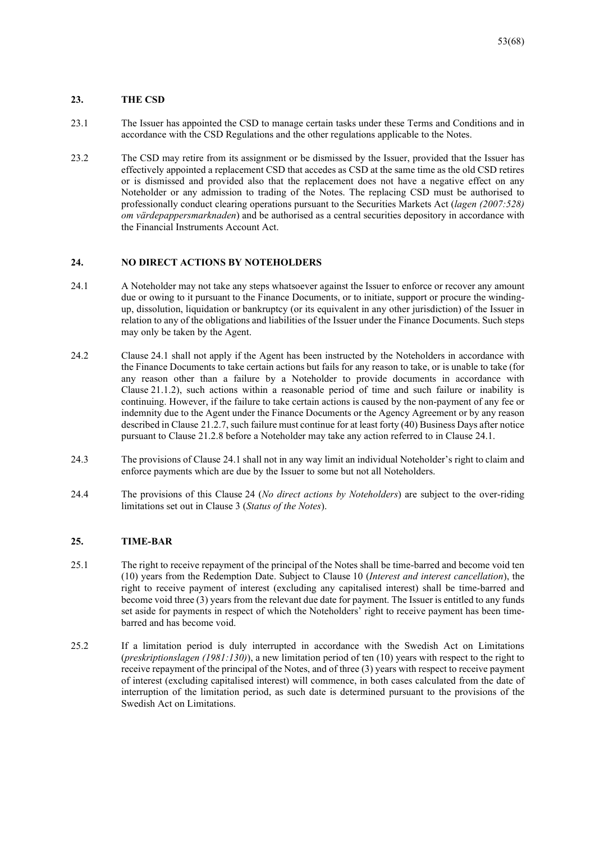#### **23. THE CSD**

- 23.1 The Issuer has appointed the CSD to manage certain tasks under these Terms and Conditions and in accordance with the CSD Regulations and the other regulations applicable to the Notes.
- 23.2 The CSD may retire from its assignment or be dismissed by the Issuer, provided that the Issuer has effectively appointed a replacement CSD that accedes as CSD at the same time as the old CSD retires or is dismissed and provided also that the replacement does not have a negative effect on any Noteholder or any admission to trading of the Notes. The replacing CSD must be authorised to professionally conduct clearing operations pursuant to the Securities Markets Act (*lagen (2007:528) om värdepappersmarknaden*) and be authorised as a central securities depository in accordance with the Financial Instruments Account Act.

#### **24. NO DIRECT ACTIONS BY NOTEHOLDERS**

- 24.1 A Noteholder may not take any steps whatsoever against the Issuer to enforce or recover any amount due or owing to it pursuant to the Finance Documents, or to initiate, support or procure the windingup, dissolution, liquidation or bankruptcy (or its equivalent in any other jurisdiction) of the Issuer in relation to any of the obligations and liabilities of the Issuer under the Finance Documents. Such steps may only be taken by the Agent.
- 24.2 Clause 24.1 shall not apply if the Agent has been instructed by the Noteholders in accordance with the Finance Documents to take certain actions but fails for any reason to take, or is unable to take (for any reason other than a failure by a Noteholder to provide documents in accordance with Clause 21.1.2), such actions within a reasonable period of time and such failure or inability is continuing. However, if the failure to take certain actions is caused by the non-payment of any fee or indemnity due to the Agent under the Finance Documents or the Agency Agreement or by any reason described in Clause 21.2.7, such failure must continue for at least forty (40) Business Days after notice pursuant to Clause 21.2.8 before a Noteholder may take any action referred to in Clause 24.1.
- 24.3 The provisions of Clause 24.1 shall not in any way limit an individual Noteholder's right to claim and enforce payments which are due by the Issuer to some but not all Noteholders.
- 24.4 The provisions of this Clause 24 (*No direct actions by Noteholders*) are subject to the over-riding limitations set out in Clause 3 (*Status of the Notes*).

#### **25. TIME-BAR**

- 25.1 The right to receive repayment of the principal of the Notes shall be time-barred and become void ten (10) years from the Redemption Date. Subject to Clause 10 (*Interest and interest cancellation*), the right to receive payment of interest (excluding any capitalised interest) shall be time-barred and become void three (3) years from the relevant due date for payment. The Issuer is entitled to any funds set aside for payments in respect of which the Noteholders' right to receive payment has been timebarred and has become void.
- 25.2 If a limitation period is duly interrupted in accordance with the Swedish Act on Limitations (*preskriptionslagen (1981:130)*), a new limitation period of ten (10) years with respect to the right to receive repayment of the principal of the Notes, and of three (3) years with respect to receive payment of interest (excluding capitalised interest) will commence, in both cases calculated from the date of interruption of the limitation period, as such date is determined pursuant to the provisions of the Swedish Act on Limitations.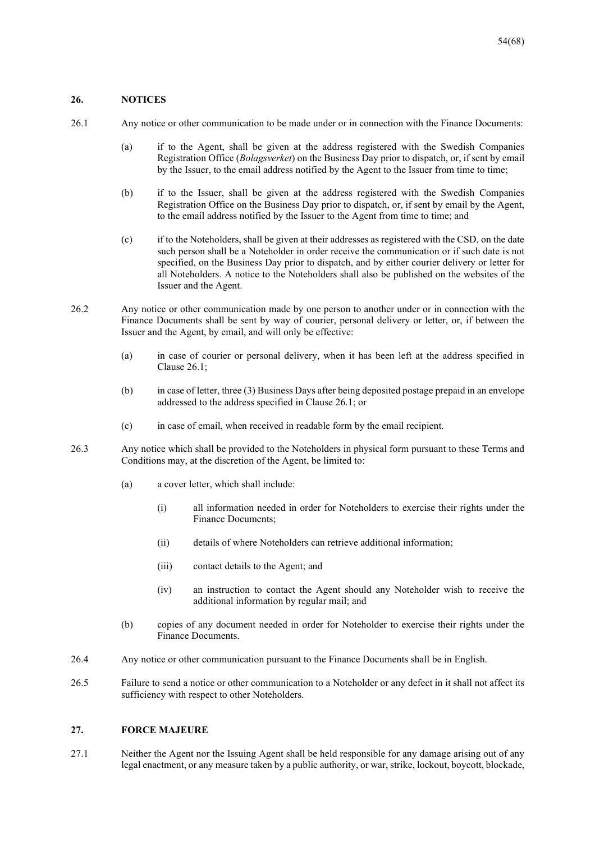#### **26. NOTICES**

- 26.1 Any notice or other communication to be made under or in connection with the Finance Documents:
	- (a) if to the Agent, shall be given at the address registered with the Swedish Companies Registration Office (*Bolagsverket*) on the Business Day prior to dispatch, or, if sent by email by the Issuer, to the email address notified by the Agent to the Issuer from time to time;
	- (b) if to the Issuer, shall be given at the address registered with the Swedish Companies Registration Office on the Business Day prior to dispatch, or, if sent by email by the Agent, to the email address notified by the Issuer to the Agent from time to time; and
	- (c) if to the Noteholders, shall be given at their addresses as registered with the CSD, on the date such person shall be a Noteholder in order receive the communication or if such date is not specified, on the Business Day prior to dispatch, and by either courier delivery or letter for all Noteholders. A notice to the Noteholders shall also be published on the websites of the Issuer and the Agent.
- 26.2 Any notice or other communication made by one person to another under or in connection with the Finance Documents shall be sent by way of courier, personal delivery or letter, or, if between the Issuer and the Agent, by email, and will only be effective:
	- (a) in case of courier or personal delivery, when it has been left at the address specified in Clause 26.1;
	- (b) in case of letter, three (3) Business Days after being deposited postage prepaid in an envelope addressed to the address specified in Clause 26.1; or
	- (c) in case of email, when received in readable form by the email recipient.
- 26.3 Any notice which shall be provided to the Noteholders in physical form pursuant to these Terms and Conditions may, at the discretion of the Agent, be limited to:
	- (a) a cover letter, which shall include:
		- (i) all information needed in order for Noteholders to exercise their rights under the Finance Documents;
		- (ii) details of where Noteholders can retrieve additional information;
		- (iii) contact details to the Agent; and
		- (iv) an instruction to contact the Agent should any Noteholder wish to receive the additional information by regular mail; and
	- (b) copies of any document needed in order for Noteholder to exercise their rights under the Finance Documents.
- 26.4 Any notice or other communication pursuant to the Finance Documents shall be in English.
- 26.5 Failure to send a notice or other communication to a Noteholder or any defect in it shall not affect its sufficiency with respect to other Noteholders.

#### **27. FORCE MAJEURE**

27.1 Neither the Agent nor the Issuing Agent shall be held responsible for any damage arising out of any legal enactment, or any measure taken by a public authority, or war, strike, lockout, boycott, blockade,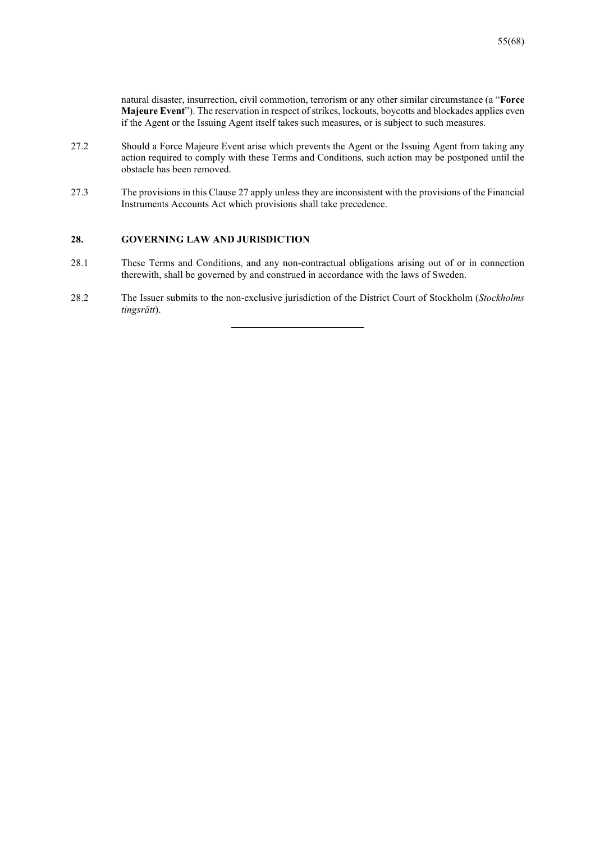natural disaster, insurrection, civil commotion, terrorism or any other similar circumstance (a "**Force Majeure Event**"). The reservation in respect of strikes, lockouts, boycotts and blockades applies even if the Agent or the Issuing Agent itself takes such measures, or is subject to such measures.

- 27.2 Should a Force Majeure Event arise which prevents the Agent or the Issuing Agent from taking any action required to comply with these Terms and Conditions, such action may be postponed until the obstacle has been removed.
- 27.3 The provisions in this Clause 27 apply unless they are inconsistent with the provisions of the Financial Instruments Accounts Act which provisions shall take precedence.

## **28. GOVERNING LAW AND JURISDICTION**

- 28.1 These Terms and Conditions, and any non-contractual obligations arising out of or in connection therewith, shall be governed by and construed in accordance with the laws of Sweden.
- 28.2 The Issuer submits to the non-exclusive jurisdiction of the District Court of Stockholm (*Stockholms tingsrätt*).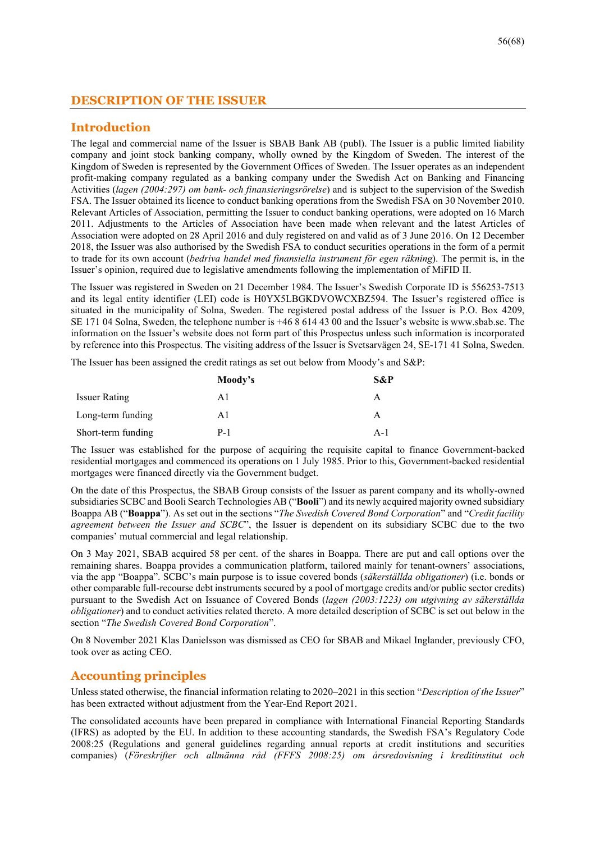# **DESCRIPTION OF THE ISSUER**

# **Introduction**

The legal and commercial name of the Issuer is SBAB Bank AB (publ). The Issuer is a public limited liability company and joint stock banking company, wholly owned by the Kingdom of Sweden. The interest of the Kingdom of Sweden is represented by the Government Offices of Sweden. The Issuer operates as an independent profit-making company regulated as a banking company under the Swedish Act on Banking and Financing Activities (*lagen (2004:297) om bank- och finansieringsrörelse*) and is subject to the supervision of the Swedish FSA. The Issuer obtained its licence to conduct banking operations from the Swedish FSA on 30 November 2010. Relevant Articles of Association, permitting the Issuer to conduct banking operations, were adopted on 16 March 2011. Adjustments to the Articles of Association have been made when relevant and the latest Articles of Association were adopted on 28 April 2016 and duly registered on and valid as of 3 June 2016. On 12 December 2018, the Issuer was also authorised by the Swedish FSA to conduct securities operations in the form of a permit to trade for its own account (*bedriva handel med finansiella instrument för egen räkning*). The permit is, in the Issuer's opinion, required due to legislative amendments following the implementation of MiFID II.

The Issuer was registered in Sweden on 21 December 1984. The Issuer's Swedish Corporate ID is 556253-7513 and its legal entity identifier (LEI) code is H0YX5LBGKDVOWCXBZ594. The Issuer's registered office is situated in the municipality of Solna, Sweden. The registered postal address of the Issuer is P.O. Box 4209, SE 171 04 Solna, Sweden, the telephone number is +46 8 614 43 00 and the Issuer's website is www.sbab.se. The information on the Issuer's website does not form part of this Prospectus unless such information is incorporated by reference into this Prospectus. The visiting address of the Issuer is Svetsarvägen 24, SE-171 41 Solna, Sweden.

The Issuer has been assigned the credit ratings as set out below from Moody's and S&P:

|                      | Moody's | S&P   |
|----------------------|---------|-------|
| <b>Issuer Rating</b> | Αl      | A     |
| Long-term funding    | Αl      | А     |
| Short-term funding   | P-1     | $A-1$ |

The Issuer was established for the purpose of acquiring the requisite capital to finance Government-backed residential mortgages and commenced its operations on 1 July 1985. Prior to this, Government-backed residential mortgages were financed directly via the Government budget.

On the date of this Prospectus, the SBAB Group consists of the Issuer as parent company and its wholly-owned subsidiaries SCBC and Booli Search Technologies AB ("**Booli**") and its newly acquired majority owned subsidiary Boappa AB ("**Boappa**"). As set out in the sections "*The Swedish Covered Bond Corporation*" and "*Credit facility agreement between the Issuer and SCBC*", the Issuer is dependent on its subsidiary SCBC due to the two companies' mutual commercial and legal relationship.

On 3 May 2021, SBAB acquired 58 per cent. of the shares in Boappa. There are put and call options over the remaining shares. Boappa provides a communication platform, tailored mainly for tenant-owners' associations, via the app "Boappa". SCBC's main purpose is to issue covered bonds (*säkerställda obligationer*) (i.e. bonds or other comparable full-recourse debt instruments secured by a pool of mortgage credits and/or public sector credits) pursuant to the Swedish Act on Issuance of Covered Bonds (*lagen (2003:1223) om utgivning av säkerställda obligationer*) and to conduct activities related thereto. A more detailed description of SCBC is set out below in the section "*The Swedish Covered Bond Corporation*".

On 8 November 2021 Klas Danielsson was dismissed as CEO for SBAB and Mikael Inglander, previously CFO, took over as acting CEO.

# **Accounting principles**

Unless stated otherwise, the financial information relating to 2020–2021 in this section "*Description of the Issuer*" has been extracted without adjustment from the Year-End Report 2021.

The consolidated accounts have been prepared in compliance with International Financial Reporting Standards (IFRS) as adopted by the EU. In addition to these accounting standards, the Swedish FSA's Regulatory Code 2008:25 (Regulations and general guidelines regarding annual reports at credit institutions and securities companies) (*Föreskrifter och allmänna råd (FFFS 2008:25) om årsredovisning i kreditinstitut och*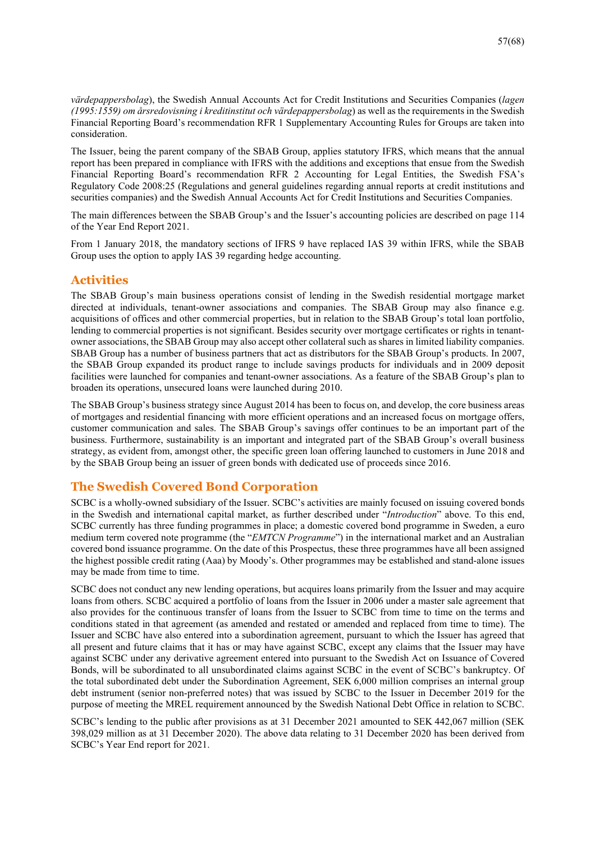*värdepappersbolag*), the Swedish Annual Accounts Act for Credit Institutions and Securities Companies (*lagen (1995:1559) om årsredovisning i kreditinstitut och värdepappersbolag*) as well as the requirements in the Swedish Financial Reporting Board's recommendation RFR 1 Supplementary Accounting Rules for Groups are taken into consideration.

The Issuer, being the parent company of the SBAB Group, applies statutory IFRS, which means that the annual report has been prepared in compliance with IFRS with the additions and exceptions that ensue from the Swedish Financial Reporting Board's recommendation RFR 2 Accounting for Legal Entities, the Swedish FSA's Regulatory Code 2008:25 (Regulations and general guidelines regarding annual reports at credit institutions and securities companies) and the Swedish Annual Accounts Act for Credit Institutions and Securities Companies.

The main differences between the SBAB Group's and the Issuer's accounting policies are described on page 114 of the Year End Report 2021.

From 1 January 2018, the mandatory sections of IFRS 9 have replaced IAS 39 within IFRS, while the SBAB Group uses the option to apply IAS 39 regarding hedge accounting.

## **Activities**

The SBAB Group's main business operations consist of lending in the Swedish residential mortgage market directed at individuals, tenant-owner associations and companies. The SBAB Group may also finance e.g. acquisitions of offices and other commercial properties, but in relation to the SBAB Group's total loan portfolio, lending to commercial properties is not significant. Besides security over mortgage certificates or rights in tenantowner associations, the SBAB Group may also accept other collateral such as shares in limited liability companies. SBAB Group has a number of business partners that act as distributors for the SBAB Group's products. In 2007, the SBAB Group expanded its product range to include savings products for individuals and in 2009 deposit facilities were launched for companies and tenant-owner associations. As a feature of the SBAB Group's plan to broaden its operations, unsecured loans were launched during 2010.

The SBAB Group's business strategy since August 2014 has been to focus on, and develop, the core business areas of mortgages and residential financing with more efficient operations and an increased focus on mortgage offers, customer communication and sales. The SBAB Group's savings offer continues to be an important part of the business. Furthermore, sustainability is an important and integrated part of the SBAB Group's overall business strategy, as evident from, amongst other, the specific green loan offering launched to customers in June 2018 and by the SBAB Group being an issuer of green bonds with dedicated use of proceeds since 2016.

# **The Swedish Covered Bond Corporation**

SCBC is a wholly-owned subsidiary of the Issuer. SCBC's activities are mainly focused on issuing covered bonds in the Swedish and international capital market, as further described under "*Introduction*" above. To this end, SCBC currently has three funding programmes in place; a domestic covered bond programme in Sweden, a euro medium term covered note programme (the "*EMTCN Programme*") in the international market and an Australian covered bond issuance programme. On the date of this Prospectus, these three programmes have all been assigned the highest possible credit rating (Aaa) by Moody's. Other programmes may be established and stand-alone issues may be made from time to time.

SCBC does not conduct any new lending operations, but acquires loans primarily from the Issuer and may acquire loans from others. SCBC acquired a portfolio of loans from the Issuer in 2006 under a master sale agreement that also provides for the continuous transfer of loans from the Issuer to SCBC from time to time on the terms and conditions stated in that agreement (as amended and restated or amended and replaced from time to time). The Issuer and SCBC have also entered into a subordination agreement, pursuant to which the Issuer has agreed that all present and future claims that it has or may have against SCBC, except any claims that the Issuer may have against SCBC under any derivative agreement entered into pursuant to the Swedish Act on Issuance of Covered Bonds, will be subordinated to all unsubordinated claims against SCBC in the event of SCBC's bankruptcy. Of the total subordinated debt under the Subordination Agreement, SEK 6,000 million comprises an internal group debt instrument (senior non-preferred notes) that was issued by SCBC to the Issuer in December 2019 for the purpose of meeting the MREL requirement announced by the Swedish National Debt Office in relation to SCBC.

SCBC's lending to the public after provisions as at 31 December 2021 amounted to SEK 442,067 million (SEK 398,029 million as at 31 December 2020). The above data relating to 31 December 2020 has been derived from SCBC's Year End report for 2021.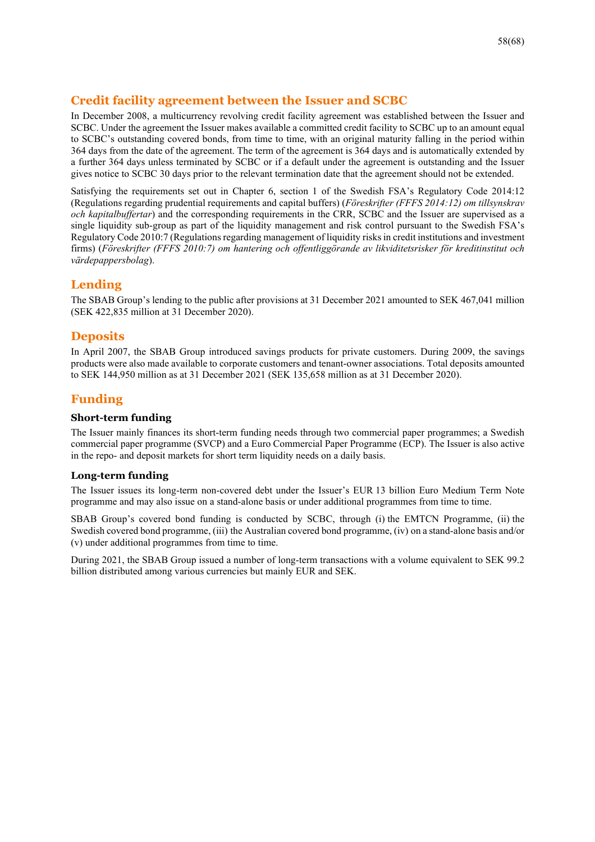# **Credit facility agreement between the Issuer and SCBC**

In December 2008, a multicurrency revolving credit facility agreement was established between the Issuer and SCBC. Under the agreement the Issuer makes available a committed credit facility to SCBC up to an amount equal to SCBC's outstanding covered bonds, from time to time, with an original maturity falling in the period within 364 days from the date of the agreement. The term of the agreement is 364 days and is automatically extended by a further 364 days unless terminated by SCBC or if a default under the agreement is outstanding and the Issuer gives notice to SCBC 30 days prior to the relevant termination date that the agreement should not be extended.

Satisfying the requirements set out in Chapter 6, section 1 of the Swedish FSA's Regulatory Code 2014:12 (Regulations regarding prudential requirements and capital buffers) (*Föreskrifter (FFFS 2014:12) om tillsynskrav och kapitalbuffertar*) and the corresponding requirements in the CRR, SCBC and the Issuer are supervised as a single liquidity sub-group as part of the liquidity management and risk control pursuant to the Swedish FSA's Regulatory Code 2010:7 (Regulations regarding management of liquidity risks in credit institutions and investment firms) (*Föreskrifter (FFFS 2010:7) om hantering och offentliggörande av likviditetsrisker för kreditinstitut och värdepappersbolag*).

# **Lending**

The SBAB Group's lending to the public after provisions at 31 December 2021 amounted to SEK 467,041 million (SEK 422,835 million at 31 December 2020).

# **Deposits**

In April 2007, the SBAB Group introduced savings products for private customers. During 2009, the savings products were also made available to corporate customers and tenant-owner associations. Total deposits amounted to SEK 144,950 million as at 31 December 2021 (SEK 135,658 million as at 31 December 2020).

# **Funding**

## **Short-term funding**

The Issuer mainly finances its short-term funding needs through two commercial paper programmes; a Swedish commercial paper programme (SVCP) and a Euro Commercial Paper Programme (ECP). The Issuer is also active in the repo- and deposit markets for short term liquidity needs on a daily basis.

## **Long-term funding**

The Issuer issues its long-term non-covered debt under the Issuer's EUR 13 billion Euro Medium Term Note programme and may also issue on a stand-alone basis or under additional programmes from time to time.

SBAB Group's covered bond funding is conducted by SCBC, through (i) the EMTCN Programme, (ii) the Swedish covered bond programme, (iii) the Australian covered bond programme, (iv) on a stand-alone basis and/or (v) under additional programmes from time to time.

During 2021, the SBAB Group issued a number of long-term transactions with a volume equivalent to SEK 99.2 billion distributed among various currencies but mainly EUR and SEK.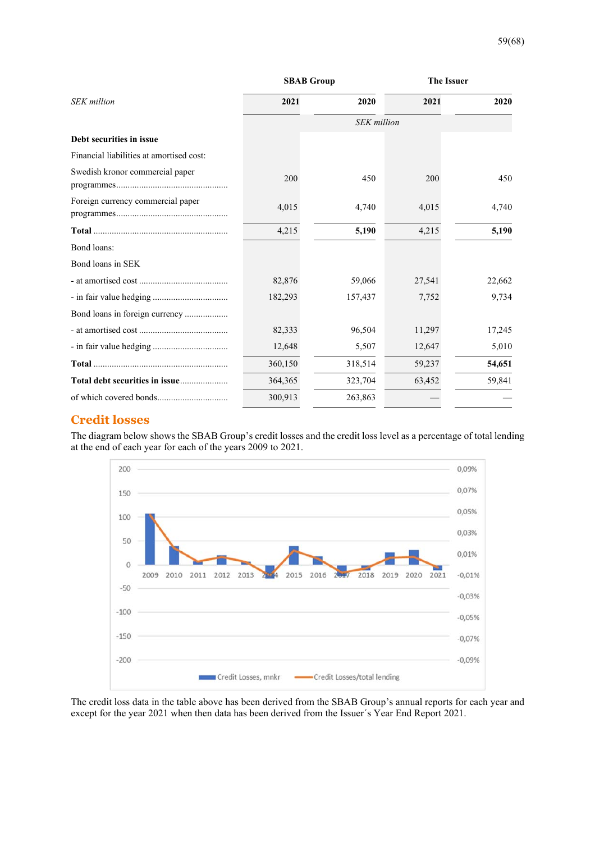|                                          |         | <b>SBAB Group</b>  |        | <b>The Issuer</b> |
|------------------------------------------|---------|--------------------|--------|-------------------|
| <b>SEK</b> million                       | 2021    | 2020               | 2021   | 2020              |
|                                          |         | <b>SEK</b> million |        |                   |
| Debt securities in issue                 |         |                    |        |                   |
| Financial liabilities at amortised cost: |         |                    |        |                   |
| Swedish kronor commercial paper          | 200     | 450                | 200    | 450               |
| Foreign currency commercial paper        | 4,015   | 4,740              | 4,015  | 4,740             |
|                                          | 4,215   | 5,190              | 4,215  | 5,190             |
| Bond loans:                              |         |                    |        |                   |
| Bond loans in SEK                        |         |                    |        |                   |
|                                          | 82,876  | 59,066             | 27,541 | 22,662            |
|                                          | 182,293 | 157,437            | 7,752  | 9,734             |
| Bond loans in foreign currency           |         |                    |        |                   |
|                                          | 82,333  | 96,504             | 11,297 | 17,245            |
|                                          | 12,648  | 5,507              | 12,647 | 5,010             |
|                                          | 360,150 | 318,514            | 59,237 | 54,651            |
|                                          | 364,365 | 323,704            | 63,452 | 59,841            |
|                                          | 300,913 | 263,863            |        |                   |

# **Credit losses**

The diagram below shows the SBAB Group's credit losses and the credit loss level as a percentage of total lending at the end of each year for each of the years 2009 to 2021.



The credit loss data in the table above has been derived from the SBAB Group's annual reports for each year and except for the year 2021 when then data has been derived from the Issuer´s Year End Report 2021.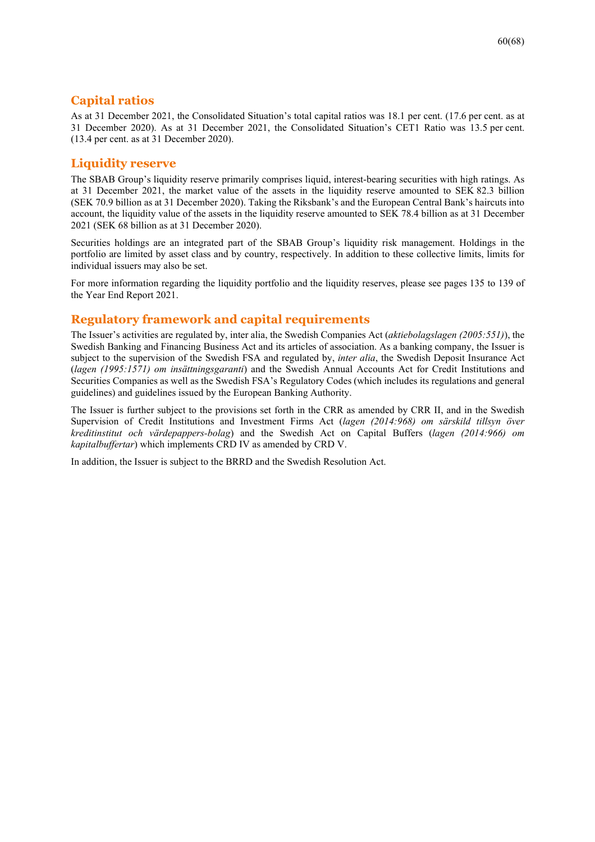# **Capital ratios**

As at 31 December 2021, the Consolidated Situation's total capital ratios was 18.1 per cent. (17.6 per cent. as at 31 December 2020). As at 31 December 2021, the Consolidated Situation's CET1 Ratio was 13.5 per cent. (13.4 per cent. as at 31 December 2020).

# **Liquidity reserve**

The SBAB Group's liquidity reserve primarily comprises liquid, interest-bearing securities with high ratings. As at 31 December 2021, the market value of the assets in the liquidity reserve amounted to SEK 82.3 billion (SEK 70.9 billion as at 31 December 2020). Taking the Riksbank's and the European Central Bank's haircuts into account, the liquidity value of the assets in the liquidity reserve amounted to SEK 78.4 billion as at 31 December 2021 (SEK 68 billion as at 31 December 2020).

Securities holdings are an integrated part of the SBAB Group's liquidity risk management. Holdings in the portfolio are limited by asset class and by country, respectively. In addition to these collective limits, limits for individual issuers may also be set.

For more information regarding the liquidity portfolio and the liquidity reserves, please see pages 135 to 139 of the Year End Report 2021.

# **Regulatory framework and capital requirements**

The Issuer's activities are regulated by, inter alia, the Swedish Companies Act (*aktiebolagslagen (2005:551)*), the Swedish Banking and Financing Business Act and its articles of association. As a banking company, the Issuer is subject to the supervision of the Swedish FSA and regulated by, *inter alia*, the Swedish Deposit Insurance Act (*lagen (1995:1571) om insättningsgaranti*) and the Swedish Annual Accounts Act for Credit Institutions and Securities Companies as well as the Swedish FSA's Regulatory Codes (which includes its regulations and general guidelines) and guidelines issued by the European Banking Authority.

The Issuer is further subject to the provisions set forth in the CRR as amended by CRR II, and in the Swedish Supervision of Credit Institutions and Investment Firms Act (*lagen (2014:968) om särskild tillsyn över kreditinstitut och värdepappers-bolag*) and the Swedish Act on Capital Buffers (*lagen (2014:966) om kapitalbuffertar*) which implements CRD IV as amended by CRD V.

In addition, the Issuer is subject to the BRRD and the Swedish Resolution Act.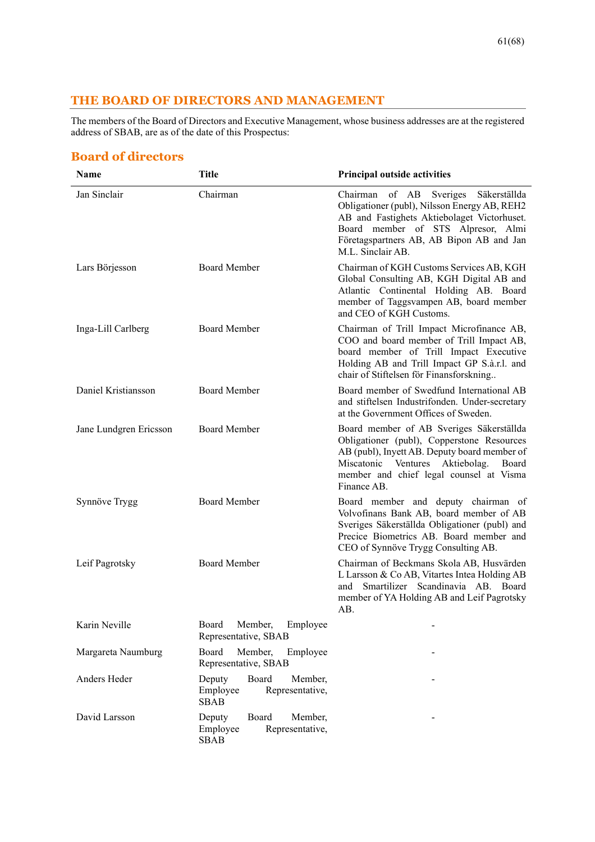# **THE BOARD OF DIRECTORS AND MANAGEMENT**

The members of the Board of Directors and Executive Management, whose business addresses are at the registered address of SBAB, are as of the date of this Prospectus:

# **Board of directors**

| Name                   | <b>Title</b>                                                             | <b>Principal outside activities</b>                                                                                                                                                                                                           |
|------------------------|--------------------------------------------------------------------------|-----------------------------------------------------------------------------------------------------------------------------------------------------------------------------------------------------------------------------------------------|
| Jan Sinclair           | Chairman                                                                 | Chairman of AB Sveriges<br>Säkerställda<br>Obligationer (publ), Nilsson Energy AB, REH2<br>AB and Fastighets Aktiebolaget Victorhuset.<br>Board member of STS Alpresor, Almi<br>Företagspartners AB, AB Bipon AB and Jan<br>M.L. Sinclair AB. |
| Lars Börjesson         | <b>Board Member</b>                                                      | Chairman of KGH Customs Services AB, KGH<br>Global Consulting AB, KGH Digital AB and<br>Atlantic Continental Holding AB. Board<br>member of Taggsvampen AB, board member<br>and CEO of KGH Customs.                                           |
| Inga-Lill Carlberg     | <b>Board Member</b>                                                      | Chairman of Trill Impact Microfinance AB,<br>COO and board member of Trill Impact AB,<br>board member of Trill Impact Executive<br>Holding AB and Trill Impact GP S.à.r.l. and<br>chair of Stiftelsen för Finansforskning                     |
| Daniel Kristiansson    | <b>Board Member</b>                                                      | Board member of Swedfund International AB<br>and stiftelsen Industrifonden. Under-secretary<br>at the Government Offices of Sweden.                                                                                                           |
| Jane Lundgren Ericsson | Board Member                                                             | Board member of AB Sveriges Säkerställda<br>Obligationer (publ), Copperstone Resources<br>AB (publ), Inyett AB. Deputy board member of<br>Miscatonic Ventures Aktiebolag.<br>Board<br>member and chief legal counsel at Visma<br>Finance AB.  |
| Synnöve Trygg          | <b>Board Member</b>                                                      | Board member and deputy chairman of<br>Volvofinans Bank AB, board member of AB<br>Sveriges Säkerställda Obligationer (publ) and<br>Precice Biometrics AB. Board member and<br>CEO of Synnöve Trygg Consulting AB.                             |
| Leif Pagrotsky         | <b>Board Member</b>                                                      | Chairman of Beckmans Skola AB, Husvärden<br>L Larsson & Co AB, Vitartes Intea Holding AB<br>Smartilizer Scandinavia AB. Board<br>and<br>member of YA Holding AB and Leif Pagrotsky<br>AB.                                                     |
| Karin Neville          | Board<br>Member,<br>Employee<br>Representative, SBAB                     |                                                                                                                                                                                                                                               |
| Margareta Naumburg     | Board<br>Member,<br>Employee<br>Representative, SBAB                     |                                                                                                                                                                                                                                               |
| Anders Heder           | Deputy<br>Board<br>Member,<br>Employee<br>Representative,<br><b>SBAB</b> |                                                                                                                                                                                                                                               |
| David Larsson          | Deputy<br>Board<br>Member,<br>Employee<br>Representative,<br><b>SBAB</b> |                                                                                                                                                                                                                                               |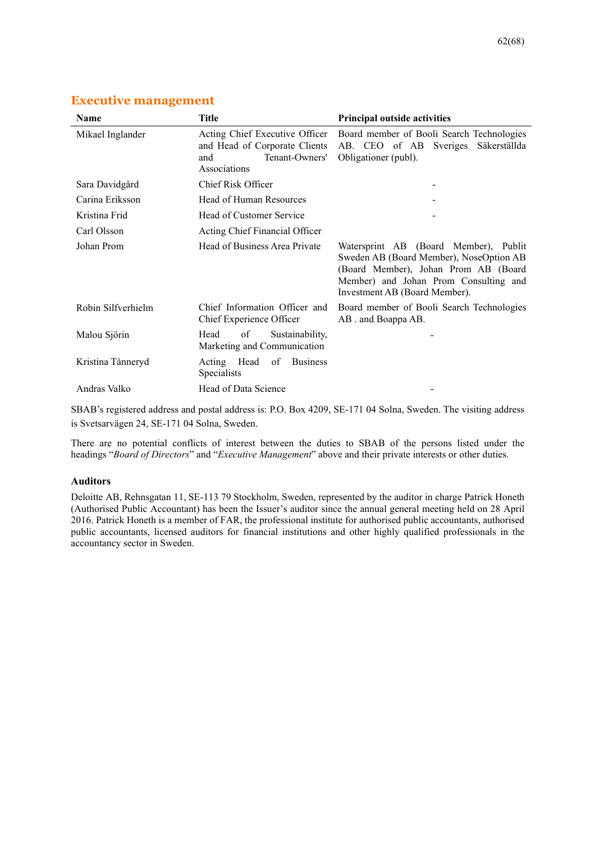| Name               | <b>Title</b>                                                                                             | <b>Principal outside activities</b>                                                                                                                                                                |
|--------------------|----------------------------------------------------------------------------------------------------------|----------------------------------------------------------------------------------------------------------------------------------------------------------------------------------------------------|
| Mikael Inglander   | Acting Chief Executive Officer<br>and Head of Corporate Clients<br>Tenant-Owners'<br>and<br>Associations | Board member of Booli Search Technologies<br>AB. CEO of AB Sveriges Säkerställda<br>Obligationer (publ).                                                                                           |
| Sara Davidgård     | Chief Risk Officer                                                                                       |                                                                                                                                                                                                    |
| Carina Eriksson    | Head of Human Resources                                                                                  |                                                                                                                                                                                                    |
| Kristina Frid      | Head of Customer Service                                                                                 |                                                                                                                                                                                                    |
| Carl Olsson        | Acting Chief Financial Officer                                                                           |                                                                                                                                                                                                    |
| Johan Prom         | Head of Business Area Private                                                                            | Watersprint AB (Board Member), Publit<br>Sweden AB (Board Member), NoseOption AB<br>(Board Member), Johan Prom AB (Board<br>Member) and Johan Prom Consulting and<br>Investment AB (Board Member). |
| Robin Silfverhielm | Chief Information Officer and<br>Chief Experience Officer                                                | Board member of Booli Search Technologies<br>AB . and Boappa AB.                                                                                                                                   |
| Malou Sjörin       | of<br>Sustainability,<br>Head<br>Marketing and Communication                                             |                                                                                                                                                                                                    |
| Kristina Tånneryd  | Acting Head<br>of<br><b>Business</b><br>Specialists                                                      |                                                                                                                                                                                                    |
| Andras Valko       | Head of Data Science                                                                                     |                                                                                                                                                                                                    |

# **Executive management**

SBAB's registered address and postal address is: P.O. Box 4209, SE-171 04 Solna, Sweden. The visiting address is Svetsarvägen 24, SE-171 04 Solna, Sweden.

There are no potential conflicts of interest between the duties to SBAB of the persons listed under the headings "*Board of Directors*" and "*Executive Management*" above and their private interests or other duties.

#### **Auditors**

Deloitte AB, Rehnsgatan 11, SE-113 79 Stockholm, Sweden, represented by the auditor in charge Patrick Honeth (Authorised Public Accountant) has been the Issuer's auditor since the annual general meeting held on 28 April 2016. Patrick Honeth is a member of FAR, the professional institute for authorised public accountants, authorised public accountants, licensed auditors for financial institutions and other highly qualified professionals in the accountancy sector in Sweden.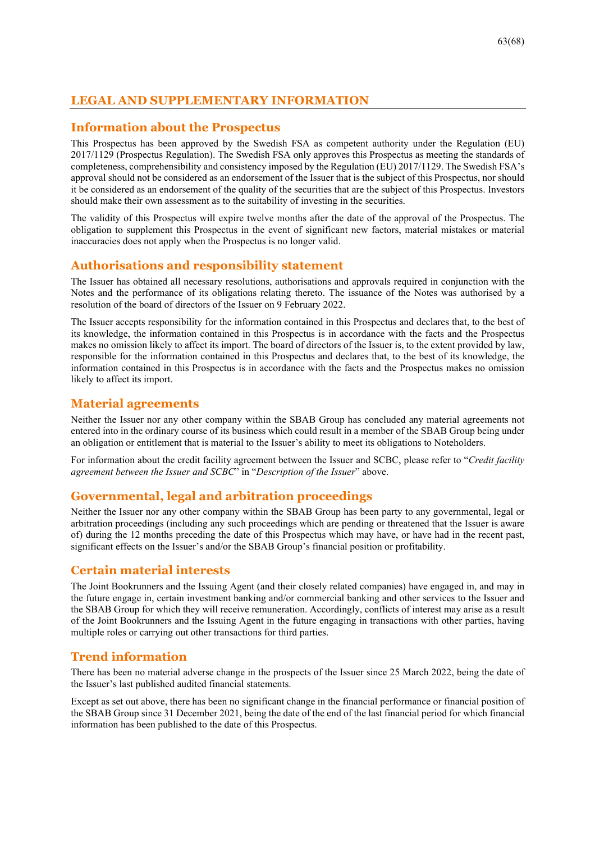# **LEGAL AND SUPPLEMENTARY INFORMATION**

# **Information about the Prospectus**

This Prospectus has been approved by the Swedish FSA as competent authority under the Regulation (EU) 2017/1129 (Prospectus Regulation). The Swedish FSA only approves this Prospectus as meeting the standards of completeness, comprehensibility and consistency imposed by the Regulation (EU) 2017/1129. The Swedish FSA's approval should not be considered as an endorsement of the Issuer that is the subject of this Prospectus, nor should it be considered as an endorsement of the quality of the securities that are the subject of this Prospectus. Investors should make their own assessment as to the suitability of investing in the securities.

The validity of this Prospectus will expire twelve months after the date of the approval of the Prospectus. The obligation to supplement this Prospectus in the event of significant new factors, material mistakes or material inaccuracies does not apply when the Prospectus is no longer valid.

# **Authorisations and responsibility statement**

The Issuer has obtained all necessary resolutions, authorisations and approvals required in conjunction with the Notes and the performance of its obligations relating thereto. The issuance of the Notes was authorised by a resolution of the board of directors of the Issuer on 9 February 2022.

The Issuer accepts responsibility for the information contained in this Prospectus and declares that, to the best of its knowledge, the information contained in this Prospectus is in accordance with the facts and the Prospectus makes no omission likely to affect its import. The board of directors of the Issuer is, to the extent provided by law, responsible for the information contained in this Prospectus and declares that, to the best of its knowledge, the information contained in this Prospectus is in accordance with the facts and the Prospectus makes no omission likely to affect its import.

# **Material agreements**

Neither the Issuer nor any other company within the SBAB Group has concluded any material agreements not entered into in the ordinary course of its business which could result in a member of the SBAB Group being under an obligation or entitlement that is material to the Issuer's ability to meet its obligations to Noteholders.

For information about the credit facility agreement between the Issuer and SCBC, please refer to "*Credit facility agreement between the Issuer and SCBC*" in "*Description of the Issuer*" above.

# **Governmental, legal and arbitration proceedings**

Neither the Issuer nor any other company within the SBAB Group has been party to any governmental, legal or arbitration proceedings (including any such proceedings which are pending or threatened that the Issuer is aware of) during the 12 months preceding the date of this Prospectus which may have, or have had in the recent past, significant effects on the Issuer's and/or the SBAB Group's financial position or profitability.

# **Certain material interests**

The Joint Bookrunners and the Issuing Agent (and their closely related companies) have engaged in, and may in the future engage in, certain investment banking and/or commercial banking and other services to the Issuer and the SBAB Group for which they will receive remuneration. Accordingly, conflicts of interest may arise as a result of the Joint Bookrunners and the Issuing Agent in the future engaging in transactions with other parties, having multiple roles or carrying out other transactions for third parties.

# **Trend information**

There has been no material adverse change in the prospects of the Issuer since 25 March 2022, being the date of the Issuer's last published audited financial statements.

Except as set out above, there has been no significant change in the financial performance or financial position of the SBAB Group since 31 December 2021, being the date of the end of the last financial period for which financial information has been published to the date of this Prospectus.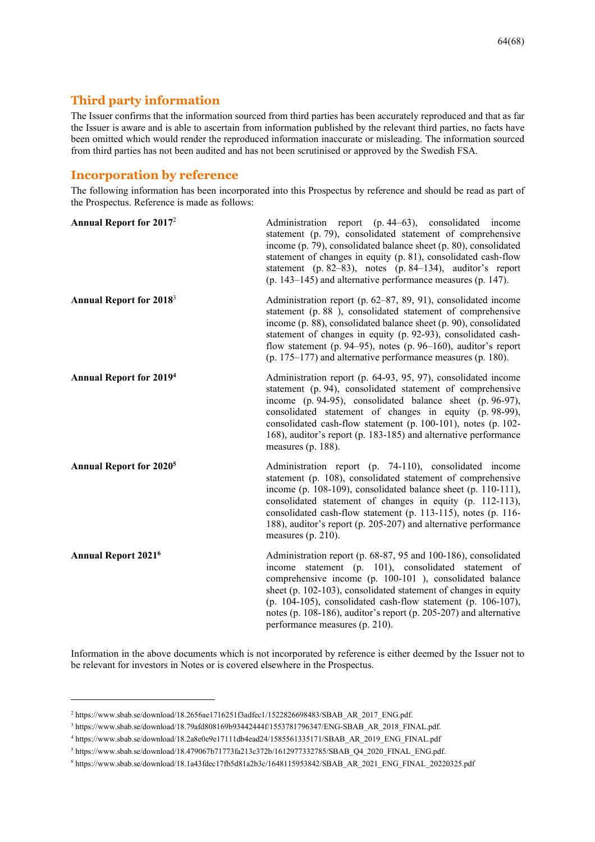# **Third party information**

The Issuer confirms that the information sourced from third parties has been accurately reproduced and that as far the Issuer is aware and is able to ascertain from information published by the relevant third parties, no facts have been omitted which would render the reproduced information inaccurate or misleading. The information sourced from third parties has not been audited and has not been scrutinised or approved by the Swedish FSA.

# **Incorporation by reference**

The following information has been incorporated into this Prospectus by reference and should be read as part of the Prospectus. Reference is made as follows:

| <b>Annual Report for 2017</b> <sup>2</sup> | Administration report (p. 44–63), consolidated income<br>statement (p. 79), consolidated statement of comprehensive<br>income (p. 79), consolidated balance sheet (p. 80), consolidated<br>statement of changes in equity (p. 81), consolidated cash-flow<br>statement (p. 82–83), notes (p. 84–134), auditor's report<br>$(p. 143-145)$ and alternative performance measures $(p. 147)$ .                                  |
|--------------------------------------------|-----------------------------------------------------------------------------------------------------------------------------------------------------------------------------------------------------------------------------------------------------------------------------------------------------------------------------------------------------------------------------------------------------------------------------|
| <b>Annual Report for 2018</b> <sup>3</sup> | Administration report (p. 62–87, 89, 91), consolidated income<br>statement (p. 88), consolidated statement of comprehensive<br>income (p. 88), consolidated balance sheet (p. 90), consolidated<br>statement of changes in equity (p. 92-93), consolidated cash-<br>flow statement (p. 94–95), notes (p. 96–160), auditor's report<br>$(p. 175-177)$ and alternative performance measures $(p. 180)$ .                      |
| <b>Annual Report for 2019</b>              | Administration report (p. 64-93, 95, 97), consolidated income<br>statement (p. 94), consolidated statement of comprehensive<br>income (p. 94-95), consolidated balance sheet (p. 96-97),<br>consolidated statement of changes in equity (p. 98-99),<br>consolidated cash-flow statement (p. 100-101), notes (p. 102-<br>168), auditor's report (p. 183-185) and alternative performance<br>measures (p. 188).               |
| <b>Annual Report for 2020<sup>5</sup></b>  | Administration report (p. 74-110), consolidated income<br>statement (p. 108), consolidated statement of comprehensive<br>income (p. 108-109), consolidated balance sheet (p. 110-111),<br>consolidated statement of changes in equity (p. 112-113),<br>consolidated cash-flow statement (p. 113-115), notes (p. 116-<br>188), auditor's report (p. 205-207) and alternative performance<br>measures (p. $210$ ).            |
| <b>Annual Report 2021<sup>6</sup></b>      | Administration report (p. 68-87, 95 and 100-186), consolidated<br>income statement (p. 101), consolidated statement of<br>comprehensive income (p. 100-101), consolidated balance<br>sheet (p. 102-103), consolidated statement of changes in equity<br>(p. 104-105), consolidated cash-flow statement (p. 106-107),<br>notes (p. 108-186), auditor's report (p. 205-207) and alternative<br>performance measures (p. 210). |

Information in the above documents which is not incorporated by reference is either deemed by the Issuer not to be relevant for investors in Notes or is covered elsewhere in the Prospectus.

<sup>&</sup>lt;sup>2</sup> https://www.sbab.se/download/18.2656ae1716251f3adfec1/1522826698483/SBAB\_AR\_2017\_ENG.pdf.

<sup>3</sup> https://www.sbab.se/download/18.79afd808169b93442444f/1553781796347/ENG-SBAB\_AR\_2018\_FINAL.pdf.

<sup>4</sup> https://www.sbab.se/download/18.2a8e0e9e17111db4ead24/1585561335171/SBAB\_AR\_2019\_ENG\_FINAL.pdf

<sup>5</sup> https://www.sbab.se/download/18.479067b71773fa213c372b/1612977332785/SBAB\_Q4\_2020\_FINAL\_ENG.pdf.

<sup>6</sup> https://www.sbab.se/download/18.1a43fdec17fb5d81a2b3c/1648115953842/SBAB\_AR\_2021\_ENG\_FINAL\_20220325.pdf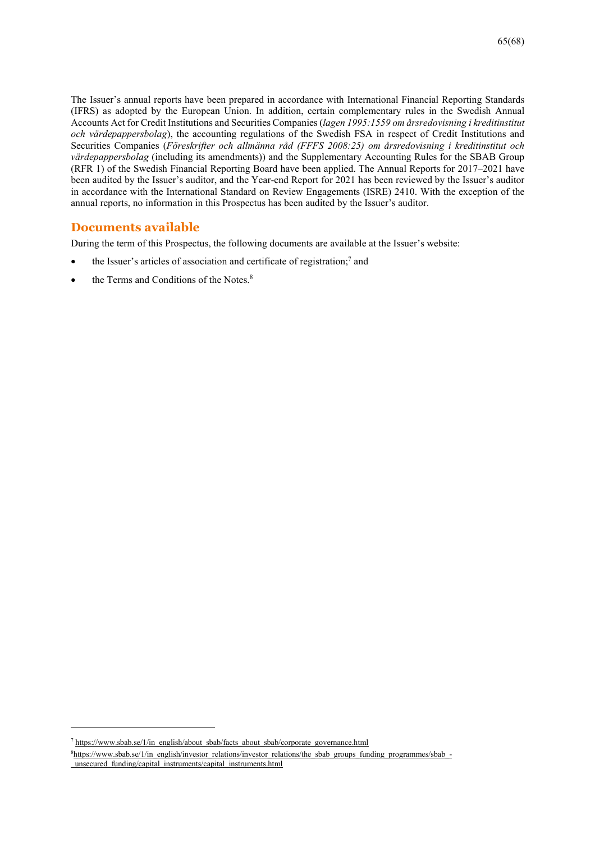The Issuer's annual reports have been prepared in accordance with International Financial Reporting Standards (IFRS) as adopted by the European Union. In addition, certain complementary rules in the Swedish Annual Accounts Act for Credit Institutions and Securities Companies (*lagen 1995:1559 om årsredovisning i kreditinstitut och värdepappersbolag*), the accounting regulations of the Swedish FSA in respect of Credit Institutions and Securities Companies (*Föreskrifter och allmänna råd (FFFS 2008:25) om årsredovisning i kreditinstitut och värdepappersbolag* (including its amendments)) and the Supplementary Accounting Rules for the SBAB Group (RFR 1) of the Swedish Financial Reporting Board have been applied. The Annual Reports for 2017–2021 have been audited by the Issuer's auditor, and the Year-end Report for 2021 has been reviewed by the Issuer's auditor in accordance with the International Standard on Review Engagements (ISRE) 2410. With the exception of the annual reports, no information in this Prospectus has been audited by the Issuer's auditor.

# **Documents available**

During the term of this Prospectus, the following documents are available at the Issuer's website:

- $\bullet$  the Issuer's articles of association and certificate of registration;<sup>7</sup> and
- the Terms and Conditions of the Notes.<sup>8</sup>

<sup>&</sup>lt;sup>7</sup> https://www.sbab.se/1/in\_english/about\_sbab/facts\_about\_sbab/corporate\_governance.html

<sup>&</sup>lt;sup>8</sup>https://www.sbab.se/1/in\_english/investor\_relations/investor\_relations/the\_sbab\_groups\_funding\_programmes/sbab\_-\_unsecured\_funding/capital\_instruments/capital\_instruments.html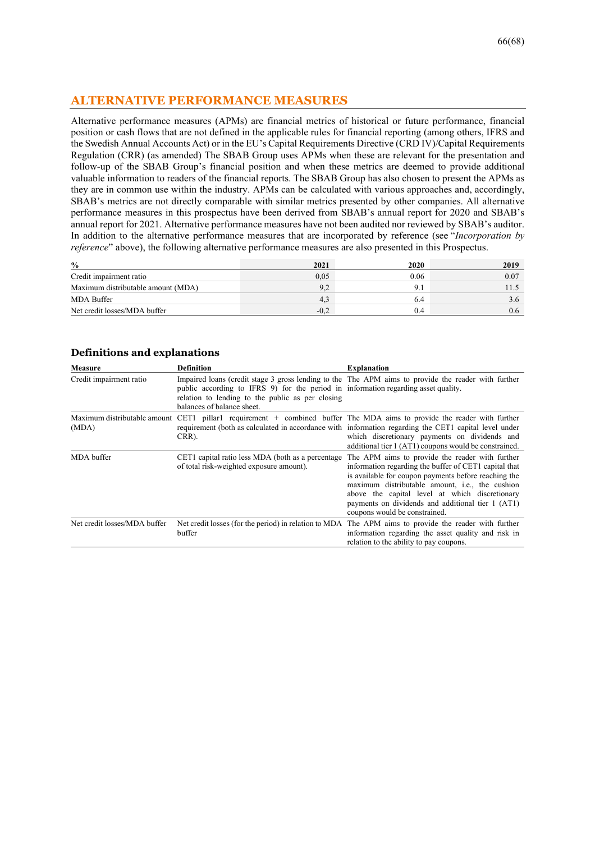# **ALTERNATIVE PERFORMANCE MEASURES**

Alternative performance measures (APMs) are financial metrics of historical or future performance, financial position or cash flows that are not defined in the applicable rules for financial reporting (among others, IFRS and the Swedish Annual Accounts Act) or in the EU's Capital Requirements Directive (CRD IV)/Capital Requirements Regulation (CRR) (as amended) The SBAB Group uses APMs when these are relevant for the presentation and follow-up of the SBAB Group's financial position and when these metrics are deemed to provide additional valuable information to readers of the financial reports. The SBAB Group has also chosen to present the APMs as they are in common use within the industry. APMs can be calculated with various approaches and, accordingly, SBAB's metrics are not directly comparable with similar metrics presented by other companies. All alternative performance measures in this prospectus have been derived from SBAB's annual report for 2020 and SBAB's annual report for 2021. Alternative performance measures have not been audited nor reviewed by SBAB's auditor. In addition to the alternative performance measures that are incorporated by reference (see "*Incorporation by reference*" above), the following alternative performance measures are also presented in this Prospectus.

| $\frac{6}{9}$                      | 2021   | 2020 | 2019 |
|------------------------------------|--------|------|------|
| Credit impairment ratio            | 0,05   | 0.06 | 0.07 |
| Maximum distributable amount (MDA) | ے .    |      |      |
| MDA Buffer                         | 4,3    | 6.4  |      |
| Net credit losses/MDA buffer       | $-0.2$ | 0.4  |      |

| Measure                      | <b>Definition</b>                                                                                                                                                    | <b>Explanation</b>                                                                                                                                                                                                                                                                                                                                          |
|------------------------------|----------------------------------------------------------------------------------------------------------------------------------------------------------------------|-------------------------------------------------------------------------------------------------------------------------------------------------------------------------------------------------------------------------------------------------------------------------------------------------------------------------------------------------------------|
| Credit impairment ratio      | public according to IFRS 9) for the period in information regarding asset quality.<br>relation to lending to the public as per closing<br>balances of balance sheet. | Impaired loans (credit stage 3 gross lending to the The APM aims to provide the reader with further                                                                                                                                                                                                                                                         |
| (MDA)                        | CRR).                                                                                                                                                                | Maximum distributable amount CET1 pillar1 requirement + combined buffer The MDA aims to provide the reader with further<br>requirement (both as calculated in accordance with information regarding the CET1 capital level under<br>which discretionary payments on dividends and<br>additional tier 1 (AT1) coupons would be constrained.                  |
| MDA buffer                   | CET1 capital ratio less MDA (both as a percentage<br>of total risk-weighted exposure amount).                                                                        | The APM aims to provide the reader with further<br>information regarding the buffer of CET1 capital that<br>is available for coupon payments before reaching the<br>maximum distributable amount, i.e., the cushion<br>above the capital level at which discretionary<br>payments on dividends and additional tier 1 (AT1)<br>coupons would be constrained. |
| Net credit losses/MDA buffer | buffer                                                                                                                                                               | Net credit losses (for the period) in relation to MDA. The APM aims to provide the reader with further<br>information regarding the asset quality and risk in<br>relation to the ability to pay coupons.                                                                                                                                                    |

#### **Definitions and explanations**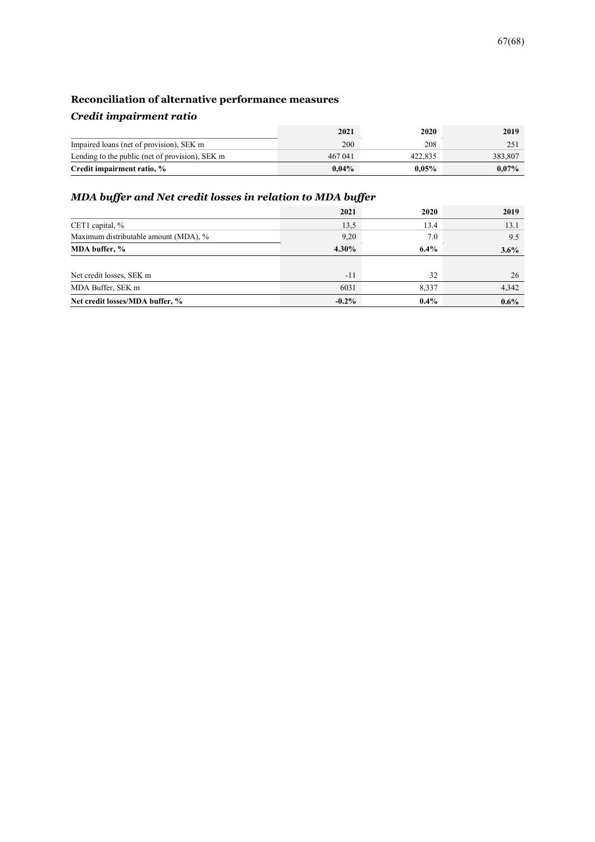# **Reconciliation of alternative performance measures**

# *Credit impairment ratio*

|                                                 | 2021     | 2020     | 2019     |
|-------------------------------------------------|----------|----------|----------|
| Impaired loans (net of provision), SEK m        | 200      | 208      | 251      |
| Lending to the public (net of provision), SEK m | 467 041  | 422,835  | 383,807  |
| Credit impairment ratio, %                      | $0.04\%$ | $0.05\%$ | $0.07\%$ |

# *MDA buffer and Net credit losses in relation to MDA buffer*

|                                       | 2021     | 2020    | 2019    |
|---------------------------------------|----------|---------|---------|
| CET1 capital, %                       | 13.5     | 13.4    | 13.1    |
| Maximum distributable amount (MDA), % | 9,20     | 7.0     | 9.5     |
| MDA buffer, %                         | $4.30\%$ | $6.4\%$ | 3.6%    |
|                                       |          |         |         |
| Net credit losses, SEK m              | $-11$    | 32      | 26      |
| MDA Buffer, SEK m                     | 6031     | 8,337   | 4,342   |
| Net credit losses/MDA buffer, %       | $-0.2\%$ | $0.4\%$ | $0.6\%$ |